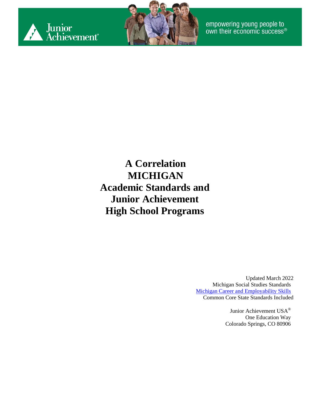



**A Correlation MICHIGAN Academic Standards and Junior Achievement High School Programs**

> Updated March 2022 Michigan Social Studies Standards [Michigan Career and Employability Skills](https://www.michigan.gov/documents/Career&Employ_Standards_12_01_13760_7.pdf) Common Core State Standards Included

> > Junior Achievement USA® One Education Way Colorado Springs, CO 80906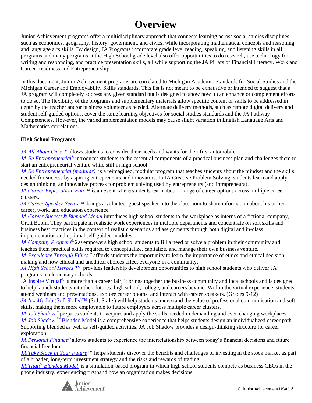#### **Overview**

Junior Achievement programs offer a multidisciplinary approach that connects learning across social studies disciplines, such as economics, geography, history, government, and civics, while incorporating mathematical concepts and reasoning and language arts skills. By design, JA Programs incorporate grade level reading, speaking, and listening skills in all programs and many programs at the High School grade level also offer opportunities to do research, use technology for writing and responding, and practice presentation skills, all while supporting the JA Pillars of Financial Literacy, Work and Career Readiness and Entrepreneurship.

In this document, Junior Achievement programs are correlated to Michigan Academic Standards for Social Studies and the Michigan Career and Employability Skills standards. This list is not meant to be exhaustive or intended to suggest that a JA program will completely address any given standard but is designed to show how it can enhance or complement efforts to do so. The flexibility of the programs and supplementary materials allow specific content or skills to be addressed in depth by the teacher and/or business volunteer as needed. Alternate delivery methods, such as remote digital delivery and student self-guided options, cover the same learning objectives for social studies standards and the JA Pathway Competencies. However, the varied implementation models may cause slight variation in English Language Arts and Mathematics correlations.

#### **High School Programs**

*JA All About Cars™* allows students to consider their needs and wants for their first automobile.

*JA Be Entrepreneurial®* introduces students to the essential components of a practical business plan and challenges them to start an entrepreneurial venture while still in high school.

*JA Be Entrepreneurial (modular)* is a reimagined, modular program that teaches students about the mindset and the skills needed for success by aspiring entrepreneurs and innovators. In JA Creative Problem Solving, students learn and apply design thinking, an innovative process for problem solving used by entrepreneurs (and intrapreneurs).

*[JA Career Exploration](#page-12-0) Fair*™ is an event where students learn about a range of career options across multiple career clusters.

*JA Career Speaker Series™* brings a volunteer guest speaker into the classroom to share information about his or her career, work, and education experience.

*JA Career Success® Blended Model* introduces high school students to the workplace as interns of a fictional company, Orbit Boom. They participate in realistic work experiences in multiple departments and concentrate on soft skills and business best practices in the context of realistic scenarios and assignments through both digital and in-class implementation and optional self-guided modules.

*[JA Company Program](#page-20-0)®* 2.0 empowers high school students to fill a need or solve a problem in their community and teaches them practical skills required to conceptualize, capitalize, and manage their own business venture.

*JA Excellence Through Ethics*™ affords students the opportunity to learn the importance of ethics and ethical decisionmaking and how ethical and unethical choices affect everyone in a community.

*JA High School Heroes ™* provides leadership development opportunities to high school students who deliver JA programs in elementary schools.

JA Inspire Virtual*®* is more than a career fair, it brings together the business community and local schools and is designed to help launch students into their futures: high school, college, and careers beyond. Within the virtual experience, students attend webinars and presentations, explore career booths, and interact with career speakers. (Grades 9-12)

*JA It's My* Job (Soft Skills)™ (Soft Skills) will help students understand the value of professional communication and soft skills, making them more employable to future employers across multiple career clusters.

*JA Job Shadow*<sup>™</sup> prepares students to acquire and apply the skills needed in demanding and ever-changing workplaces. *[JA Job Shadow](#page-36-0) [™](#page-36-0)* [Blended Model](#page-36-0) is a comprehensive experience that helps students design an individualized career path. Supporting blended as well as self-guided activities, JA Job Shadow provides a design-thinking structure for career exploration.

*[JA Personal Finance](#page-39-0)®* allows students to experience the interrelationship between today's financial decisions and future financial freedom.

*[JA Take Stock in Your Future](#page-44-0)*™ helps students discover the benefits and challenges of investing in the stock market as part of a broader, long-term investment strategy and the risks and rewards of trading.

*[JA Titan](#page-53-0)[®](#page-53-0) [Blended Model](#page-53-0)* is a simulation-based program in which high school students compete as business CEOs in the phone industry, experiencing firsthand how an organization makes decisions.

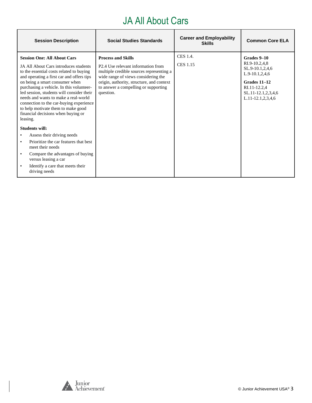# JA All About Cars

| <b>Session Description</b>                                                                                                                                                                                                                                                                                                                                                                                                                                                 | <b>Social Studies Standards</b>                                                                                                                                                                                                                                              | <b>Career and Employability</b><br><b>Skills</b> | <b>Common Core ELA</b>                                                                                                                                  |
|----------------------------------------------------------------------------------------------------------------------------------------------------------------------------------------------------------------------------------------------------------------------------------------------------------------------------------------------------------------------------------------------------------------------------------------------------------------------------|------------------------------------------------------------------------------------------------------------------------------------------------------------------------------------------------------------------------------------------------------------------------------|--------------------------------------------------|---------------------------------------------------------------------------------------------------------------------------------------------------------|
| <b>Session One: All About Cars</b><br>JA All About Cars introduces students<br>to the essential costs related to buying<br>and operating a first car and offers tips<br>on being a smart consumer when<br>purchasing a vehicle. In this volunteer-<br>led session, students will consider their<br>needs and wants to make a real-world<br>connection to the car-buying experience<br>to help motivate them to make good<br>financial decisions when buying or<br>leasing. | <b>Process and Skills</b><br>P <sub>2.4</sub> U <sub>se</sub> relevant information from<br>multiple credible sources representing a<br>wide range of views considering the<br>origin, authority, structure, and context<br>to answer a compelling or supporting<br>question. | CES 1.4.<br><b>CES 1.15</b>                      | Grades 9-10<br>RI.9-10.2,4,8<br>SL.9-10.1,2,4,6<br>$L.9-10.1, 2, 4, 6$<br>Grades 11-12<br>RI.11-12.2,4<br>SL.11-12.1,2,3,4,6<br>$L.11-12.1, 2, 3, 4, 6$ |
| <b>Students will:</b>                                                                                                                                                                                                                                                                                                                                                                                                                                                      |                                                                                                                                                                                                                                                                              |                                                  |                                                                                                                                                         |
| Assess their driving needs                                                                                                                                                                                                                                                                                                                                                                                                                                                 |                                                                                                                                                                                                                                                                              |                                                  |                                                                                                                                                         |
| Prioritize the car features that best<br>meet their needs                                                                                                                                                                                                                                                                                                                                                                                                                  |                                                                                                                                                                                                                                                                              |                                                  |                                                                                                                                                         |
| Compare the advantages of buying<br>versus leasing a car                                                                                                                                                                                                                                                                                                                                                                                                                   |                                                                                                                                                                                                                                                                              |                                                  |                                                                                                                                                         |
| Identify a care that meets their<br>driving needs                                                                                                                                                                                                                                                                                                                                                                                                                          |                                                                                                                                                                                                                                                                              |                                                  |                                                                                                                                                         |

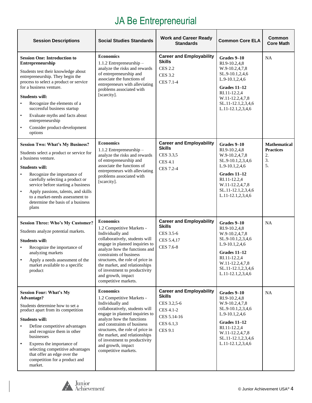# JA Be Entrepreneurial

| <b>Session Descriptions</b>                                                                                                                                                                                                                                                                                                                                                                                                            | <b>Social Studies Standards</b>                                                                                                                                                                                                                                                                                                                       | <b>Work and Career Ready</b><br><b>Standards</b>                                                                    | <b>Common Core ELA</b>                                                                                                                                                              | <b>Common</b><br><b>Core Math</b>                         |
|----------------------------------------------------------------------------------------------------------------------------------------------------------------------------------------------------------------------------------------------------------------------------------------------------------------------------------------------------------------------------------------------------------------------------------------|-------------------------------------------------------------------------------------------------------------------------------------------------------------------------------------------------------------------------------------------------------------------------------------------------------------------------------------------------------|---------------------------------------------------------------------------------------------------------------------|-------------------------------------------------------------------------------------------------------------------------------------------------------------------------------------|-----------------------------------------------------------|
| <b>Session One: Introduction to</b><br>Entrepreneurship<br>Students test their knowledge about<br>entrepreneurship. They begin the<br>process to select a product or service<br>for a business venture.<br><b>Students will:</b><br>Recognize the elements of a<br>$\bullet$<br>successful business startup<br>Evaluate myths and facts about<br>$\bullet$<br>entrepreneurship<br>Consider product-development<br>$\bullet$<br>options | <b>Economics</b><br>1.1.2 Entrepreneurship -<br>analyze the risks and rewards<br>of entrepreneurship and<br>associate the functions of<br>entrepreneurs with alleviating<br>problems associated with<br>[scarcity].                                                                                                                                   | <b>Career and Employability</b><br><b>Skills</b><br><b>CES 2.2</b><br><b>CES 3.2</b><br>CES 7.1-4                   | Grades 9-10<br>RI.9-10.2,4,8<br>W.9-10.2,4,7,8<br>SL.9-10.1,2,4,6<br>L.9-10.1,2,4,6<br>Grades 11-12<br>RI.11-12.2,4<br>W.11-12.2,4,7,8<br>SL.11-12.1,2,3,4,6<br>L.11-12.1,2,3,4,6   | NA                                                        |
| <b>Session Two: What's My Business?</b><br>Students select a product or service for<br>a business venture.<br><b>Students will:</b><br>Recognize the importance of<br>$\bullet$<br>carefully selecting a product or<br>service before starting a business<br>$\bullet$<br>Apply passions, talents, and skills<br>to a market-needs assessment to<br>determine the basis of a business<br>plans                                         | <b>Economics</b><br>1.1.2 Entrepreneurship $-$<br>analyze the risks and rewards<br>of entrepreneurship and<br>associate the functions of<br>entrepreneurs with alleviating<br>problems associated with<br>[scarcity].                                                                                                                                 | <b>Career and Employability</b><br><b>Skills</b><br>CES 3.3,5<br><b>CES 4.1</b><br>CES 7.2-4                        | Grades 9-10<br>RI.9-10.2,4,8<br>W.9-10.2,4,7,8<br>SL.9-10.1,2,3,4,6<br>L.9-10.1,2,4,6<br>Grades 11-12<br>RI.11-12.2,4<br>W.11-12.2,4,7,8<br>SL.11-12.1,2,3,4,6<br>L.11-12.1,2,3,4,6 | <b>Mathematical</b><br><b>Practices</b><br>2.<br>3.<br>5. |
| <b>Session Three: Who's My Customer?</b><br>Students analyze potential markets.<br><b>Students will:</b><br>Recognize the importance of<br>analyzing markets<br>Apply a needs assessment of the<br>market available to a specific<br>product                                                                                                                                                                                           | <b>Economics</b><br>1.2 Competitive Markets -<br>Individually and<br>collaboratively, students will<br>engage in planned inquiries to<br>analyze how the functions and<br>constraints of business<br>structures, the role of price in<br>the market, and relationships<br>of investment to productivity<br>and growth, impact<br>competitive markets. | <b>Career and Employability</b><br><b>Skills</b><br>CES 3.5-6<br>CES 5.4,17<br><b>CES 7.6-8</b>                     | Grades 9-10<br>RI.9-10.2,4,8<br>W.9-10.2,4,7,8<br>SL.9-10.1,2,3,4,6<br>L.9-10.1,2,4,6<br>Grades 11-12<br>RI.11-12.2,4<br>W.11-12.2,4,7,8<br>SL.11-12.1,2,3,4,6<br>L.11-12.1,2,3,4,6 | NA                                                        |
| <b>Session Four: What's My</b><br><b>Advantage?</b><br>Students determine how to set a<br>product apart from its competition<br><b>Students will:</b><br>Define competitive advantages<br>and recognize them in other<br>businesses<br>Express the importance of<br>$\bullet$<br>selecting competitive advantages<br>that offer an edge over the<br>competition for a product and<br>market.                                           | <b>Economics</b><br>1.2 Competitive Markets -<br>Individually and<br>collaboratively, students will<br>engage in planned inquiries to<br>analyze how the functions<br>and constraints of business<br>structures, the role of price in<br>the market, and relationships<br>of investment to productivity<br>and growth, impact<br>competitive markets. | <b>Career and Employability</b><br>Skills<br>CES 3.2,5-6<br>CES 4.1-2<br>CES 5.14-16<br>CES 6.1,3<br><b>CES 9.1</b> | Grades 9-10<br>RI.9-10.2,4,8<br>W.9-10.2,4,7,8<br>SL.9-10.1,2,3,4,6<br>L.9-10.1,2,4,6<br>Grades 11-12<br>RI.11-12.2,4<br>W.11-12.2,4,7,8<br>SL.11-12.1,2,3,4,6<br>L.11-12.1,2,3,4,6 | <b>NA</b>                                                 |

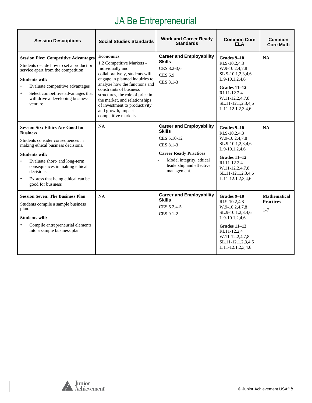# JA Be Entrepreneurial

| <b>Session Descriptions</b>                                                                                                                                                                                                                                                                                                        | <b>Social Studies Standards</b>                                                                                                                                                                                                                                                                                                                       | <b>Work and Career Ready</b><br><b>Standards</b>                                                                                                                                     | <b>Common Core</b><br><b>ELA</b>                                                                                                                                                      | Common<br><b>Core Math</b>                         |
|------------------------------------------------------------------------------------------------------------------------------------------------------------------------------------------------------------------------------------------------------------------------------------------------------------------------------------|-------------------------------------------------------------------------------------------------------------------------------------------------------------------------------------------------------------------------------------------------------------------------------------------------------------------------------------------------------|--------------------------------------------------------------------------------------------------------------------------------------------------------------------------------------|---------------------------------------------------------------------------------------------------------------------------------------------------------------------------------------|----------------------------------------------------|
| <b>Session Five: Competitive Advantages</b><br>Students decide how to set a product or<br>service apart from the competition.<br><b>Students will:</b><br>Evaluate competitive advantages<br>$\bullet$<br>Select competitive advantages that<br>$\bullet$<br>will drive a developing business<br>venture                           | <b>Economics</b><br>1.2 Competitive Markets -<br>Individually and<br>collaboratively, students will<br>engage in planned inquiries to<br>analyze how the functions and<br>constraints of business<br>structures, the role of price in<br>the market, and relationships<br>of investment to productivity<br>and growth, impact<br>competitive markets. | <b>Career and Employability</b><br><b>Skills</b><br>CES 3.2-3.6<br><b>CES 5.9</b><br>CES 8.1-3                                                                                       | Grades 9-10<br>RI.9-10.2.4.8<br>W.9-10.2,4,7,8<br>SL.9-10.1,2,3,4,6<br>L.9-10.1,2,4,6<br>Grades 11-12<br>RI.11-12.2.4<br>W.11-12.2,4,7,8<br>SL.11-12.1,2,3,4,6<br>L.11-12.1,2,3,4,6   | NA                                                 |
| <b>Session Six: Ethics Are Good for</b><br><b>Business</b><br>Students consider consequences in<br>making ethical business decisions.<br><b>Students will:</b><br>Evaluate short- and long-term<br>$\bullet$<br>consequences in making ethical<br>decisions<br>Express that being ethical can be<br>$\bullet$<br>good for business | <b>NA</b>                                                                                                                                                                                                                                                                                                                                             | <b>Career and Employability</b><br><b>Skills</b><br>CES 5.10-12<br>CES 8.1-3<br><b>Career Ready Practices</b><br>Model integrity, ethical<br>leadership and effective<br>management. | Grades 9–10<br>RI.9-10.2,4,8<br>W.9-10.2,4,7,8<br>SL.9-10.1,2,3,4,6<br>L.9-10.1,2,4,6<br>Grades $11-12$<br>RI.11-12.2,4<br>W.11-12.2,4,7,8<br>SL.11-12.1,2,3,4,6<br>L.11-12.1,2,3,4,6 | <b>NA</b>                                          |
| <b>Session Seven: The Business Plan</b><br>Students compile a sample business<br>plan.<br><b>Students will:</b><br>Compile entrepreneurial elements<br>$\bullet$<br>into a sample business plan                                                                                                                                    | <b>NA</b>                                                                                                                                                                                                                                                                                                                                             | <b>Career and Employability</b><br><b>Skills</b><br>CES 5.2,4-5<br>CES 9.1-2                                                                                                         | Grades 9-10<br>RI.9-10.2,4,8<br>W.9-10.2,4,7,8<br>SL.9-10.1,2,3,4,6<br>L.9-10.1,2,4,6<br>Grades 11-12<br>RI.11-12.2,4<br>W.11-12.2,4,7,8<br>SL.11-12.1,2,3,4,6<br>L.11-12.1,2,3,4,6   | <b>Mathematical</b><br><b>Practices</b><br>$1 - 7$ |

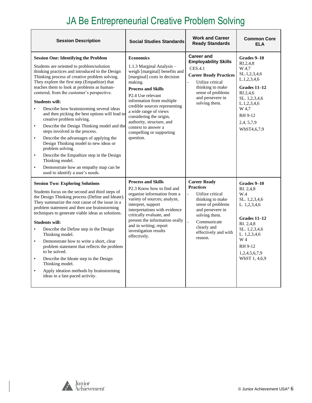# JA Be Entrepreneurial Creative Problem Solving

| <b>Session Description</b>                                                                                                                                                                                                                                                                                                                                                                                                                                                                                                                                                                                                                                                                                                                                                                                                                                                                         | <b>Social Studies Standards</b>                                                                                                                                                                                                                                                                                                                                                                        | <b>Work and Career</b><br><b>Ready Standards</b>                                                                                                                                                                             | <b>Common Core</b><br><b>ELA</b>                                                                                                                                                       |
|----------------------------------------------------------------------------------------------------------------------------------------------------------------------------------------------------------------------------------------------------------------------------------------------------------------------------------------------------------------------------------------------------------------------------------------------------------------------------------------------------------------------------------------------------------------------------------------------------------------------------------------------------------------------------------------------------------------------------------------------------------------------------------------------------------------------------------------------------------------------------------------------------|--------------------------------------------------------------------------------------------------------------------------------------------------------------------------------------------------------------------------------------------------------------------------------------------------------------------------------------------------------------------------------------------------------|------------------------------------------------------------------------------------------------------------------------------------------------------------------------------------------------------------------------------|----------------------------------------------------------------------------------------------------------------------------------------------------------------------------------------|
| <b>Session One: Identifying the Problem</b><br>Students are oriented to problem/solution<br>thinking practices and introduced to the Design<br>Thinking process of creative problem solving.<br>They explore the first step (Empathize) that<br>teaches them to look at problems as human-<br>centered, from the customer's perspective.<br><b>Students will:</b><br>Describe how brainstorming several ideas<br>$\bullet$<br>and then picking the best options will lead to<br>creative problem solving.<br>Describe the Design Thinking model and the<br>$\bullet$<br>steps involved in the process.<br>Describe the advantages of applying the<br>$\bullet$<br>Design Thinking model to new ideas or<br>problem solving.<br>Describe the Empathize step in the Design<br>$\bullet$<br>Thinking model.<br>Demonstrate how an empathy map can be<br>$\bullet$<br>used to identify a user's needs. | <b>Economics</b><br>1.1.3 Marginal Analysis -<br>weigh [marginal] benefits and<br>[marginal] costs in decision<br>making.<br><b>Process and Skills</b><br>P <sub>2.4</sub> Use relevant<br>information from multiple<br>credible sources representing<br>a wide range of views<br>considering the origin,<br>authority, structure, and<br>context to answer a<br>compelling or supporting<br>question. | <b>Career and</b><br><b>Employability Skills</b><br><b>CES.4.1</b><br><b>Career Ready Practices</b><br>Utilize critical<br>thinking to make<br>sense of problems<br>and persevere in<br>solving them.                        | Grades 9-10<br>RI.2.4.8<br>W.4,7<br>SL.1,2,3,4,6<br>L.1, 2, 3, 4, 6<br>Grades 11-12<br>RI.2,4,6<br>SL. 1,2,3,4,6<br>L.1, 2, 3, 4, 6<br>W 4,7<br>RH 9-12<br>2,4, 5, 7, 9<br>WhST4,6,7,9 |
| <b>Session Two: Exploring Solutions</b><br>Students focus on the second and third steps of<br>the Design Thinking process (Define and Ideate).<br>They summarize the root cause of the issue in a<br>problem statement and then use brainstorming<br>techniques to generate viable ideas as solutions.<br><b>Students will:</b><br>Describe the Define step in the Design<br>$\bullet$<br>Thinking model.<br>Demonstrate how to write a short, clear<br>$\bullet$<br>problem statement that reflects the problem<br>to be solved.<br>Describe the Ideate step in the Design<br>$\bullet$<br>Thinking model.<br>Apply ideation methods by brainstorming<br>$\bullet$<br>ideas in a fast-paced activity.                                                                                                                                                                                             | <b>Process and Skills</b><br>P <sub>2.3</sub> Know how to find and<br>organize information from a<br>variety of sources; analyze,<br>interpret, support<br>interpretations with evidence<br>critically evaluate, and<br>present the information orally<br>and in writing; report<br>investigation results<br>effectively.                                                                              | <b>Career Ready</b><br><b>Practices</b><br>Utilize critical<br>$\blacksquare$<br>thinking to make<br>sense of problems<br>and persevere in<br>solving them.<br>Communicate<br>clearly and<br>effectively and with<br>reason. | Grades 9-10<br>RI. 2,4,8<br>W.4<br>SL. 1,2,3,4,6<br>L. 1,2,3,4,6<br>Grades 11-12<br>RI. 2,4,8<br>SL. 1,2,3,4,6<br>L. 1,2,3,4,6<br>W 4<br>RH 9-12<br>1,2,4,5,6,7,9<br>WhST 1, 4,6,9     |

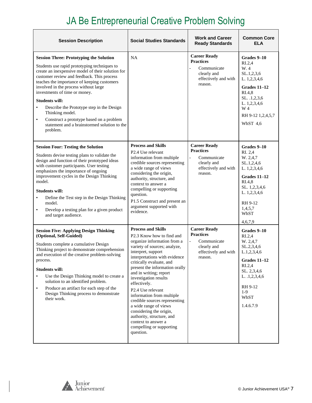# JA Be Entrepreneurial Creative Problem Solving

| <b>Session Description</b>                                                                                                                                                                                                                                                                                                                                                                                                                                                                                                               | <b>Social Studies Standards</b>                                                                                                                                                                                                                                                                                                                                                                                                                                                                                                                                                       | <b>Work and Career</b><br><b>Ready Standards</b>                                                                           | <b>Common Core</b><br>ELA                                                                                                                                                 |
|------------------------------------------------------------------------------------------------------------------------------------------------------------------------------------------------------------------------------------------------------------------------------------------------------------------------------------------------------------------------------------------------------------------------------------------------------------------------------------------------------------------------------------------|---------------------------------------------------------------------------------------------------------------------------------------------------------------------------------------------------------------------------------------------------------------------------------------------------------------------------------------------------------------------------------------------------------------------------------------------------------------------------------------------------------------------------------------------------------------------------------------|----------------------------------------------------------------------------------------------------------------------------|---------------------------------------------------------------------------------------------------------------------------------------------------------------------------|
| <b>Session Three: Prototyping the Solution</b><br>Students use rapid prototyping techniques to<br>create an inexpensive model of their solution for<br>customer review and feedback. This process<br>teaches the importance of keeping customers<br>involved in the process without large<br>investments of time or money.<br><b>Students will:</b><br>Describe the Prototype step in the Design<br>Thinking model.<br>Construct a prototype based on a problem<br>$\bullet$<br>statement and a brainstormed solution to the<br>problem. | NA                                                                                                                                                                                                                                                                                                                                                                                                                                                                                                                                                                                    | <b>Career Ready</b><br><b>Practices</b><br>Communicate<br>clearly and<br>effectively and with<br>reason.                   | Grades 9-10<br>R <sub>L.2,4</sub><br>W. 4<br>SL.1,2,3,6<br>L. 1,2,3,4,6<br>Grades 11-12<br>RI.4,8<br>SL. .1,2,3,6<br>L. 1,2,3,4,6<br>W 4<br>RH 9-12 1,2,4,5,7<br>WhST 4.6 |
| <b>Session Four: Testing the Solution</b><br>Students devise testing plans to validate the<br>design and function of their prototyped ideas<br>with customer participants. User testing<br>emphasizes the importance of ongoing<br>improvement cycles in the Design Thinking<br>model.<br><b>Students will:</b><br>Define the Test step in the Design Thinking<br>٠<br>model.<br>Develop a testing plan for a given product<br>$\bullet$<br>and target audience.                                                                         | <b>Process and Skills</b><br>P <sub>2.4</sub> Use relevant<br>information from multiple<br>credible sources representing<br>a wide range of views<br>considering the origin,<br>authority, structure, and<br>context to answer a<br>compelling or supporting<br>question.<br>P1.5 Construct and present an<br>argument supported with<br>evidence.                                                                                                                                                                                                                                    | <b>Career Ready</b><br><b>Practices</b><br>Communicate<br>$\overline{a}$<br>clearly and<br>effectively and with<br>reason. | Grades 9-10<br>RI. 2,4<br>W. 2,4,7<br>SL.1, 2, 4, 6<br>L. 1,2,3,4,6<br>Grades 11-12<br>RI.4,8<br>SL. 1,2,3,4,6<br>L. 1,2,3,4,6<br>RH 9-12<br>1,4,5,7<br>WhST<br>4,6,7,9   |
| <b>Session Five: Applying Design Thinking</b><br>(Optional, Self-Guided)<br>Students complete a cumulative Design<br>Thinking project to demonstrate comprehension<br>and execution of the creative problem-solving<br>process.<br><b>Students will:</b><br>Use the Design Thinking model to create a<br>solution to an identified problem.<br>Produce an artifact for each step of the<br>$\bullet$<br>Design Thinking process to demonstrate<br>their work.                                                                            | <b>Process and Skills</b><br>P <sub>2.3</sub> Know how to find and<br>organize information from a<br>variety of sources; analyze,<br>interpret, support<br>interpretations with evidence<br>critically evaluate, and<br>present the information orally<br>and in writing; report<br>investigation results<br>effectively.<br>P <sub>2.4</sub> U <sub>se</sub> relevant<br>information from multiple<br>credible sources representing<br>a wide range of views<br>considering the origin,<br>authority, structure, and<br>context to answer a<br>compelling or supporting<br>question. | <b>Career Ready</b><br><b>Practices</b><br>Communicate<br>$\blacksquare$<br>clearly and<br>effectively and with<br>reason. | Grades 9-10<br>RI.2,4<br>W. 2,4,7<br>SL.2,3,4,6<br>L.1, 2, 3, 4, 6<br>Grades 11–12<br>RI.2,4<br>SL. 2,3,4,6<br>L. $.1,2,3,4,6$<br>RH 9-12<br>$1-9$<br>WhST<br>1.4.6.7.9   |

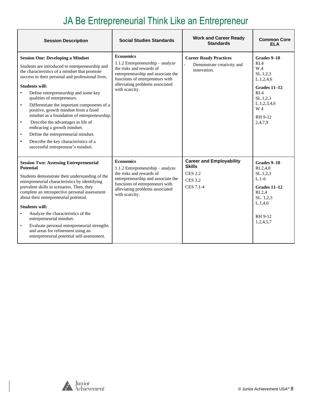# JA Be Entrepreneurial Think Like an Entrepreneur

| <b>Session Description</b>                                                                                                                                                                                                                                                                                                                                                                                                                                                                                                                                                                                                                                                                            | <b>Social Studies Standards</b>                                                                                                                                                                                  | <b>Work and Career Ready</b><br><b>Standards</b>                                                  | <b>Common Core</b><br>FI A                                                                                                                |
|-------------------------------------------------------------------------------------------------------------------------------------------------------------------------------------------------------------------------------------------------------------------------------------------------------------------------------------------------------------------------------------------------------------------------------------------------------------------------------------------------------------------------------------------------------------------------------------------------------------------------------------------------------------------------------------------------------|------------------------------------------------------------------------------------------------------------------------------------------------------------------------------------------------------------------|---------------------------------------------------------------------------------------------------|-------------------------------------------------------------------------------------------------------------------------------------------|
| <b>Session One: Developing a Mindset</b><br>Students are introduced to entrepreneurship and<br>the characteristics of a mindset that promote<br>success in their personal and professional lives.<br><b>Students will:</b><br>Define entrepreneurship and some key<br>$\bullet$<br>qualities of entrepreneurs.<br>Differentiate the important components of a<br>$\bullet$<br>positive, growth mindset from a fixed<br>mindset as a foundation of entrepreneurship.<br>Describe the advantages in life of<br>$\bullet$<br>embracing a growth mindset.<br>Define the entrepreneurial mindset.<br>$\bullet$<br>Describe the key characteristics of a<br>$\bullet$<br>successful entrepreneur's mindset. | <b>Economics</b><br>$1.1.2$ Entrepreneurship – analyze<br>the risks and rewards of<br>entrepreneurship and associate the<br>functions of entrepreneurs with<br>alleviating problems associated<br>with scarcity. | <b>Career Ready Practices</b><br>Demonstrate creativity and<br>innovation.                        | Grades 9-10<br>RIA<br>W.4<br>SL.1, 2, 3<br>L.1,2,4,6<br>Grades 11-12<br>RI.4<br>SL.1,2,3<br>L.1, 2, 3, 4, 6<br>W 4<br>RH 9-12<br>2,4,7,9  |
| <b>Session Two: Assessing Entrepreneurial</b><br><b>Potential</b><br>Students demonstrate their understanding of the<br>entrepreneurial characteristics by identifying<br>prevalent skills in scenarios. Then, they<br>complete an introspective personal assessment<br>about their entrepreneurial potential.<br><b>Students will:</b><br>Analyze the characteristics of the<br>$\bullet$<br>entrepreneurial mindset.<br>Evaluate personal entrepreneurial strengths<br>$\bullet$<br>and areas for refinement using an<br>entrepreneurial potential self-assessment.                                                                                                                                 | <b>Economics</b><br>$1.1.2$ Entrepreneurship – analyze<br>the risks and rewards of<br>entrepreneurship and associate the<br>functions of entrepreneurs with<br>alleviating problems associated<br>with scarcity. | <b>Career and Employability</b><br><b>Skills</b><br><b>CES 2.2</b><br><b>CES 3.2</b><br>CES 7.1-4 | Grades 9-10<br>$R_{1.2,4.8}$<br>SL.1.2.3<br>$L.1-6$<br>Grades 11-12<br>R <sub>L.2,4</sub><br>SL. 1,2,3<br>L.1,4,6<br>RH 9-12<br>1,2,4,5,7 |

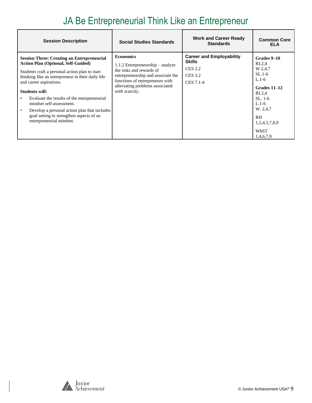# JA Be Entrepreneurial Think Like an Entrepreneur

| <b>Session Description</b>                                                                                                                                                                                                                                                                                                                                                                                                                                                       | <b>Social Studies Standards</b>                                                                                                                                                                                  | <b>Work and Career Ready</b><br><b>Standards</b>                                                  | <b>Common Core</b><br>ELA                                                                                                                                                                       |
|----------------------------------------------------------------------------------------------------------------------------------------------------------------------------------------------------------------------------------------------------------------------------------------------------------------------------------------------------------------------------------------------------------------------------------------------------------------------------------|------------------------------------------------------------------------------------------------------------------------------------------------------------------------------------------------------------------|---------------------------------------------------------------------------------------------------|-------------------------------------------------------------------------------------------------------------------------------------------------------------------------------------------------|
| <b>Session Three: Creating an Entrepreneurial</b><br><b>Action Plan (Optional, Self-Guided)</b><br>Students craft a personal action plan to start<br>thinking like an entrepreneur in their daily life<br>and career aspirations.<br>Students will:<br>Evaluate the results of the entrepreneurial<br>$\bullet$<br>mindset self-assessment.<br>Develop a personal action plan that includes<br>$\bullet$<br>goal setting to strengthen aspects of an<br>entrepreneurial mindset. | <b>Economics</b><br>$1.1.2$ Entrepreneurship – analyze<br>the risks and rewards of<br>entrepreneurship and associate the<br>functions of entrepreneurs with<br>alleviating problems associated<br>with scarcity. | <b>Career and Employability</b><br><b>Skills</b><br><b>CES 2.2</b><br><b>CES 3.2</b><br>CES 7.1-4 | Grades 9–10<br>R <sub>L.2,4</sub><br>W.2,4,7<br>$SL.1-6$<br>$L.1-6$<br>Grades 11–12<br>R <sub>L.2.4</sub><br>$SL.1-6$<br>$L.1-6$<br>W. 2,4,7<br><b>RH</b><br>1,2,4,5,7,8,9<br>WhST<br>1,4,6,7,9 |

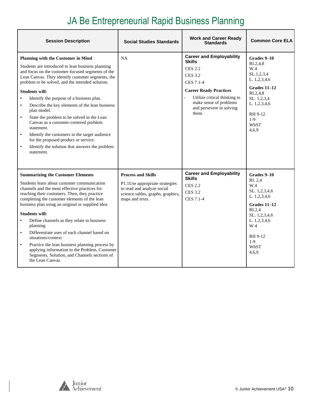# JA Be Entrepreneurial Rapid Business Planning

| <b>Session Description</b>                                                                                                                                                                                                                                                                                                                                                                                                                                                                                                                                                                                                                                                                                                        | <b>Social Studies Standards</b>                                                                                                                   | <b>Work and Career Ready</b><br><b>Standards</b>                                                                                                                                                                                  | <b>Common Core ELA</b>                                                                                                                                                                   |
|-----------------------------------------------------------------------------------------------------------------------------------------------------------------------------------------------------------------------------------------------------------------------------------------------------------------------------------------------------------------------------------------------------------------------------------------------------------------------------------------------------------------------------------------------------------------------------------------------------------------------------------------------------------------------------------------------------------------------------------|---------------------------------------------------------------------------------------------------------------------------------------------------|-----------------------------------------------------------------------------------------------------------------------------------------------------------------------------------------------------------------------------------|------------------------------------------------------------------------------------------------------------------------------------------------------------------------------------------|
| <b>Planning with the Customer in Mind</b><br>Students are introduced to lean business planning<br>and focus on the customer-focused segments of the<br>Lean Canvas. They identify customer segments, the<br>problem to be solved, and the intended solution.<br><b>Students will:</b><br>Identify the purpose of a business plan.<br>$\bullet$<br>Describe the key elements of the lean business<br>$\bullet$<br>plan model.<br>State the problem to be solved in the Lean<br>$\bullet$<br>Canvas as a customer-centered problem<br>statement.<br>$\bullet$<br>Identify the customers in the target audience<br>for the proposed product or service.<br>$\bullet$<br>Identify the solution that answers the problem<br>statement. | <b>NA</b>                                                                                                                                         | <b>Career and Employability</b><br><b>Skills</b><br><b>CES 2.2</b><br><b>CES 3.2</b><br>CES 7.1-4<br><b>Career Ready Practices</b><br>Utilize critical thinking to<br>make sense of problems<br>and persevere in solving<br>them. | Grades 9-10<br>RI.2,4,8<br>W.4<br>SL.1, 2, 3, 4<br>L. 1,2,3,4,6<br>Grades $11-12$<br>$R_{1.2,4,8}$<br>SL. 1,2,3,4<br>L. 1,2,3,4,6<br>RH 9-12<br>$1-9$<br>WhST<br>4.6.9                   |
| <b>Summarizing the Customer Elements</b><br>Students learn about customer communication<br>channels and the most effective practices for<br>reaching their customers. Then, they practice<br>completing the customer elements of the lean<br>business plan using an original or supplied idea.<br><b>Students will:</b><br>Define channels as they relate to business<br>planning<br>Differentiate uses of each channel based on<br>$\bullet$<br>situations/context<br>$\bullet$<br>Practice the lean business planning process by<br>applying information to the Problem, Customer<br>Segments, Solution, and Channels sections of<br>the Lean Canvas.                                                                           | <b>Process and Skills</b><br>P1.1Use appropriate strategies<br>to read and analyze social<br>science tables, graphs, graphics,<br>maps and texts. | <b>Career and Employability</b><br><b>Skills</b><br><b>CES 2.2</b><br><b>CES 3.2</b><br>CES 7.1-4                                                                                                                                 | Grades 9-10<br>RI. 2.4<br>W.4<br>SL. 1,2,3,4,6<br>L. 1,2,3,4,6<br><b>Grades 11-12</b><br>R <sub>L.2,4</sub><br>SL. 1,2,3,4,6<br>L. 1,2,3,4,6<br>W 4<br>RH 9-12<br>$1-9$<br>WhST<br>4.6.9 |

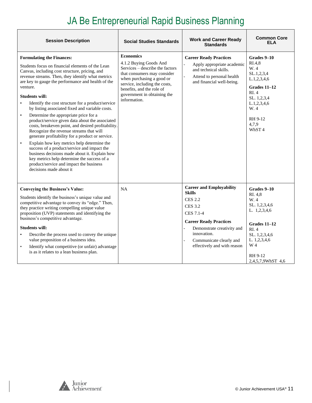# JA Be Entrepreneurial Rapid Business Planning

| <b>Session Description</b>                                                                                                                                                                                                                                                                                                                                                                                                                                                                                                                                                                                                                                                                                                                                                                                                                                                                                                                    | <b>Social Studies Standards</b>                                                                                                                                                                                                                        | <b>Work and Career Ready</b><br><b>Standards</b>                                                                                                                                                                                          | <b>Common Core</b><br>ELA                                                                                                                                                   |
|-----------------------------------------------------------------------------------------------------------------------------------------------------------------------------------------------------------------------------------------------------------------------------------------------------------------------------------------------------------------------------------------------------------------------------------------------------------------------------------------------------------------------------------------------------------------------------------------------------------------------------------------------------------------------------------------------------------------------------------------------------------------------------------------------------------------------------------------------------------------------------------------------------------------------------------------------|--------------------------------------------------------------------------------------------------------------------------------------------------------------------------------------------------------------------------------------------------------|-------------------------------------------------------------------------------------------------------------------------------------------------------------------------------------------------------------------------------------------|-----------------------------------------------------------------------------------------------------------------------------------------------------------------------------|
| <b>Formulating the Finances:</b><br>Students focus on financial elements of the Lean<br>Canvas, including cost structure, pricing, and<br>revenue streams. Then, they identify what metrics<br>are key to gauge the performance and health of the<br>venture.<br><b>Students will:</b><br>Identify the cost structure for a product/service<br>by listing associated fixed and variable costs.<br>Determine the appropriate price for a<br>$\bullet$<br>product/service given data about the associated<br>costs, breakeven point, and desired profitability.<br>Recognize the revenue streams that will<br>generate profitability for a product or service.<br>Explain how key metrics help determine the<br>$\bullet$<br>success of a product/service and impact the<br>business decisions made about it. Explain how<br>key metrics help determine the success of a<br>product/service and impact the business<br>decisions made about it. | <b>Economics</b><br>4.1.2 Buying Goods And<br>Services - describe the factors<br>that consumers may consider<br>when purchasing a good or<br>service, including the costs,<br>benefits, and the role of<br>government in obtaining the<br>information. | <b>Career Ready Practices</b><br>Apply appropriate academic<br>and technical skills.<br>Attend to personal health<br>and financial well-being.                                                                                            | Grades 9-10<br>RI.4.8<br>W. 4<br>SL.1,2,3,4<br>L.1, 2, 3, 4, 6<br>Grades $11-12$<br>RI.4<br>SL. 1,2,3,4<br>L.1, 2, 3, 4, 6<br>W. 4<br>RH 9-12<br>4,7,9<br>WhST <sub>4</sub> |
| <b>Conveying the Business's Value:</b><br>Students identify the business's unique value and<br>competitive advantage to convey its "edge." Then,<br>they practice writing compelling unique value<br>proposition (UVP) statements and identifying the<br>business's competitive advantage.<br><b>Students will:</b><br>Describe the process used to convey the unique<br>value proposition of a business idea.<br>Identify what competitive (or unfair) advantage<br>$\bullet$<br>is as it relates to a lean business plan.                                                                                                                                                                                                                                                                                                                                                                                                                   | <b>NA</b>                                                                                                                                                                                                                                              | <b>Career and Employability</b><br><b>Skills</b><br><b>CES 2.2</b><br><b>CES 3.2</b><br>CES 7.1-4<br><b>Career Ready Practices</b><br>Demonstrate creativity and<br>innovation.<br>Communicate clearly and<br>effectively and with reason | Grades 9-10<br>RI. 4,8<br>W. 4<br>SL. 1,2,3,4,6<br>L. 1,2,3,4,6<br>Grades $11-12$<br>RI.4<br>SL. 1,2,3,4,6<br>L. 1,2,3,4,6<br>W 4<br>RH 9-12<br>2,4,5,7,9WhST 4,6           |

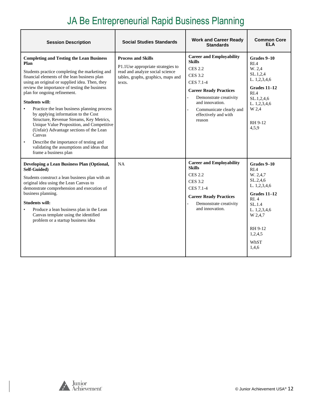# JA Be Entrepreneurial Rapid Business Planning

| <b>Session Description</b>                                                                                                                                                                                                                                                                                                                                                                                                                                                                                                                                                                                                                                                             | <b>Social Studies Standards</b>                                                                                                                   | <b>Work and Career Ready</b><br><b>Standards</b>                                                                                                                                                                                             | <b>Common Core</b><br><b>ELA</b>                                                                                                                               |
|----------------------------------------------------------------------------------------------------------------------------------------------------------------------------------------------------------------------------------------------------------------------------------------------------------------------------------------------------------------------------------------------------------------------------------------------------------------------------------------------------------------------------------------------------------------------------------------------------------------------------------------------------------------------------------------|---------------------------------------------------------------------------------------------------------------------------------------------------|----------------------------------------------------------------------------------------------------------------------------------------------------------------------------------------------------------------------------------------------|----------------------------------------------------------------------------------------------------------------------------------------------------------------|
| <b>Completing and Testing the Lean Business</b><br>Plan<br>Students practice completing the marketing and<br>financial elements of the lean business plan<br>using an original or supplied idea. Then, they<br>review the importance of testing the business<br>plan for ongoing refinement.<br><b>Students will:</b><br>Practice the lean business planning process<br>by applying information to the Cost<br>Structure, Revenue Streams, Key Metrics,<br>Unique Value Proposition, and Competitive<br>(Unfair) Advantage sections of the Lean<br>Canvas<br>Describe the importance of testing and<br>$\bullet$<br>validating the assumptions and ideas that<br>frame a business plan | <b>Process and Skills</b><br>P1.1Use appropriate strategies to<br>read and analyze social science<br>tables, graphs, graphics, maps and<br>texts. | <b>Career and Employability</b><br><b>Skills</b><br><b>CES 2.2</b><br><b>CES 3.2</b><br>CES 7.1-4<br><b>Career Ready Practices</b><br>Demonstrate creativity<br>and innovation.<br>Communicate clearly and<br>effectively and with<br>reason | Grades 9-10<br>RI.4<br>W. 2,4<br>SL.1,2,4<br>L. 1,2,3,4,6<br>Grades 11-12<br>RI.4<br>SL.1, 2, 4, 6<br>L. 1,2,3,4,6<br>W 2,4<br>RH 9-12<br>4,5,9                |
| Developing a Lean Business Plan (Optional,<br>Self-Guided)<br>Students construct a lean business plan with an<br>original idea using the Lean Canvas to<br>demonstrate comprehension and execution of<br>business planning.<br><b>Students will:</b><br>Produce a lean business plan in the Lean<br>Canvas template using the identified<br>problem or a startup business idea                                                                                                                                                                                                                                                                                                         | <b>NA</b>                                                                                                                                         | <b>Career and Employability</b><br><b>Skills</b><br><b>CES 2.2</b><br><b>CES 3.2</b><br>CES 7.1-4<br><b>Career Ready Practices</b><br>Demonstrate creativity<br>and innovation.                                                              | Grades 9-10<br>RIA<br>W. 2,4,7<br>SL.2,4,6<br>L. 1,2,3,4,6<br>Grades 11-12<br>RI.4<br>SL.1.4<br>L. 1,2,3,4,6<br>W 2,4,7<br>RH 9-12<br>1,2,4,5<br>WhST<br>1,4,6 |

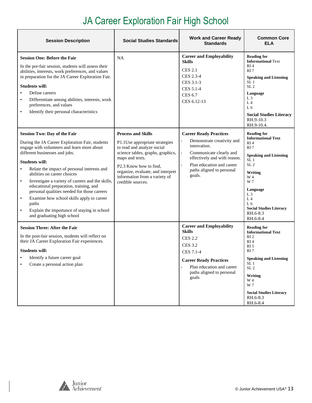# JA Career Exploration Fair High School

<span id="page-12-0"></span>

| <b>Session Description</b>                                                                                                                                                                                                                                                                                                                                                                                                                                                                                                                                                                            | <b>Social Studies Standards</b>                                                                                                                                                                                                                                        | <b>Work and Career Ready</b><br><b>Standards</b>                                                                                                                                                                               | <b>Common Core</b><br>ELA                                                                                                                                                                                                                                                                                         |
|-------------------------------------------------------------------------------------------------------------------------------------------------------------------------------------------------------------------------------------------------------------------------------------------------------------------------------------------------------------------------------------------------------------------------------------------------------------------------------------------------------------------------------------------------------------------------------------------------------|------------------------------------------------------------------------------------------------------------------------------------------------------------------------------------------------------------------------------------------------------------------------|--------------------------------------------------------------------------------------------------------------------------------------------------------------------------------------------------------------------------------|-------------------------------------------------------------------------------------------------------------------------------------------------------------------------------------------------------------------------------------------------------------------------------------------------------------------|
| <b>Session One: Before the Fair</b><br>In the pre-fair session, students will assess their<br>abilities, interests, work preferences, and values<br>in preparation for the JA Career Exploration Fair.<br><b>Students will:</b><br>Define careers<br>$\bullet$<br>Differentiate among abilities, interests, work<br>$\bullet$<br>preferences, and values<br>Identify their personal characteristics<br>$\bullet$                                                                                                                                                                                      | <b>NA</b>                                                                                                                                                                                                                                                              | <b>Career and Employability</b><br><b>Skills</b><br><b>CES 2.1</b><br>CES 2.3-4<br>CES 3.1-3<br>CES 5.1-4<br><b>CES 6.7</b><br>CES 6.12-13                                                                                     | <b>Reading for</b><br><b>Informational Text</b><br>RI <sub>4</sub><br>RI <sub>7</sub><br><b>Speaking and Listening</b><br>SL <sub>1</sub><br>SL <sub>2</sub><br>Language<br>L <sub>3</sub><br>L <sub>4</sub><br>L <sub>6</sub><br><b>Social Studies Literacy</b><br>RH.9-10.3<br>RH.9-10.4.                       |
| <b>Session Two: Day of the Fair</b><br>During the JA Career Exploration Fair, students<br>engage with volunteers and learn more about<br>different businesses and jobs.<br><b>Students will:</b><br>Relate the impact of personal interests and<br>abilities on career choices<br>Investigate a variety of careers and the skills,<br>$\bullet$<br>educational preparation, training, and<br>personal qualities needed for those careers<br>Examine how school skills apply to career<br>$\bullet$<br>paths<br>Explain the importance of staying in school<br>$\bullet$<br>and graduating high school | <b>Process and Skills</b><br>P1.1Use appropriate strategies<br>to read and analyze social<br>science tables, graphs, graphics,<br>maps and texts.<br>P2.3 Know how to find,<br>organize, evaluate, and interpret<br>information from a variety of<br>credible sources. | <b>Career Ready Practices</b><br>Demonstrate creativity and<br>innovation.<br>Communicate clearly and<br>$\qquad \qquad -$<br>effectively and with reason.<br>Plan education and career<br>paths aligned to personal<br>goals. | <b>Reading for</b><br><b>Informational Text</b><br>RI <sub>4</sub><br>RI <sub>7</sub><br><b>Speaking and Listening</b><br>SL <sub>1</sub><br>SL <sub>2</sub><br>Writing<br>W 4<br>W 7<br>Language<br>L <sub>3</sub><br>L <sub>4</sub><br>L <sub>6</sub><br><b>Social Studies Literacy</b><br>RH.6-8.3<br>RH.6-8.4 |
| <b>Session Three: After the Fair</b><br>In the post-fair session, students will reflect on<br>their JA Career Exploration Fair experiences.<br><b>Students will:</b><br>Identify a future career goal<br>Create a personal action plan                                                                                                                                                                                                                                                                                                                                                                |                                                                                                                                                                                                                                                                        | <b>Career and Employability</b><br><b>Skills</b><br><b>CES 2.2</b><br><b>CES 3.2</b><br>CES 7.1-4<br><b>Career Ready Practices</b><br>Plan education and career<br>paths aligned to personal<br>goals                          | <b>Reading for</b><br><b>Informational Text</b><br>RI <sub>2</sub><br>RI <sub>4</sub><br>RI <sub>5</sub><br>RI7<br><b>Speaking and Listening</b><br>SL <sub>1</sub><br>SL <sub>2</sub><br>Writing<br>W 4<br>W 7<br><b>Social Studies Literacy</b><br>RH.6-8.3<br>RH.6-8.4                                         |

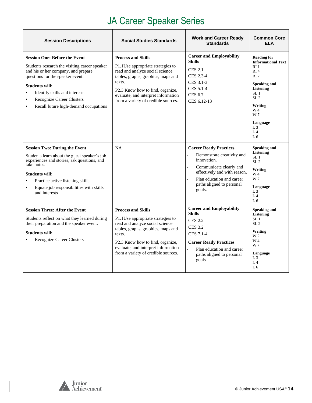# JA Career Speaker Series

| <b>Session Descriptions</b>                                                                                                                                                                                                                                                                                           | <b>Social Studies Standards</b>                                                                                                                                                                                                                                     | <b>Work and Career Ready</b><br><b>Standards</b>                                                                                                                                                          | <b>Common Core</b><br><b>ELA</b>                                                                                                                                                                                                                                   |
|-----------------------------------------------------------------------------------------------------------------------------------------------------------------------------------------------------------------------------------------------------------------------------------------------------------------------|---------------------------------------------------------------------------------------------------------------------------------------------------------------------------------------------------------------------------------------------------------------------|-----------------------------------------------------------------------------------------------------------------------------------------------------------------------------------------------------------|--------------------------------------------------------------------------------------------------------------------------------------------------------------------------------------------------------------------------------------------------------------------|
| <b>Session One: Before the Event</b><br>Students research the visiting career speaker<br>and his or her company, and prepare<br>questions for the speaker event.<br><b>Students will:</b><br>Identify skills and interests.<br><b>Recognize Career Clusters</b><br>Recall future high-demand occupations<br>$\bullet$ | <b>Process and Skills</b><br>P1.1Use appropriate strategies to<br>read and analyze social science<br>tables, graphs, graphics, maps and<br>texts.<br>P2.3 Know how to find, organize,<br>evaluate, and interpret information<br>from a variety of credible sources. | <b>Career and Employability</b><br><b>Skills</b><br><b>CES 2.1</b><br>CES 2.3-4<br>CES 3.1-3<br>CES 5.1-4<br><b>CES 6.7</b><br>CES 6.12-13                                                                | <b>Reading for</b><br><b>Informational Text</b><br>R <sub>I</sub> 1<br>RI4<br>RI <sub>7</sub><br><b>Speaking and</b><br>Listening<br>SL <sub>1</sub><br>SL <sub>2</sub><br>Writing<br>W 4<br>W 7<br>Language<br>L <sub>3</sub><br>L <sub>4</sub><br>L <sub>6</sub> |
| <b>Session Two: During the Event</b><br>Students learn about the guest speaker's job<br>experiences and stories, ask questions, and<br>take notes.<br><b>Students will:</b><br>Practice active listening skills.<br>Equate job responsibilities with skills<br>$\bullet$<br>and interests                             | <b>NA</b>                                                                                                                                                                                                                                                           | <b>Career Ready Practices</b><br>Demonstrate creativity and<br>innovation.<br>Communicate clearly and<br>effectively and with reason.<br>Plan education and career<br>paths aligned to personal<br>goals. | Speaking and<br>Listening<br>SL <sub>1</sub><br>SL <sub>2</sub><br>Writing<br>W 4<br>W 7<br>Language<br>L <sub>3</sub><br>L <sub>4</sub><br>L <sub>6</sub>                                                                                                         |
| <b>Session Three: After the Event</b><br>Students reflect on what they learned during<br>their preparation and the speaker event.<br><b>Students will:</b><br>Recognize Career Clusters                                                                                                                               | <b>Process and Skills</b><br>P1.1Use appropriate strategies to<br>read and analyze social science<br>tables, graphs, graphics, maps and<br>texts.<br>P2.3 Know how to find, organize,<br>evaluate, and interpret information<br>from a variety of credible sources. | <b>Career and Employability</b><br><b>Skills</b><br><b>CES 2.2</b><br><b>CES 3.2</b><br>CES 7.1-4<br><b>Career Ready Practices</b><br>Plan education and career<br>paths aligned to personal<br>goals     | <b>Speaking and</b><br>Listening<br>SL <sub>1</sub><br>SL <sub>2</sub><br>Writing<br>W <sub>2</sub><br>W 4<br>W 7<br>Language<br>$L_3$<br>L <sub>4</sub><br>L <sub>6</sub>                                                                                         |

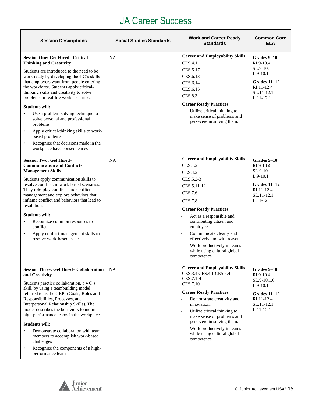#### JA Career Success

| <b>Session Descriptions</b>                                                                                                                                                                                                                                                                                                                                                                                                                                                                                                                                                                                                | <b>Social Studies Standards</b> | <b>Work and Career Ready</b><br><b>Standards</b>                                                                                                                                                                                                                                                                                                                                                                     | <b>Common Core</b><br>ELA                                                                                          |
|----------------------------------------------------------------------------------------------------------------------------------------------------------------------------------------------------------------------------------------------------------------------------------------------------------------------------------------------------------------------------------------------------------------------------------------------------------------------------------------------------------------------------------------------------------------------------------------------------------------------------|---------------------------------|----------------------------------------------------------------------------------------------------------------------------------------------------------------------------------------------------------------------------------------------------------------------------------------------------------------------------------------------------------------------------------------------------------------------|--------------------------------------------------------------------------------------------------------------------|
| <b>Session One: Get Hired– Critical</b><br><b>Thinking and Creativity</b><br>Students are introduced to the need to be<br>work ready by developing the 4 C's skills<br>that employers want from people entering<br>the workforce. Students apply critical-<br>thinking skills and creativity to solve<br>problems in real-life work scenarios.<br><b>Students will:</b><br>Use a problem-solving technique to<br>solve personal and professional<br>problems<br>Apply critical-thinking skills to work-<br>$\bullet$<br>based problems<br>Recognize that decisions made in the<br>$\bullet$<br>workplace have consequences | <b>NA</b>                       | <b>Career and Employability Skills</b><br><b>CES.4.1</b><br>CES.5.17<br>CES.6.13<br>CES.6.14<br>CES.6.15<br>CES.8.3<br><b>Career Ready Practices</b><br>Utilize critical thinking to<br>$\overline{a}$<br>make sense of problems and<br>persevere in solving them.                                                                                                                                                   | Grades 9–10<br>$RI.9-10.4$<br>SL.9-10.1<br>$L.9-10.1$<br>Grades $11-12$<br>RI.11-12.4<br>SL.11-12.1<br>$L.11-12.1$ |
| <b>Session Two: Get Hired-</b><br><b>Communication and Conflict-</b><br><b>Management Skills</b><br>Students apply communication skills to<br>resolve conflicts in work-based scenarios.<br>They role-play conflicts and conflict<br>management and explore behaviors that<br>inflame conflict and behaviors that lead to<br>resolution.<br><b>Students will:</b><br>Recognize common responses to<br>$\bullet$<br>conflict<br>Apply conflict-management skills to<br>$\bullet$<br>resolve work-based issues                                                                                                               | <b>NA</b>                       | <b>Career and Employability Skills</b><br><b>CES.1.2</b><br><b>CES.4.2</b><br>CES.5.2-3<br>CES.5.11-12<br>CES.7.6<br><b>CES.7.8</b><br><b>Career Ready Practices</b><br>Act as a responsible and<br>contributing citizen and<br>employee.<br>Communicate clearly and<br>$\overline{a}$<br>effectively and with reason.<br>Work productively in teams<br>$\overline{a}$<br>while using cultural global<br>competence. | Grades 9-10<br>RI.9-10.4<br>SL.9-10.1<br>$L.9-10.1$<br>Grades 11-12<br>RI.11-12.4<br>SL.11-12.1<br>$L.11-12.1$     |
| <b>Session Three: Get Hired– Collaboration</b><br>and Creativity<br>Students practice collaboration, a 4 C's<br>skill, by using a teambuilding model<br>referred to as the GRPI (Goals, Roles and<br>Responsibilities, Processes, and<br>Interpersonal Relationship Skills). The<br>model describes the behaviors found in<br>high-performance teams in the workplace.<br><b>Students will:</b><br>Demonstrate collaboration with team<br>members to accomplish work-based<br>challenges<br>Recognize the components of a high-<br>$\bullet$<br>performance team                                                           | <b>NA</b>                       | <b>Career and Employability Skills</b><br>CES.3.4 CES.4.1 CES.5.4<br>CES.7.1-4<br>CES.7.10<br><b>Career Ready Practices</b><br>Demonstrate creativity and<br>innovation.<br>Utilize critical thinking to<br>make sense of problems and<br>persevere in solving them.<br>Work productively in teams<br>$\overline{a}$<br>while using cultural global<br>competence.                                                   | Grades 9-10<br>RI.9-10.4<br>SL.9-10.1,6<br>$L.9-10.1$<br>Grades 11-12<br>RI.11-12.4<br>SL.11-12.1<br>$L.11-12.1$   |

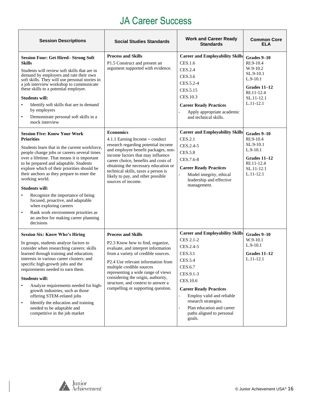#### JA Career Success

| <b>Session Descriptions</b>                                                                                                                                                                                                                                                                                                                                                                                                                                                                                                                                                                                         | <b>Social Studies Standards</b>                                                                                                                                                                                                                                                                                                                                        | <b>Work and Career Ready</b><br><b>Standards</b>                                                                                                                                                                                                                                            | <b>Common Core</b><br>ELA                                                                                                  |
|---------------------------------------------------------------------------------------------------------------------------------------------------------------------------------------------------------------------------------------------------------------------------------------------------------------------------------------------------------------------------------------------------------------------------------------------------------------------------------------------------------------------------------------------------------------------------------------------------------------------|------------------------------------------------------------------------------------------------------------------------------------------------------------------------------------------------------------------------------------------------------------------------------------------------------------------------------------------------------------------------|---------------------------------------------------------------------------------------------------------------------------------------------------------------------------------------------------------------------------------------------------------------------------------------------|----------------------------------------------------------------------------------------------------------------------------|
| <b>Session Four: Get Hired-Strong Soft</b><br><b>Skills</b><br>Students will review soft skills that are in<br>demand by employers and rate their own<br>soft skills. They will use personal stories in<br>a job interview workshop to communicate<br>these skills to a potential employer.<br><b>Students will:</b><br>Identify soft skills that are in demand<br>by employers<br>Demonstrate personal soft skills in a<br>$\bullet$<br>mock interview                                                                                                                                                             | <b>Process and Skills</b><br>P1.5 Construct and present an<br>argument supported with evidence.                                                                                                                                                                                                                                                                        | <b>Career and Employability Skills</b><br>CES.1.6<br>CES.2.4<br>CES.3.6<br>CES.5.2-4<br>CES.5.15<br>CES.10.3<br><b>Career Ready Practices</b><br>Apply appropriate academic<br>and technical skills.                                                                                        | Grades 9-10<br>RI.9-10.4<br>W.9-10.2<br>SL.9-10.1<br>$L.9-10.1$<br>Grades 11-12<br>RI.11-12.4<br>SL.11-12.1<br>$L.11-12.1$ |
| <b>Session Five: Know Your Work</b><br><b>Priorities</b><br>Students learn that in the current workforce,<br>people change jobs or careers several times<br>over a lifetime. That means it is important<br>to be prepared and adaptable. Students<br>explore which of their priorities should be<br>their anchors as they prepare to enter the<br>working world.<br><b>Students will:</b><br>Recognize the importance of being<br>$\bullet$<br>focused, proactive, and adaptable<br>when exploring careers<br>Rank work environment priorities as<br>$\bullet$<br>an anchor for making career planning<br>decisions | <b>Economics</b><br>4.1.1 Earning Income – conduct<br>research regarding potential income<br>and employee benefit packages, non-<br>income factors that may influence<br>career choice, benefits and costs of<br>obtaining the necessary education or<br>technical skills, taxes a person is<br>likely to pay, and other possible<br>sources of income.                | <b>Career and Employability Skills</b><br><b>CES.2.1</b><br>CES.2.4-5<br><b>CES.5.8</b><br>CES.7.6-8<br><b>Career Ready Practices</b><br>Model integrity, ethical<br>leadership and effective<br>management.                                                                                | Grades 9-10<br>RI.9-10.4<br>SL.9-10.1<br>$L.9-10.1$<br>Grades 11-12<br>RI.11-12.4<br>SL.11-12.1<br>$L.11-12.1$             |
| <b>Session Six: Know Who's Hiring</b><br>In groups, students analyze factors to<br>consider when researching careers: skills<br>learned through training and education;<br>interests in various career clusters: and<br>specific high-growth jobs and the<br>requirements needed to earn them.<br><b>Students will:</b><br>Analyze requirements needed for high-<br>growth industries, such as those<br>offering STEM-related jobs<br>Identify the education and training<br>$\bullet$<br>needed to be adaptable and<br>competitive in the job market                                                               | <b>Process and Skills</b><br>P2.3 Know how to find, organize,<br>evaluate, and interpret information<br>from a variety of credible sources.<br>P2.4 Use relevant information from<br>multiple credible sources<br>representing a wide range of views<br>considering the origin, authority,<br>structure, and context to answer a<br>compelling or supporting question. | <b>Career and Employability Skills</b><br>CES 2.1-2<br>CES.2.4-5<br><b>CES.3.1</b><br>CES.5.4<br>CES.6.7<br>CES.9.1-3<br>CES.10.6<br><b>Career Ready Practices</b><br>Employ valid and reliable<br>research strategies.<br>Plan education and career<br>paths aligned to personal<br>goals. | Grades 9-10<br>$W.9-10.1$<br>$L.9-10.1$<br>Grades 11–12<br>$L.11-12.1$                                                     |

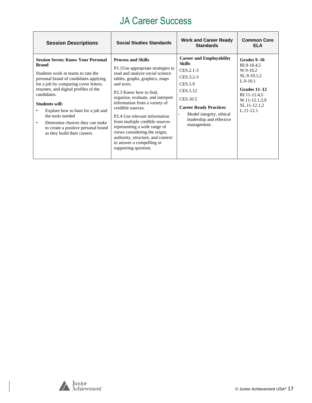#### JA Career Success

| <b>Session Descriptions</b>                                                                                                                                                                                                                                                                                                                                                                                                                     | <b>Social Studies Standards</b>                                                                                                                                                                                                                                                                                                                                                                                                                                                                                                           | <b>Work and Career Ready</b><br><b>Standards</b>                                                                                                                                                                                                  | <b>Common Core</b><br>ELA                                                                                                                               |
|-------------------------------------------------------------------------------------------------------------------------------------------------------------------------------------------------------------------------------------------------------------------------------------------------------------------------------------------------------------------------------------------------------------------------------------------------|-------------------------------------------------------------------------------------------------------------------------------------------------------------------------------------------------------------------------------------------------------------------------------------------------------------------------------------------------------------------------------------------------------------------------------------------------------------------------------------------------------------------------------------------|---------------------------------------------------------------------------------------------------------------------------------------------------------------------------------------------------------------------------------------------------|---------------------------------------------------------------------------------------------------------------------------------------------------------|
| <b>Session Seven: Know Your Personal</b><br><b>Brand</b><br>Students work in teams to rate the<br>personal brand of candidates applying<br>for a job by comparing cover letters,<br>resumes, and digital profiles of the<br>candidates.<br><b>Students will:</b><br>Explore how to hunt for a job and<br>the tools needed<br>Determine choices they can make<br>$\bullet$<br>to create a positive personal brand<br>as they build their careers | <b>Process and Skills</b><br>P1.1 Use appropriate strategies to<br>read and analyze social science<br>tables, graphs, graphics, maps<br>and texts.<br>P <sub>2.3</sub> Know how to find.<br>organize, evaluate, and interpret<br>information from a variety of<br>credible sources.<br>P <sub>2.4</sub> U <sub>se</sub> relevant information<br>from multiple credible sources<br>representing a wide range of<br>views considering the origin,<br>authority, structure, and context<br>to answer a compelling or<br>supporting question. | <b>Career and Employability</b><br><b>Skills</b><br>CES.2.1-3<br>CES.3.2-3<br>CES.5.9<br>CES.5.12<br>CES.10.5<br><b>Career Ready Practices</b><br>Model integrity, ethical<br>$\overline{\phantom{a}}$<br>leadership and effective<br>management. | Grades 9-10<br>RI.9-10.4,5<br>$W.9-10.2$<br>$SL.9-10.1,2$<br>$L.9-10.1$<br>Grades 11–12<br>RI.11-12.4,5<br>W.11-12.1.3.9<br>SL.11-12.1,2<br>$L.11-12.1$ |

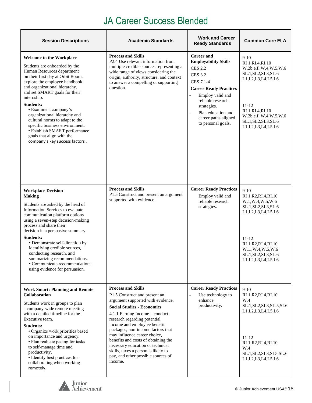#### JA Career Success Blended

| <b>Session Descriptions</b>                                                                                                                                                                                                                                                                                                                                                                                                                                                                            | <b>Academic Standards</b>                                                                                                                                                                                                                                                                                                                                                                                                                                                      | <b>Work and Career</b><br><b>Ready Standards</b>                                                                                                                                                                                                               | <b>Common Core ELA</b>                                                                                                                                                                                            |
|--------------------------------------------------------------------------------------------------------------------------------------------------------------------------------------------------------------------------------------------------------------------------------------------------------------------------------------------------------------------------------------------------------------------------------------------------------------------------------------------------------|--------------------------------------------------------------------------------------------------------------------------------------------------------------------------------------------------------------------------------------------------------------------------------------------------------------------------------------------------------------------------------------------------------------------------------------------------------------------------------|----------------------------------------------------------------------------------------------------------------------------------------------------------------------------------------------------------------------------------------------------------------|-------------------------------------------------------------------------------------------------------------------------------------------------------------------------------------------------------------------|
| <b>Welcome to the Workplace</b><br>Students are onboarded by the<br>Human Resources department<br>on their first day at Orbit Boom,<br>explore the employee handbook<br>and organizational hierarchy,<br>and set SMART goals for their<br>internship.<br><b>Students:</b><br>• Examine a company's<br>organizational hierarchy and<br>cultural norms to adapt to the<br>specific business environment.<br>· Establish SMART performance<br>goals that align with the<br>company's key success factors. | <b>Process and Skills</b><br>P2.4 Use relevant information from<br>multiple credible sources representing a<br>wide range of views considering the<br>origin, authority, structure, and context<br>to answer a compelling or supporting<br>question.                                                                                                                                                                                                                           | <b>Career and</b><br><b>Employability Skills</b><br><b>CES 2.2</b><br><b>CES 3.2</b><br>CES 7.1-4<br><b>Career Ready Practices</b><br>Employ valid and<br>reliable research<br>strategies.<br>Plan education and<br>career paths aligned<br>to personal goals. | $9-10$<br>RI 1.RI.4,RI.10<br>W.2b.e.f., W.4, W.5, W.6<br>SL.1, SL2, SL3, SL.6<br>L1, L2, L3, L4, L5, L6<br>11-12<br>RI 1.RI.4,RI.10<br>W.2b.e.f., W.4, W.5, W.6<br>SL.1, SL2, SL3, SL.6<br>L1, L2, L3, L4, L5, L6 |
| <b>Workplace Decision</b><br><b>Making</b><br>Students are asked by the head of<br>Information Services to evaluate<br>communication platform options<br>using a seven-step decision-making<br>process and share their<br>decision in a persuasive summary.<br><b>Students:</b><br>• Demonstrate self-direction by<br>identifying credible sources,<br>conducting research, and<br>summarizing recommendations.<br>• Communicate recommendations<br>using evidence for persuasion.                     | <b>Process and Skills</b><br>P1.5 Construct and present an argument<br>supported with evidence.                                                                                                                                                                                                                                                                                                                                                                                | <b>Career Ready Practices</b><br>Employ valid and<br>reliable research<br>strategies.                                                                                                                                                                          | $9-10$<br>RI 1.R2, RI.4, RI.10<br>W.1, W.4, W.5, W.6<br>SL.1, SL2, SL3, SL.6<br>L1, L2, L3, L4, L5, L6<br>11-12<br>RI 1.R2, RI.4, RI.10<br>W.1., W.4, W.5, W.6<br>SL.1, SL2, SL3, SL.6<br>L1, L2, L3, L4, L5, L6  |
| <b>Work Smart: Planning and Remote</b><br><b>Collaboration</b><br>Students work in groups to plan<br>a company-wide remote meeting<br>with a detailed timeline for the<br>Executive team.<br><b>Students:</b><br>· Organize work priorities based<br>on importance and urgency.<br>• Plan realistic pacing for tasks<br>to self-manage time and<br>productivity.<br>· Identify best practices for<br>collaborating when working<br>remotely.                                                           | <b>Process and Skills</b><br>P1.5 Construct and present an<br>argument supported with evidence.<br><b>Social Studies - Economics</b><br>4.1.1 Earning Income - conduct<br>research regarding potential<br>income and employ ee benefit<br>packages, non-income factors that<br>may influence career choice,<br>benefits and costs of obtaining the<br>necessary education or technical<br>skills, taxes a person is likely to<br>pay, and other possible sources of<br>income. | <b>Career Ready Practices</b><br>Use technology to<br>enhance<br>productivity.                                                                                                                                                                                 | $9-10$<br>RI 1.R2, RI.4, RI.10<br>W.4<br>SL.1, SL2, SL3, SL.5, SL6<br>L1, L2, L3, L4, L5, L6<br>11-12<br>RI 1.R2, RI.4, RI.10<br>W.4<br>SL.1, SL2, SL3, SL5, SL.6<br>L1, L2, L3, L4, L5, L6                       |

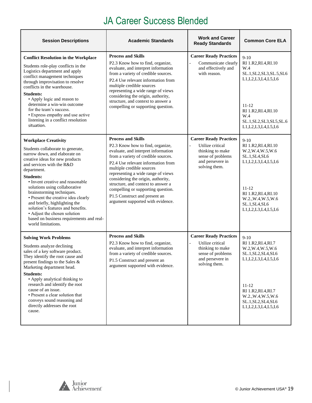#### JA Career Success Blended

| <b>Session Descriptions</b>                                                                                                                                                                                                                                                                                                                                                                                                                                                                                           | <b>Academic Standards</b>                                                                                                                                                                                                                                                                                                                                                                                                                    | <b>Work and Career</b><br><b>Ready Standards</b>                                                                                | <b>Common Core ELA</b>                                                                                                                                                                                           |
|-----------------------------------------------------------------------------------------------------------------------------------------------------------------------------------------------------------------------------------------------------------------------------------------------------------------------------------------------------------------------------------------------------------------------------------------------------------------------------------------------------------------------|----------------------------------------------------------------------------------------------------------------------------------------------------------------------------------------------------------------------------------------------------------------------------------------------------------------------------------------------------------------------------------------------------------------------------------------------|---------------------------------------------------------------------------------------------------------------------------------|------------------------------------------------------------------------------------------------------------------------------------------------------------------------------------------------------------------|
| <b>Conflict Resolution in the Workplace</b><br>Students role-play conflicts in the<br>Logistics department and apply<br>conflict management techniques<br>through improvisation to resolve<br>conflicts in the warehouse.<br><b>Students:</b><br>• Apply logic and reason to<br>determine a win-win outcome<br>for the team's success.<br>• Express empathy and use active<br>listening in a conflict resolution<br>situation.                                                                                        | <b>Process and Skills</b><br>P2.3 Know how to find, organize,<br>evaluate, and interpret information<br>from a variety of credible sources.<br>P2.4 Use relevant information from<br>multiple credible sources<br>representing a wide range of views<br>considering the origin, authority,<br>structure, and context to answer a<br>compelling or supporting question.                                                                       | <b>Career Ready Practices</b><br>Communicate clearly<br>and effectively and<br>with reason.                                     | $9-10$<br>RI 1.R2, RI.4, RI.10<br>W.4<br>SL.1, SL2, SL3, SL.5, SL6<br>L1, L2, L3, L4, L5, L6<br>$11 - 12$<br>RI 1.R2, RI.4, RI.10<br>W.4<br>SL.1, SL2, SL3, SL5, SL.6<br>L1, L2, L3, L4, L5, L6                  |
| <b>Workplace Creativity</b><br>Students collaborate to generate,<br>narrow down, and elaborate on<br>creative ideas for new products<br>and services with the R&D<br>department.<br><b>Students:</b><br>• Invent creative and reasonable<br>solutions using collaborative<br>brainstorming techniques.<br>• Present the creative idea clearly<br>and briefly, highlighting the<br>solution's features and benefits.<br>• Adjust the chosen solution<br>based on business requirements and real-<br>world limitations. | <b>Process and Skills</b><br>P2.3 Know how to find, organize,<br>evaluate, and interpret information<br>from a variety of credible sources.<br>P2.4 Use relevant information from<br>multiple credible sources<br>representing a wide range of views<br>considering the origin, authority,<br>structure, and context to answer a<br>compelling or supporting question.<br>P1.5 Construct and present an<br>argument supported with evidence. | <b>Career Ready Practices</b><br>Utilize critical<br>thinking to make<br>sense of problems<br>and persevere in<br>solving them. | $9-10$<br>RI 1.R2, RI.4, RI.10<br>W.2, W.4, W.5, W.6<br>SL.1, SL4, SL6<br>L1, L2, L3, L4, L5, L6<br>$11 - 12$<br>RI 1.R2, RI.4, RI.10<br>W.2., W.4, W.5, W.6<br>SL.1, SL4, SL6<br>L1, L2, L3, L4, L5, L6         |
| <b>Solving Work Problems</b><br>Students analyze declining<br>sales of a key software product.<br>They identify the root cause and<br>present findings to the Sales &<br>Marketing department head.<br><b>Students:</b><br>• Apply analytical thinking to<br>research and identify the root<br>cause of an issue.<br>• Present a clear solution that<br>conveys sound reasoning and<br>directly addresses the root<br>cause.                                                                                          | <b>Process and Skills</b><br>P2.3 Know how to find, organize,<br>evaluate, and interpret information<br>from a variety of credible sources.<br>P1.5 Construct and present an<br>argument supported with evidence.                                                                                                                                                                                                                            | <b>Career Ready Practices</b><br>Utilize critical<br>thinking to make<br>sense of problems<br>and persevere in<br>solving them. | $9-10$<br>RI 1.R2, RI.4, RI.7<br>W.2, W.4, W.5, W.6<br>SL.1, SL2, SL4, SL6<br>L1, L2, L3, L4, L5, L6<br>$11 - 12$<br>RI 1.R2, RI.4, RI.7<br>W.2., W.4, W.5, W.6<br>SL.1, SL2, SL4, SL6<br>L1, L2, L3, L4, L5, L6 |

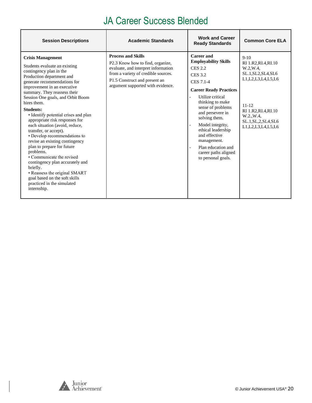#### JA Career Success Blended

| <b>Session Descriptions</b>                                                                                                                                                                                                                                                                                                                                                                                                                                                                                                                                                                                                                                                                                                           | <b>Academic Standards</b>                                                                                                                                                                                         | <b>Work and Career</b><br><b>Ready Standards</b>                                                                                                                                                                                                                                                                                                                     | <b>Common Core ELA</b>                                                                                                                                                                             |
|---------------------------------------------------------------------------------------------------------------------------------------------------------------------------------------------------------------------------------------------------------------------------------------------------------------------------------------------------------------------------------------------------------------------------------------------------------------------------------------------------------------------------------------------------------------------------------------------------------------------------------------------------------------------------------------------------------------------------------------|-------------------------------------------------------------------------------------------------------------------------------------------------------------------------------------------------------------------|----------------------------------------------------------------------------------------------------------------------------------------------------------------------------------------------------------------------------------------------------------------------------------------------------------------------------------------------------------------------|----------------------------------------------------------------------------------------------------------------------------------------------------------------------------------------------------|
| <b>Crisis Management</b><br>Students evaluate an existing<br>contingency plan in the<br>Production department and<br>generate recommendations for<br>improvement in an executive<br>summary. They reassess their<br>Session One goals, and Orbit Boom<br>hires them.<br><b>Students:</b><br>• Identify potential crises and plan<br>appropriate risk responses for<br>each situation (avoid, reduce,<br>transfer, or accept).<br>• Develop recommendations to<br>revise an existing contingency<br>plan to prepare for future<br>problems.<br>• Communicate the revised<br>contingency plan accurately and<br>briefly.<br>• Reassess the original SMART<br>goal based on the soft skills<br>practiced in the simulated<br>internship. | <b>Process and Skills</b><br>P2.3 Know how to find, organize,<br>evaluate, and interpret information<br>from a variety of credible sources.<br>P1.5 Construct and present an<br>argument supported with evidence. | Career and<br><b>Employability Skills</b><br><b>CES 2.2</b><br>CES 3.2<br>CES 7.1-4<br><b>Career Ready Practices</b><br>Utilize critical<br>thinking to make<br>sense of problems<br>and persevere in<br>solving them.<br>Model integrity,<br>ethical leadership<br>and effective<br>management.<br>Plan education and<br>career paths aligned<br>to personal goals. | $9-10$<br>RI 1.R2, RI.4, RI.10<br>W.2, W.4,<br>SL.1, SL2, SL4, SL6<br>L1, L2, L3, L4, L5, L6<br>$11 - 12$<br>RI 1.R2, RI.4, RI.10<br>W.2., W.4.<br>SL.1, SL, 2, SL4, SL6<br>L1, L2, L3, L4, L5, L6 |

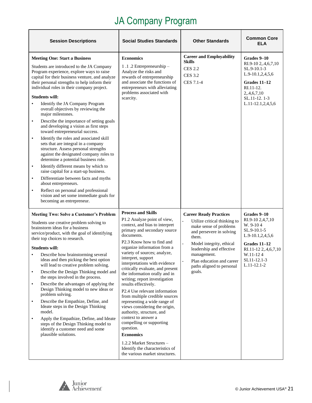<span id="page-20-0"></span>

| <b>Session Descriptions</b>                                                                                                                                                                                                                                                                                                                                                                                                                                                                                                                                                                                                                                                                                                                                                                                                                                                                                                                                                                                                                                                                     | <b>Social Studies Standards</b>                                                                                                                                                                                                                                                                                                                                                                                                                                                                                                                                                                                                                                                                                                                                                  | <b>Other Standards</b>                                                                                                                                                                                                                                                  | <b>Common Core</b><br>ELA                                                                                                                                          |
|-------------------------------------------------------------------------------------------------------------------------------------------------------------------------------------------------------------------------------------------------------------------------------------------------------------------------------------------------------------------------------------------------------------------------------------------------------------------------------------------------------------------------------------------------------------------------------------------------------------------------------------------------------------------------------------------------------------------------------------------------------------------------------------------------------------------------------------------------------------------------------------------------------------------------------------------------------------------------------------------------------------------------------------------------------------------------------------------------|----------------------------------------------------------------------------------------------------------------------------------------------------------------------------------------------------------------------------------------------------------------------------------------------------------------------------------------------------------------------------------------------------------------------------------------------------------------------------------------------------------------------------------------------------------------------------------------------------------------------------------------------------------------------------------------------------------------------------------------------------------------------------------|-------------------------------------------------------------------------------------------------------------------------------------------------------------------------------------------------------------------------------------------------------------------------|--------------------------------------------------------------------------------------------------------------------------------------------------------------------|
| <b>Meeting One: Start a Business</b><br>Students are introduced to the JA Company<br>Program experience, explore ways to raise<br>capital for their business venture, and analyze<br>their personal strengths to help inform their<br>individual roles in their company project.<br><b>Students will:</b><br>Identify the JA Company Program<br>$\bullet$<br>overall objectives by reviewing the<br>major milestones.<br>Describe the importance of setting goals<br>$\bullet$<br>and developing a vision as first steps<br>toward entrepreneurial success.<br>Identify the roles and associated skill<br>$\bullet$<br>sets that are integral in a company<br>structure. Assess personal strengths<br>against the designated company roles to<br>determine a potential business role.<br>Identify different means by which to<br>$\bullet$<br>raise capital for a start-up business.<br>Differentiate between facts and myths<br>$\bullet$<br>about entrepreneurs.<br>Reflect on personal and professional<br>$\bullet$<br>vision and set some immediate goals for<br>becoming an entrepreneur. | <b>Economics</b><br>1.1.2 Entrepreneurship -<br>Analyze the risks and<br>rewards of entrepreneurship<br>and associate the functions of<br>entrepreneurs with alleviating<br>problems associated with<br>scarcity.                                                                                                                                                                                                                                                                                                                                                                                                                                                                                                                                                                | <b>Career and Employability</b><br><b>Skills</b><br><b>CES 2.2</b><br><b>CES 3.2</b><br>CES 7.1-4                                                                                                                                                                       | Grades 9-10<br>RI.9-10 2,.4,6,7,10<br>SL.9-10.1-3<br>L.9-10.1,2,4,5,6<br>Grades 11-12<br>RI.11-12.<br>2, 4, 6, 7, 10<br>SL.11-12.1-3<br>L.11-12.1,2,4,5,6          |
| <b>Meeting Two: Solve a Customer's Problem</b><br>Students use creative problem solving to<br>brainstorm ideas for a business<br>service/product, with the goal of identifying<br>their top choices to research.<br><b>Students will:</b><br>Describe how brainstorming several<br>ideas and then picking the best option<br>will lead to creative problem solving.<br>Describe the Design Thinking model and<br>$\bullet$<br>the steps involved in the process.<br>Describe the advantages of applying the<br>$\bullet$<br>Design Thinking model to new ideas or<br>problem solving.<br>Describe the Empathize, Define, and<br>$\bullet$<br>Ideate steps in the Design Thinking<br>model.<br>Apply the Empathize, Define, and Ideate<br>$\bullet$<br>steps of the Design Thinking model to<br>identify a customer need and some<br>plausible solutions.                                                                                                                                                                                                                                        | <b>Process and Skills</b><br>P1.2 Analyze point of view,<br>context, and bias to interpret<br>primary and secondary source<br>documents.<br>P2.3 Know how to find and<br>organize information from a<br>variety of sources; analyze,<br>interpret, support<br>interpretations with evidence<br>critically evaluate, and present<br>the information orally and in<br>writing; report investigation<br>results effectively.<br>P2.4 Use relevant information<br>from multiple credible sources<br>representing a wide range of<br>views considering the origin,<br>authority, structure, and<br>context to answer a<br>compelling or supporting<br>question.<br><b>Economics</b><br>1.2.2 Market Structures -<br>Identify the characteristics of<br>the various market structures. | <b>Career Ready Practices</b><br>Utilize critical thinking to<br>make sense of problems<br>and persevere in solving<br>them.<br>Model integrity, ethical<br>leadership and effective<br>management.<br>Plan education and career<br>paths aligned to personal<br>goals. | Grades 9-10<br>RI.9-10 2,4,7,10<br>W. 9-104<br>SL.9-10.1-5<br>L.9-10.1,2,4,5,6<br>Grades 11-12<br>RI.11-12 2,.4,6,7,10<br>W.11-124<br>SL11-12.1-3<br>$L.11-12.1-2$ |

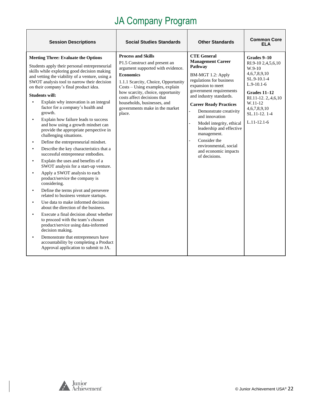| <b>Session Descriptions</b>                                                                                                                                                                                                                                                                                                                                                                                                                                                                                                                                                                                                                                                                                                                                                                                                                                                                                                                                                                                                                                                                                                                                                                                                                                                                                                                                                         | <b>Social Studies Standards</b>                                                                                                                                                                                                                                                                                                              | <b>Other Standards</b>                                                                                                                                                                                                                                                                                                                                                                                                                                                            | <b>Common Core</b><br>ELA                                                                                                                                                                      |
|-------------------------------------------------------------------------------------------------------------------------------------------------------------------------------------------------------------------------------------------------------------------------------------------------------------------------------------------------------------------------------------------------------------------------------------------------------------------------------------------------------------------------------------------------------------------------------------------------------------------------------------------------------------------------------------------------------------------------------------------------------------------------------------------------------------------------------------------------------------------------------------------------------------------------------------------------------------------------------------------------------------------------------------------------------------------------------------------------------------------------------------------------------------------------------------------------------------------------------------------------------------------------------------------------------------------------------------------------------------------------------------|----------------------------------------------------------------------------------------------------------------------------------------------------------------------------------------------------------------------------------------------------------------------------------------------------------------------------------------------|-----------------------------------------------------------------------------------------------------------------------------------------------------------------------------------------------------------------------------------------------------------------------------------------------------------------------------------------------------------------------------------------------------------------------------------------------------------------------------------|------------------------------------------------------------------------------------------------------------------------------------------------------------------------------------------------|
| <b>Meeting Three: Evaluate the Options</b><br>Students apply their personal entrepreneurial<br>skills while exploring good decision making<br>and vetting the viability of a venture, using a<br>SWOT analysis tool to narrow their decision<br>on their company's final product idea.<br><b>Students will:</b><br>Explain why innovation is an integral<br>factor for a company's health and<br>growth.<br>Explain how failure leads to success<br>and how using a growth mindset can<br>provide the appropriate perspective in<br>challenging situations.<br>Define the entrepreneurial mindset.<br>$\bullet$<br>Describe the key characteristics that a<br>$\bullet$<br>successful entrepreneur embodies.<br>Explain the uses and benefits of a<br>$\bullet$<br>SWOT analysis for a start-up venture.<br>Apply a SWOT analysis to each<br>$\bullet$<br>product/service the company is<br>considering.<br>Define the terms pivot and persevere<br>$\bullet$<br>related to business venture startups.<br>Use data to make informed decisions<br>$\bullet$<br>about the direction of the business.<br>Execute a final decision about whether<br>$\bullet$<br>to proceed with the team's chosen<br>product/service using data-informed<br>decision making.<br>Demonstrate that entrepreneurs have<br>accountability by completing a Product<br>Approval application to submit to JA. | <b>Process and Skills</b><br>P1.5 Construct and present an<br>argument supported with evidence.<br><b>Economics</b><br>1.1.1 Scarcity, Choice, Opportunity<br>Costs - Using examples, explain<br>how scarcity, choice, opportunity<br>costs affect decisions that<br>households, businesses, and<br>governments make in the market<br>place. | <b>CTE General</b><br><b>Management Career</b><br>Pathway<br>BM-MGT 1.2: Apply<br>regulations for business<br>expansion to meet<br>government requirements<br>and industry standards.<br><b>Career Ready Practices</b><br>Demonstrate creativity<br>$\overline{a}$<br>and innovation<br>Model integrity, ethical<br>$\overline{a}$<br>leadership and effective<br>management.<br>Consider the<br>$\overline{a}$<br>environmental, social<br>and economic impacts<br>of decisions. | Grades 9–10<br>RI.9-10 2,4,5,6,10<br>$W.9-10$<br>4,6,7,8,9,10<br>SL.9-10.1-4<br>$L.9-10.1-6$<br>Grades 11–12<br>RI.11-12.2,.4,6,10<br>W.11-12<br>4,6,7,8,9,10<br>SL.11-12.1-4<br>$L.11-12.1-6$ |

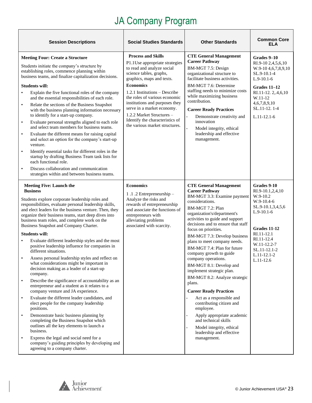|                                                               | <b>Session Descriptions</b>                                                                                                                                                                                                                                                                                                                                                                                                                                                                                                                                                                                                                                                                                                                                                                                                                                                                                                                                                                                                                                                                                                                                                                                                        | <b>Social Studies Standards</b>                                                                                                                                                                                                                                                                                                                                                                           | <b>Other Standards</b>                                                                                                                                                                                                                                                                                                                                                                                                                                                                                                                                                                                                                                                                                                                              | <b>Common Core</b><br><b>ELA</b>                                                                                                                                                                        |
|---------------------------------------------------------------|------------------------------------------------------------------------------------------------------------------------------------------------------------------------------------------------------------------------------------------------------------------------------------------------------------------------------------------------------------------------------------------------------------------------------------------------------------------------------------------------------------------------------------------------------------------------------------------------------------------------------------------------------------------------------------------------------------------------------------------------------------------------------------------------------------------------------------------------------------------------------------------------------------------------------------------------------------------------------------------------------------------------------------------------------------------------------------------------------------------------------------------------------------------------------------------------------------------------------------|-----------------------------------------------------------------------------------------------------------------------------------------------------------------------------------------------------------------------------------------------------------------------------------------------------------------------------------------------------------------------------------------------------------|-----------------------------------------------------------------------------------------------------------------------------------------------------------------------------------------------------------------------------------------------------------------------------------------------------------------------------------------------------------------------------------------------------------------------------------------------------------------------------------------------------------------------------------------------------------------------------------------------------------------------------------------------------------------------------------------------------------------------------------------------------|---------------------------------------------------------------------------------------------------------------------------------------------------------------------------------------------------------|
| $\bullet$<br>$\bullet$<br>$\bullet$<br>$\bullet$<br>$\bullet$ | <b>Meeting Four: Create a Structure</b><br>Students initiate the company's structure by<br>establishing roles, commence planning within<br>business teams, and finalize capitalization decisions.<br><b>Students will:</b><br>Explain the five functional roles of the company<br>and the essential responsibilities of each role.<br>Relate the sections of the Business Snapshot<br>with the business planning information necessary<br>to identify for a start-up company.<br>Evaluate personal strengths aligned to each role<br>and select team members for business teams.<br>Evaluate the different means for raising capital<br>and select an option for the company's start-up<br>venture.<br>Identify essential tasks for different roles in the<br>startup by drafting Business Team task lists for<br>each functional role.<br>Discuss collaboration and communication<br>strategies within and between business teams.                                                                                                                                                                                                                                                                                                | <b>Process and Skills</b><br>P1.1Use appropriate strategies<br>to read and analyze social<br>science tables, graphs,<br>graphics, maps and texts.<br><b>Economics</b><br>1.2.1 Institutions - Describe<br>the roles of various economic<br>institutions and purposes they<br>serve in a market economy.<br>1.2.2 Market Structures -<br>Identify the characteristics of<br>the various market structures. | <b>CTE General Management</b><br><b>Career Pathway</b><br>BM-MGT 7.5: Design<br>organizational structure to<br>facilitate business activities.<br>BM-MGT 7.6: Determine<br>staffing needs to minimize costs<br>while maximizing business<br>contribution.<br><b>Career Ready Practices</b><br>Demonstrate creativity and<br>innovation<br>Model integrity, ethical<br>leadership and effective<br>management.                                                                                                                                                                                                                                                                                                                                       | Grades 9–10<br>RI.9-10 2,4,5,6,10<br>W.9-10 4, 6, 7, 8, 9, 10<br>SL.9-10.1-4<br>$L.9-10.1-6$<br>Grades 11-12<br>RI.11-12.2,.4,6,10<br>W.11-12<br>4,6,7,8,9,10<br>SL.11-12.1-4<br>$L.11-12.1-6$          |
| $\bullet$<br>$\bullet$<br>$\bullet$<br>$\bullet$<br>$\bullet$ | <b>Meeting Five: Launch the</b><br><b>Business</b><br>Students explore corporate leadership roles and<br>responsibilities, evaluate personal leadership skills,<br>and elect leaders for the business venture. Then, they<br>organize their business teams, start deep dives into<br>business team roles, and complete work on the<br>Business Snapshot and Company Charter.<br><b>Students will:</b><br>Evaluate different leadership styles and the most<br>positive leadership influence for companies in<br>different situations.<br>Assess personal leadership styles and reflect on<br>what considerations might be important in<br>decision making as a leader of a start-up<br>company.<br>Describe the significance of accountability as an<br>entrepreneur and a student as it relates to a<br>company venture and JA experience.<br>Evaluate the different leader candidates, and<br>elect people for the company leadership<br>positions.<br>Demonstrate basic business planning by<br>completing the Business Snapshot which<br>outlines all the key elements to launch a<br>business.<br>Express the legal and social need for a<br>company's guiding principles by developing and<br>agreeing to a company charter. | <b>Economics</b><br>1.1.2 Entrepreneurship -<br>Analyze the risks and<br>rewards of entrepreneurship<br>and associate the functions of<br>entrepreneurs with<br>alleviating problems<br>associated with scarcity.                                                                                                                                                                                         | <b>CTE General Management</b><br><b>Career Pathway</b><br>BM-MGT 3.3: Examine payment<br>considerations.<br>BM-MGT 7.2: Plan<br>organization's/department's<br>activities to guide and support<br>decisions and to ensure that staff<br>focus on priorities.<br>BM-MGT 7.3: Develop business<br>plans to meet company needs.<br>BM-MGT 7.4: Plan for future<br>company growth to guide<br>company operations.<br>BM-MGT 8.1: Develop and<br>implement strategic plan.<br>BM-MGT 8.2: Analyze strategic<br>plans.<br><b>Career Ready Practices</b><br>Act as a responsible and<br>contributing citizen and<br>employee.<br>Apply appropriate academic<br>and technical skills<br>Model integrity, ethical<br>leadership and effective<br>management. | Grades 9-10<br>RI.9-10.1,2,4,10<br>W.9-10.2<br>W.9-10.4-6<br>SL.9-10.1,3,4,5,6<br>$L.9-10.1-6$<br>Grades 11-12<br>RI.11-12.1<br>RI.11-12.4<br>W.11-12.2-7<br>SL.11-12.1-2<br>L.11-12.1-2<br>$L.11-12.6$ |

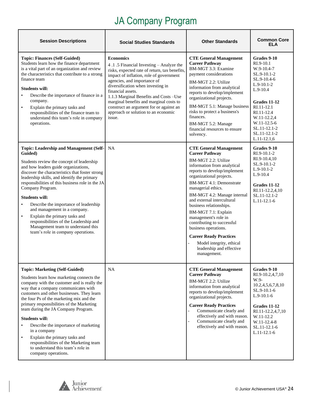| <b>Session Descriptions</b>                                                                                                                                                                                                                                                                                                                                                                                                                                                                                                                                                                          | <b>Social Studies Standards</b>                                                                                                                                                                                                                                                                                                                                                                                                    | <b>Other Standards</b>                                                                                                                                                                                                                                                                                                                                                                                                                                                                                                         | <b>Common Core</b><br>ELA                                                                                                                                                                                                       |
|------------------------------------------------------------------------------------------------------------------------------------------------------------------------------------------------------------------------------------------------------------------------------------------------------------------------------------------------------------------------------------------------------------------------------------------------------------------------------------------------------------------------------------------------------------------------------------------------------|------------------------------------------------------------------------------------------------------------------------------------------------------------------------------------------------------------------------------------------------------------------------------------------------------------------------------------------------------------------------------------------------------------------------------------|--------------------------------------------------------------------------------------------------------------------------------------------------------------------------------------------------------------------------------------------------------------------------------------------------------------------------------------------------------------------------------------------------------------------------------------------------------------------------------------------------------------------------------|---------------------------------------------------------------------------------------------------------------------------------------------------------------------------------------------------------------------------------|
| <b>Topic: Finances (Self-Guided)</b><br>Students learn how the finance department<br>is a vital part of an organization and review<br>the characteristics that contribute to a strong<br>finance team<br><b>Students will:</b><br>Describe the importance of finance in a<br>company.<br>Explain the primary tasks and<br>$\bullet$<br>responsibilities of the finance team to<br>understand this team's role in company<br>operations.                                                                                                                                                              | <b>Economics</b><br>4.1.5 Financial Investing – Analyze the<br>risks, expected rate of return, tax benefits,<br>impact of inflation, role of government<br>agencies, and importance of<br>diversification when investing in<br>financial assets.<br>1.1.3 Marginal Benefits and Costs - Use<br>marginal benefits and marginal costs to<br>construct an argument for or against an<br>approach or solution to an economic<br>issue. | <b>CTE General Management</b><br><b>Career Pathway</b><br>BM-MGT 3.3: Examine<br>payment considerations<br>BM-MGT 2.2: Utilize<br>information from analytical<br>reports to develop/implement<br>organizational projects.<br>BM-MGT 5.1: Manage business<br>risks to protect a business's<br>finances.<br>BM-MGT 5.2: Manage<br>financial resources to ensure<br>solvency.                                                                                                                                                     | Grades 9-10<br>$RI.9-10.1$<br>W.9-10.4-7<br>SL.9-10.1-2<br>SL.9-10.4-6<br>$L.9-10.1-2$<br>$L.9-10.4$<br>Grades 11-12<br>RI.11-12.1<br>RI.11-12.4<br>W.11-12.2,4<br>W.11-12.5-6<br>SL.11-12.1-2<br>SL.11-12.1-2<br>$L.11-12.1,6$ |
| Topic: Leadership and Management (Self-<br>Guided)<br>Students review the concept of leadership<br>and how leaders guide organizations,<br>discover the characteristics that foster strong<br>leadership skills, and identify the primary<br>responsibilities of this business role in the JA<br>Company Program.<br><b>Students will:</b><br>Describe the importance of leadership<br>$\bullet$<br>and management in a company.<br>Explain the primary tasks and<br>$\bullet$<br>responsibilities of the Leadership and<br>Management team to understand this<br>team's role in company operations. | NA                                                                                                                                                                                                                                                                                                                                                                                                                                 | <b>CTE General Management</b><br><b>Career Pathway</b><br>BM-MGT 2.2: Utilize<br>information from analytical<br>reports to develop/implement<br>organizational projects.<br>BM-MGT 4.1: Demonstrate<br>managerial ethics.<br>BM-MGT 4.2: Manage internal<br>and external intercultural<br>business relationships.<br>BM-MGT 7.1: Explain<br>management's role in<br>contributing to successful<br>business operations.<br><b>Career Ready Practices</b><br>Model integrity, ethical<br>leadership and effective<br>management. | Grades 9-10<br>$RI.9-10.1-2$<br>RI.9-10.4,10<br>$SL.9-10.1-2$<br>$L.9-10.1-2$<br>$L.9-10.4$<br>Grades 11-12<br>RI.11-12.2,4,10<br>SL.11-12.1-2<br>$L.11-12.1-6$                                                                 |
| <b>Topic: Marketing (Self-Guided)</b><br>Students learn how marketing connects the<br>company with the customer and is really the<br>way that a company communicates with<br>customers and other businesses. They learn<br>the four Ps of the marketing mix and the<br>primary responsibilities of the Marketing<br>team during the JA Company Program.<br><b>Students will:</b><br>Describe the importance of marketing<br>in a company<br>Explain the primary tasks and<br>$\bullet$<br>responsibilities of the Marketing team<br>to understand this team's role in<br>company operations.         | <b>NA</b>                                                                                                                                                                                                                                                                                                                                                                                                                          | <b>CTE General Management</b><br><b>Career Pathway</b><br>BM-MGT 2.2: Utilize<br>information from analytical<br>reports to develop/implement<br>organizational projects.<br><b>Career Ready Practices</b><br>Communicate clearly and<br>effectively and with reason.<br>Communicate clearly and<br>effectively and with reason.                                                                                                                                                                                                | Grades 9-10<br>RI.9-10.2,4,7,10<br>W.9-<br>10.2,4,5,6,7,8,10<br>SL.9-10.1-6<br>$L.9-10.1-6$<br>Grades 11-12<br>RI.11-12.2,4,7,10<br>W.11-12.2<br>W.11-12.4-8<br>SL.11-12.1-6<br>$L.11-12.1-6$                                   |

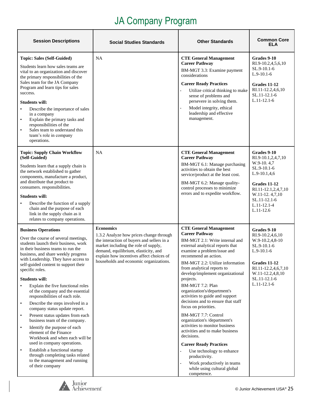| <b>Session Descriptions</b>                                                                                                                                                                                                                                                                                                                                                                                                                                                                                                                                                                                                                                                                                                                                                                                                                                                        | <b>Social Studies Standards</b>                                                                                                                                                                                                                                                 | <b>Other Standards</b>                                                                                                                                                                                                                                                                                                                                                                                                                                                                                                                                                                                                                                                                                                                                         | <b>Common Core</b><br><b>ELA</b>                                                                                                                                                                |
|------------------------------------------------------------------------------------------------------------------------------------------------------------------------------------------------------------------------------------------------------------------------------------------------------------------------------------------------------------------------------------------------------------------------------------------------------------------------------------------------------------------------------------------------------------------------------------------------------------------------------------------------------------------------------------------------------------------------------------------------------------------------------------------------------------------------------------------------------------------------------------|---------------------------------------------------------------------------------------------------------------------------------------------------------------------------------------------------------------------------------------------------------------------------------|----------------------------------------------------------------------------------------------------------------------------------------------------------------------------------------------------------------------------------------------------------------------------------------------------------------------------------------------------------------------------------------------------------------------------------------------------------------------------------------------------------------------------------------------------------------------------------------------------------------------------------------------------------------------------------------------------------------------------------------------------------------|-------------------------------------------------------------------------------------------------------------------------------------------------------------------------------------------------|
| Topic: Sales (Self-Guided)<br>Students learn how sales teams are<br>vital to an organization and discover<br>the primary responsibilities of the<br>Sales team for the JA Company<br>Program and learn tips for sales<br>success.<br><b>Students will:</b><br>Describe the importance of sales<br>$\bullet$<br>in a company<br>Explain the primary tasks and<br>$\bullet$<br>responsibilities of the<br>Sales team to understand this<br>$\bullet$<br>team's role in company<br>operations.                                                                                                                                                                                                                                                                                                                                                                                        | NA                                                                                                                                                                                                                                                                              | <b>CTE General Management</b><br><b>Career Pathway</b><br>BM-MGT 3.3: Examine payment<br>considerations<br><b>Career Ready Practices</b><br>Utilize critical thinking to make<br>sense of problems and<br>persevere in solving them.<br>Model integrity, ethical<br>leadership and effective<br>management.                                                                                                                                                                                                                                                                                                                                                                                                                                                    | Grades 9-10<br>RI.9-10.2,4,5,6,10<br>SL.9-10.1-6<br>$L.9-10.1-6$<br>Grades 11-12<br>RI.11-12.2,4,6,10<br>SL.11-12.1-6<br>$L.11-12.1-6$                                                          |
| <b>Topic: Supply Chain Workflow</b><br>(Self-Guided)<br>Students learn that a supply chain is<br>the network established to gather<br>components, manufacture a product,<br>and distribute that product to<br>consumers. responsibilities.<br><b>Students will:</b><br>Describe the function of a supply<br>chain and the purpose of each<br>link in the supply chain as it<br>relates to company operations.                                                                                                                                                                                                                                                                                                                                                                                                                                                                      | <b>NA</b>                                                                                                                                                                                                                                                                       | <b>CTE General Management</b><br><b>Career Pathway</b><br>BM-MGT 6.1: Manage purchasing<br>activities to obtain the best<br>service/product at the least cost.<br>BM-MGT 6.2: Manage quality-<br>control processes to minimize<br>errors and to expedite workflow.                                                                                                                                                                                                                                                                                                                                                                                                                                                                                             | Grades 9-10<br>RI.9-10.1,2,4,7,10<br>W.9-10.4,7<br>SL.9-10.1-6<br>$L.9-10.1,4,6$<br>Grades 11-12<br>RI.11-12.1,2,4,7,10<br>W.11-12.4,7,10<br>$SL.11-12.1-6$<br>$L.11 - 12.1 - 4$<br>$L.11-12.6$ |
| <b>Business Operations</b><br>Over the course of several meetings,<br>students launch their business, work<br>in their business teams to run the<br>business, and share weekly progress<br>with Leadership. They have access to<br>self-guided content to support their<br>specific roles.<br><b>Students will:</b><br>Explain the five functional roles<br>of the company and the essential<br>responsibilities of each role.<br>Describe the steps involved in a<br>$\bullet$<br>company status update report.<br>Present status updates from each<br>$\bullet$<br>business team of the company.<br>Identify the purpose of each<br>$\bullet$<br>element of the Finance<br>Workbook and when each will be<br>used in company operations.<br>Establish a functional startup<br>$\bullet$<br>through completing tasks related<br>to the management and running<br>of their company | <b>Economics</b><br>1.3.2 Analyze how prices change through<br>the interaction of buyers and sellers in a<br>market including the role of supply,<br>demand, equilibrium, elasticity, and<br>explain how incentives affect choices of<br>households and economic organizations. | <b>CTE General Management</b><br><b>Career Pathway</b><br>BM-MGT 2.1: Write internal and<br>external analytical reports that<br>examine a problem/issue and<br>recommend an action.<br>BM-MGT 2.2: Utilize information<br>from analytical reports to<br>develop/implement organizational<br>projects.<br>BM-MGT 7.2: Plan<br>organization's/department's<br>activities to guide and support<br>decisions and to ensure that staff<br>focus on priorities.<br>BM-MGT 7.7: Control<br>organization's /department's<br>activities to monitor business<br>activities and to make business<br>decisions.<br><b>Career Ready Practices</b><br>Use technology to enhance<br>productivity.<br>Work productively in teams<br>while using cultural global<br>competence. | Grades 9-10<br>RI.9-10.2,4,6,10<br>$W.9-10.2,4,8-10$<br>SL.9-10.1-6<br>$L.9-10.1-6$<br><b>Grades 11-12</b><br>RI.11-12.2,4,6,7,10<br>W.11-12.2,4,8,10<br>SL.11-12.1-6<br>$L.11-12.1-6$          |

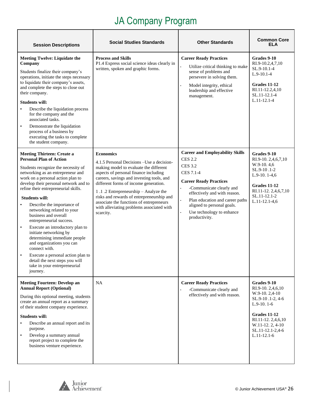| <b>Session Descriptions</b>                                                                                                                                                                                                                                                                                                                                                                                                                                                                                                                                                                                                                                                               | <b>Social Studies Standards</b>                                                                                                                                                                                                                                                                                                                                                                                                    | <b>Other Standards</b>                                                                                                                                                                                                                                                                                                           | <b>Common Core</b><br><b>ELA</b>                                                                                                                                                            |
|-------------------------------------------------------------------------------------------------------------------------------------------------------------------------------------------------------------------------------------------------------------------------------------------------------------------------------------------------------------------------------------------------------------------------------------------------------------------------------------------------------------------------------------------------------------------------------------------------------------------------------------------------------------------------------------------|------------------------------------------------------------------------------------------------------------------------------------------------------------------------------------------------------------------------------------------------------------------------------------------------------------------------------------------------------------------------------------------------------------------------------------|----------------------------------------------------------------------------------------------------------------------------------------------------------------------------------------------------------------------------------------------------------------------------------------------------------------------------------|---------------------------------------------------------------------------------------------------------------------------------------------------------------------------------------------|
| <b>Meeting Twelve: Liquidate the</b><br>Company<br>Students finalize their company's<br>operations, initiate the steps necessary<br>to liquidate their company's assets,<br>and complete the steps to close out<br>their company.<br><b>Students will:</b><br>Describe the liquidation process<br>for the company and the<br>associated tasks.<br>Demonstrate the liquidation<br>$\bullet$<br>process of a business by<br>executing the tasks to complete<br>the student company.                                                                                                                                                                                                         | <b>Process and Skills</b><br>P1.4 Express social science ideas clearly in<br>written, spoken and graphic forms.                                                                                                                                                                                                                                                                                                                    | <b>Career Ready Practices</b><br>Utilize critical thinking to make<br>sense of problems and<br>persevere in solving them.<br>Model integrity, ethical<br>leadership and effective<br>management.                                                                                                                                 | Grades 9-10<br>RI.9-10.2,4,7,10<br>SL.9-10.1-4<br>$L.9-10.1-4$<br>Grades 11-12<br>RI.11-12.2,4,10<br>SL.11-12.1-4<br>$L.11-12.1-4$                                                          |
| <b>Meeting Thirteen: Create a</b><br><b>Personal Plan of Action</b><br>Students recognize the necessity of<br>networking as an entrepreneur and<br>work on a personal action plan to<br>develop their personal network and to<br>refine their entrepreneurial skills.<br><b>Students will:</b><br>Describe the importance of<br>networking related to your<br>business and overall<br>entrepreneurial success.<br>Execute an introductory plan to<br>$\bullet$<br>initiate networking by<br>determining immediate people<br>and organizations you can<br>connect with.<br>Execute a personal action plan to<br>detail the next steps you will<br>take in your entrepreneurial<br>journey. | <b>Economics</b><br>4.1.5 Personal Decisions - Use a decision-<br>making model to evaluate the different<br>aspects of personal finance including<br>careers, savings and investing tools, and<br>different forms of income generation.<br>1.1.2 Entrepreneurship - Analyze the<br>risks and rewards of entrepreneurship and<br>associate the functions of entrepreneurs<br>with alleviating problems associated with<br>scarcity. | <b>Career and Employability Skills</b><br><b>CES 2.2</b><br><b>CES 3.2</b><br><b>CES 7.1-4</b><br><b>Career Ready Practices</b><br>-Communicate clearly and<br>effectively and with reason.<br>Plan education and career paths<br>$\Box$<br>aligned to personal goals.<br>Use technology to enhance<br>$\equiv$<br>productivity. | Grades 9-10<br>RI.9-10. 2,4,6,7,10<br>W.9-10.4,6<br>SL.9-10.1-2<br>L.9-10. $1-4,6$<br>Grades 11-12<br>RI.11-12. 2,4,6,7,10<br>SL.11-12.1-2<br>$L.11-12.1-4,6$                               |
| <b>Meeting Fourteen: Develop an</b><br><b>Annual Report (Optional)</b><br>During this optional meeting, students<br>create an annual report as a summary<br>of their student company experience.<br>Students will:<br>Describe an annual report and its<br>purpose.<br>Develop a summary annual<br>$\bullet$<br>report project to complete the<br>business venture experience.                                                                                                                                                                                                                                                                                                            | NA                                                                                                                                                                                                                                                                                                                                                                                                                                 | <b>Career Ready Practices</b><br>-Communicate clearly and<br>effectively and with reason.                                                                                                                                                                                                                                        | Grades 9-10<br>RI.9-10. 2,4,6,10<br>W.9-10.2,4-10<br>SL.9-10.1-2, 4-6<br>$L.9-10.1-6$<br><b>Grades 11-12</b><br>RI.11-12. 2,4,6,10<br>W.11-12. 2, 4-10<br>SL.11-12.1-2,4-6<br>$L.11-12.1-6$ |

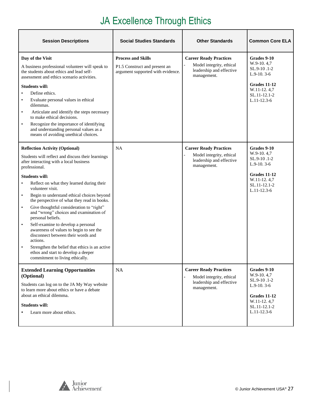# JA Excellence Through Ethics

| <b>Session Descriptions</b>                                                                                                                                                                                                                                                                                                                                                                                                                                                                                                                                                                                                                                                                                                                                                              | <b>Social Studies Standards</b>                                                                 | <b>Other Standards</b>                                                                               | <b>Common Core ELA</b>                                                                                                          |
|------------------------------------------------------------------------------------------------------------------------------------------------------------------------------------------------------------------------------------------------------------------------------------------------------------------------------------------------------------------------------------------------------------------------------------------------------------------------------------------------------------------------------------------------------------------------------------------------------------------------------------------------------------------------------------------------------------------------------------------------------------------------------------------|-------------------------------------------------------------------------------------------------|------------------------------------------------------------------------------------------------------|---------------------------------------------------------------------------------------------------------------------------------|
| Day of the Visit<br>A business professional volunteer will speak to<br>the students about ethics and lead self-<br>assessment and ethics scenario activities.<br><b>Students will:</b><br>Define ethics.<br>$\bullet$<br>Evaluate personal values in ethical<br>٠<br>dilemmas.<br>Articulate and identify the steps necessary<br>$\bullet$<br>to make ethical decisions.<br>Recognize the importance of identifying<br>$\bullet$<br>and understanding personal values as a<br>means of avoiding unethical choices.                                                                                                                                                                                                                                                                       | <b>Process and Skills</b><br>P1.5 Construct and present an<br>argument supported with evidence. | <b>Career Ready Practices</b><br>Model integrity, ethical<br>leadership and effective<br>management. | Grades 9-10<br>W.9-10.4,7<br>SL.9-10.1-2<br>$L.9-10.3-6$<br>Grades 11-12<br>W.11-12.4,7<br>SL.11-12.1-2<br>$L.11-12.3-6$        |
| <b>Reflection Activity (Optional)</b><br>Students will reflect and discuss their learnings<br>after interacting with a local business<br>professional.<br><b>Students will:</b><br>Reflect on what they learned during their<br>$\bullet$<br>volunteer visit.<br>Begin to understand ethical choices beyond<br>$\bullet$<br>the perspective of what they read in books.<br>Give thoughtful consideration to "right"<br>$\bullet$<br>and "wrong" choices and examination of<br>personal beliefs.<br>Self-examine to develop a personal<br>$\bullet$<br>awareness of values to begin to see the<br>disconnect between their words and<br>actions.<br>Strengthen the belief that ethics is an active<br>$\bullet$<br>ethos and start to develop a deeper<br>commitment to living ethically. | <b>NA</b>                                                                                       | <b>Career Ready Practices</b><br>Model integrity, ethical<br>leadership and effective<br>management. | Grades 9-10<br>W.9-10.4,7<br>SL.9-10 .1-2<br>$L.9-10.3-6$<br>Grades 11-12<br>W.11-12.4,7<br>SL.11-12.1-2<br>$L.11 - 12.3 - 6$   |
| <b>Extended Learning Opportunities</b><br>(Optional)<br>Students can log on to the JA My Way website<br>to learn more about ethics or have a debate<br>about an ethical dilemma.<br><b>Students will:</b><br>Learn more about ethics.                                                                                                                                                                                                                                                                                                                                                                                                                                                                                                                                                    | NA                                                                                              | <b>Career Ready Practices</b><br>Model integrity, ethical<br>leadership and effective<br>management. | Grades 9-10<br>W.9-10.4,7<br>SL.9-10.1-2<br>$L.9-10.3-6$<br><b>Grades 11-12</b><br>W.11-12.4,7<br>SL.11-12.1-2<br>$L.11-12.3-6$ |

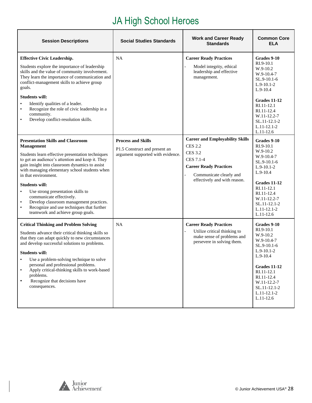# JA High School Heroes

| <b>Session Descriptions</b>                                                                                                                                                                                                                                                                                                                                                                                                                                                                                                                       | <b>Social Studies Standards</b>                                                                 | <b>Work and Career Ready</b><br><b>Standards</b>                                                                                                                                    | <b>Common Core</b><br><b>ELA</b>                                                                                                                                                                                    |
|---------------------------------------------------------------------------------------------------------------------------------------------------------------------------------------------------------------------------------------------------------------------------------------------------------------------------------------------------------------------------------------------------------------------------------------------------------------------------------------------------------------------------------------------------|-------------------------------------------------------------------------------------------------|-------------------------------------------------------------------------------------------------------------------------------------------------------------------------------------|---------------------------------------------------------------------------------------------------------------------------------------------------------------------------------------------------------------------|
| <b>Effective Civic Leadership.</b><br>Students explore the importance of leadership<br>skills and the value of community involvement.<br>They learn the importance of communication and<br>conflict-management skills to achieve group<br>goals.<br><b>Students will:</b><br>Identify qualities of a leader.<br>$\bullet$<br>Recognize the role of civic leadership in a<br>$\bullet$<br>community.<br>Develop conflict-resolution skills.                                                                                                        | <b>NA</b>                                                                                       | <b>Career Ready Practices</b><br>Model integrity, ethical<br>leadership and effective<br>management.                                                                                | Grades 9-10<br>RI.9-10.1<br>$W.9-10.2$<br>W.9-10.4-7<br>$SL.9-10.1-6$<br>$L.9-10.1-2$<br>$L.9-10.4$<br>Grades 11-12<br>RI.11-12.1<br>RI.11-12.4<br>W.11-12.2-7<br>SL.11-12.1-2<br>$L.11-12.1-2$<br>$L.11-12.6$      |
| <b>Presentation Skills and Classroom</b><br><b>Management</b><br>Students learn effective presentation techniques<br>to get an audience's attention and keep it. They<br>gain insight into classroom dynamics to assist<br>with managing elementary school students when<br>in that environment.<br><b>Students will:</b><br>Use strong presentation skills to<br>$\bullet$<br>communicate effectively.<br>Develop classroom management practices.<br>Recognize and use techniques that further<br>$\bullet$<br>teamwork and achieve group goals. | <b>Process and Skills</b><br>P1.5 Construct and present an<br>argument supported with evidence. | <b>Career and Employability Skills</b><br><b>CES 2.2</b><br><b>CES 3.2</b><br>CES 7.1-4<br><b>Career Ready Practices</b><br>Communicate clearly and<br>effectively and with reason. | Grades 9-10<br>RI.9-10.1<br>$W.9-10.2$<br>W.9-10.4-7<br>SL.9-10.1-6<br>$L.9-10.1-2$<br>$L.9-10.4$<br>Grades 11-12<br>RI.11-12.1<br>RI.11-12.4<br>W.11-12.2-7<br>SL.11-12.1-2<br>$L.11-12.1-2$<br>$L.11-12.6$        |
| <b>Critical Thinking and Problem Solving</b><br>Students advance their critical thinking skills so<br>that they can adapt quickly to new circumstances<br>and develop successful solutions to problems.<br><b>Students will:</b><br>Use a problem-solving technique to solve<br>personal and professional problems.<br>Apply critical-thinking skills to work-based<br>$\bullet$<br>problems.<br>Recognize that decisions have<br>$\bullet$<br>consequences.                                                                                      | <b>NA</b>                                                                                       | <b>Career Ready Practices</b><br>Utilize critical thinking to<br>make sense of problems and<br>persevere in solving them.                                                           | Grades 9-10<br>RI.9-10.1<br>W.9-10.2<br>$W.9-10.4-7$<br>SL.9-10.1-6<br>$L.9-10.1-2$<br>$L.9-10.4$<br><b>Grades 11-12</b><br>RI.11-12.1<br>RI.11-12.4<br>W.11-12.2-7<br>SL.11-12.1-2<br>$L.11-12.1-2$<br>$L.11-12.6$ |

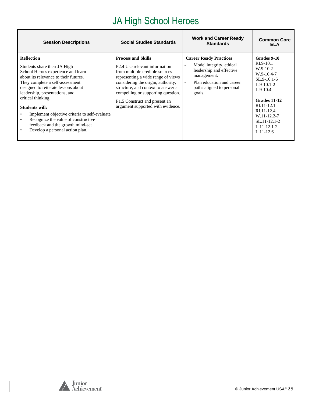# JA High School Heroes

| <b>Session Descriptions</b>                                                                                                                                                                                                                                                                                                                                                                                                                                                   | <b>Social Studies Standards</b>                                                                                                                                                                                                                                                                                                                    | <b>Work and Career Ready</b><br><b>Standards</b>                                                                                                                         | <b>Common Core</b><br><b>ELA</b>                                                                                                                                                                                   |
|-------------------------------------------------------------------------------------------------------------------------------------------------------------------------------------------------------------------------------------------------------------------------------------------------------------------------------------------------------------------------------------------------------------------------------------------------------------------------------|----------------------------------------------------------------------------------------------------------------------------------------------------------------------------------------------------------------------------------------------------------------------------------------------------------------------------------------------------|--------------------------------------------------------------------------------------------------------------------------------------------------------------------------|--------------------------------------------------------------------------------------------------------------------------------------------------------------------------------------------------------------------|
| <b>Reflection</b><br>Students share their JA High<br>School Heroes experience and learn<br>about its relevance to their futures.<br>They complete a self-assessment<br>designed to reiterate lessons about<br>leadership, presentations, and<br>critical thinking.<br>Students will:<br>Implement objective criteria to self-evaluate<br>Recognize the value of constructive<br>$\bullet$<br>feedback and the growth mind-set<br>Develop a personal action plan.<br>$\bullet$ | <b>Process and Skills</b><br>P <sub>2.4</sub> U <sub>se</sub> relevant information<br>from multiple credible sources<br>representing a wide range of views<br>considering the origin, authority,<br>structure, and context to answer a<br>compelling or supporting question.<br>P1.5 Construct and present an<br>argument supported with evidence. | <b>Career Ready Practices</b><br>Model integrity, ethical<br>leadership and effective<br>management.<br>Plan education and career<br>paths aligned to personal<br>goals. | Grades 9-10<br>$RI.9-10.1$<br>$W.9-10.2$<br>W.9-10.4-7<br>$SL.9-10.1-6$<br>$L.9-10.1-2$<br>$L.9-10.4$<br>Grades 11-12<br>RI.11-12.1<br>RI.11-12.4<br>W.11-12.2-7<br>$SL.11-12.1-2$<br>$L.11-12.1-2$<br>$L.11-12.6$ |

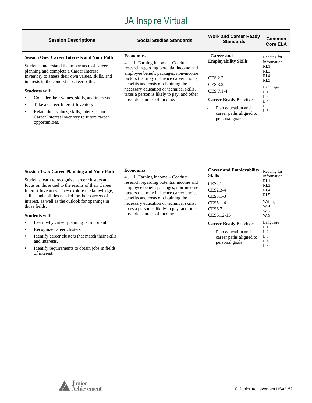| <b>Session Descriptions</b>                                                                                                                                                                                                                                                                                                                                                                                                                                                                                                                                                                                              | <b>Social Studies Standards</b>                                                                                                                                                                                                                                                                                                                     | <b>Work and Career Ready</b><br><b>Standards</b>                                                                                                                                                                                   | Common<br><b>Core ELA</b>                                                                                                                |
|--------------------------------------------------------------------------------------------------------------------------------------------------------------------------------------------------------------------------------------------------------------------------------------------------------------------------------------------------------------------------------------------------------------------------------------------------------------------------------------------------------------------------------------------------------------------------------------------------------------------------|-----------------------------------------------------------------------------------------------------------------------------------------------------------------------------------------------------------------------------------------------------------------------------------------------------------------------------------------------------|------------------------------------------------------------------------------------------------------------------------------------------------------------------------------------------------------------------------------------|------------------------------------------------------------------------------------------------------------------------------------------|
| <b>Session One: Career Interests and Your Path</b><br>Students understand the importance of career<br>planning and complete a Career Interest<br>Inventory to assess their own values, skills, and<br>interests in the context of career paths.<br><b>Students will:</b><br>Consider their values, skills, and interests.<br>$\bullet$<br>Take a Career Interest Inventory.<br>$\bullet$<br>Relate their values, skills, interests, and<br>$\bullet$<br>Career Interest Inventory to future career<br>opportunities.                                                                                                     | <b>Economics</b><br>4.1.1 Earning Income – Conduct<br>research regarding potential income and<br>employee benefit packages, non-income<br>factors that may influence career choice,<br>benefits and costs of obtaining the<br>necessary education or technical skills,<br>taxes a person is likely to pay, and other<br>possible sources of income. | . Career and<br><b>Employability Skills</b><br><b>CES 2.2</b><br><b>CES 3.2</b><br>CES 7.1-4<br><b>Career Ready Practices</b><br>Plan education and<br>career paths aligned to<br>personal goals                                   | Reading for<br>Information<br>R <sub>L</sub> 1<br>RI.3<br>RI.4<br>RI.5<br>Language<br>L.1<br>L.3<br>L.4<br>L.5<br>L.6                    |
| <b>Session Two: Career Planning and Your Path</b><br>Students learn to recognize career clusters and<br>focus on those tied to the results of their Career<br>Interest Inventory. They explore the knowledge,<br>skills, and abilities needed for their careers of<br>interest, as well as the outlook for openings in<br>those fields.<br><b>Students will:</b><br>Learn why career planning is important.<br>$\bullet$<br>Recognize career clusters.<br>$\bullet$<br>Identify career clusters that match their skills<br>and interests.<br>Identify requirements to obtain jobs in fields<br>$\bullet$<br>of interest. | <b>Economics</b><br>4.1.1 Earning Income – Conduct<br>research regarding potential income and<br>employee benefit packages, non-income<br>factors that may influence career choice,<br>benefits and costs of obtaining the<br>necessary education or technical skills,<br>taxes a person is likely to pay, and other<br>possible sources of income. | <b>Career and Employability</b><br><b>Skills</b><br>CES2.1<br>CES2.3-4<br>CES3.1-3<br>CES5.1-4<br><b>CES6.7</b><br>CES6.12-13<br><b>Career Ready Practices</b><br>Plan education and<br>career paths aligned to<br>personal goals. | Reading for<br>Information<br>RI.1<br>RL3<br>RI.4<br>RI.5<br>Writing<br>W.4<br>W.5<br>W.6<br>Language<br>L.1<br>L.2<br>L.3<br>L.4<br>L.6 |

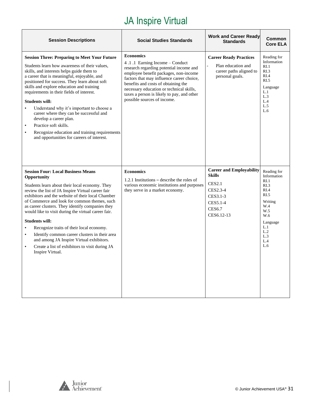| <b>Session Descriptions</b>                                                                                                                                                                                                                                                                                                                                                                                                                                                                                                                                                                                                 | <b>Social Studies Standards</b>                                                                                                                                                                                                                                                                                                                     | <b>Work and Career Ready</b><br><b>Standards</b>                                                                                     | Common<br><b>Core ELA</b>                                                                                                                             |
|-----------------------------------------------------------------------------------------------------------------------------------------------------------------------------------------------------------------------------------------------------------------------------------------------------------------------------------------------------------------------------------------------------------------------------------------------------------------------------------------------------------------------------------------------------------------------------------------------------------------------------|-----------------------------------------------------------------------------------------------------------------------------------------------------------------------------------------------------------------------------------------------------------------------------------------------------------------------------------------------------|--------------------------------------------------------------------------------------------------------------------------------------|-------------------------------------------------------------------------------------------------------------------------------------------------------|
| <b>Session Three: Preparing to Meet Your Future</b><br>Students learn how awareness of their values,<br>skills, and interests helps guide them to<br>a career that is meaningful, enjoyable, and<br>positioned for success. They learn about soft<br>skills and explore education and training<br>requirements in their fields of interest.<br><b>Students will:</b><br>Understand why it's important to choose a<br>career where they can be successful and<br>develop a career plan.<br>Practice soft skills.<br>$\bullet$<br>Recognize education and training requirements<br>and opportunities for careers of interest. | <b>Economics</b><br>4.1.1 Earning Income – Conduct<br>research regarding potential income and<br>employee benefit packages, non-income<br>factors that may influence career choice,<br>benefits and costs of obtaining the<br>necessary education or technical skills,<br>taxes a person is likely to pay, and other<br>possible sources of income. | <b>Career Ready Practices</b><br>Plan education and<br>career paths aligned to<br>personal goals.                                    | Reading for<br>Information<br>R <sub>L</sub> 1<br>RI.3<br>RI.4<br>RI.5<br>Language<br>L.1<br>L.3<br>L.4<br>L.5<br>L.6                                 |
| <b>Session Four: Local Business Means</b><br>Opportunity<br>Students learn about their local economy. They<br>review the list of JA Inspire Virtual career fair<br>exhibitors and the website of their local Chamber<br>of Commerce and look for common themes, such<br>as career clusters. They identify companies they<br>would like to visit during the virtual career fair.<br><b>Students will:</b><br>Recognize traits of their local economy.<br>Identify common career clusters in their area<br>and among JA Inspire Virtual exhibitors.<br>Create a list of exhibitors to visit during JA<br>Inspire Virtual.     | <b>Economics</b><br>1.2.1 Institutions $-$ describe the roles of<br>various economic institutions and purposes<br>they serve in a market economy.                                                                                                                                                                                                   | <b>Career and Employability</b><br><b>Skills</b><br><b>CES2.1</b><br>CES2.3-4<br>CES3.1-3<br>CES5.1-4<br><b>CES6.7</b><br>CES6.12-13 | Reading for<br>Information<br>RI.1<br>R <sub>L.3</sub><br>RI.4<br>RI.5<br>Writing<br>W.4<br>W.5<br>W.6<br>Language<br>L.1<br>L.2<br>L.3<br>L.4<br>L.6 |

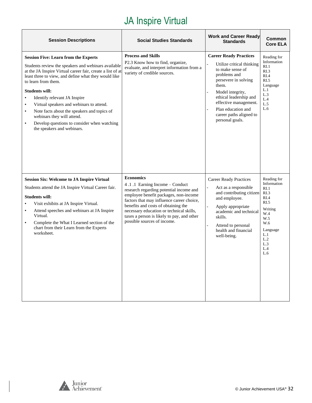| <b>Session Descriptions</b>                                                                                                                                                                                                                                                                                                                                                                                                                                                                                                                                        | <b>Social Studies Standards</b>                                                                                                                                                                                                                                                                                                                     | <b>Work and Career Ready</b><br><b>Standards</b>                                                                                                                                                                                                                           | Common<br><b>Core ELA</b>                                                                                                                 |
|--------------------------------------------------------------------------------------------------------------------------------------------------------------------------------------------------------------------------------------------------------------------------------------------------------------------------------------------------------------------------------------------------------------------------------------------------------------------------------------------------------------------------------------------------------------------|-----------------------------------------------------------------------------------------------------------------------------------------------------------------------------------------------------------------------------------------------------------------------------------------------------------------------------------------------------|----------------------------------------------------------------------------------------------------------------------------------------------------------------------------------------------------------------------------------------------------------------------------|-------------------------------------------------------------------------------------------------------------------------------------------|
| <b>Session Five: Learn from the Experts</b><br>Students review the speakers and webinars available<br>at the JA Inspire Virtual career fair, create a list of at<br>least three to view, and define what they would like<br>to learn from them.<br><b>Students will:</b><br>Identify relevant JA Inspire<br>$\bullet$<br>Virtual speakers and webinars to attend.<br>$\bullet$<br>Note facts about the speakers and topics of<br>$\bullet$<br>webinars they will attend.<br>Develop questions to consider when watching<br>$\bullet$<br>the speakers and webinars. | <b>Process and Skills</b><br>P2.3 Know how to find, organize,<br>evaluate, and interpret information from a<br>variety of credible sources.                                                                                                                                                                                                         | <b>Career Ready Practices</b><br>Utilize critical thinking<br>to make sense of<br>problems and<br>persevere in solving<br>them.<br>Model integrity,<br>ethical leadership and<br>effective management.<br>Plan education and<br>career paths aligned to<br>personal goals. | Reading for<br>Information<br>RI.1<br>RI.3<br>RI.4<br>RI.5<br>Language<br>L.1<br>L.3<br>L.4<br>L.5<br>L.6                                 |
| <b>Session Six: Welcome to JA Inspire Virtual</b><br>Students attend the JA Inspire Virtual Career fair.<br><b>Students will:</b><br>Visit exhibits at JA Inspire Virtual.<br>Attend speeches and webinars at JA Inspire<br>Virtual.<br>Complete the What I Learned section of the<br>$\bullet$<br>chart from their Learn from the Experts<br>worksheet.                                                                                                                                                                                                           | <b>Economics</b><br>4.1.1 Earning Income - Conduct<br>research regarding potential income and<br>employee benefit packages, non-income<br>factors that may influence career choice,<br>benefits and costs of obtaining the<br>necessary education or technical skills,<br>taxes a person is likely to pay, and other<br>possible sources of income. | <b>Career Ready Practices</b><br>Act as a responsible<br>and contributing citizen<br>and employee.<br>Apply appropriate<br>academic and technical<br>skills.<br>Attend to personal<br>health and financial<br>well-being.                                                  | Reading for<br>Information<br>RI.1<br>RI.3<br>RI.4<br>RI.5<br>Writing<br>W.4<br>W.5<br>W.6<br>Language<br>L.1<br>L.2<br>L.3<br>L.4<br>L.6 |

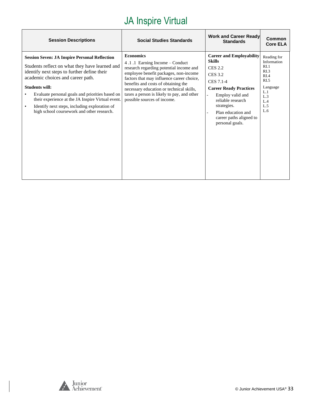| <b>Session Descriptions</b>                                                                                                                                                                                                                                                                                                                                                                                                             | <b>Social Studies Standards</b>                                                                                                                                                                                                                                                                                                                     | <b>Work and Career Ready</b><br><b>Standards</b>                                                                                                                                                                                                               | Common<br><b>Core ELA</b>                                                                                             |
|-----------------------------------------------------------------------------------------------------------------------------------------------------------------------------------------------------------------------------------------------------------------------------------------------------------------------------------------------------------------------------------------------------------------------------------------|-----------------------------------------------------------------------------------------------------------------------------------------------------------------------------------------------------------------------------------------------------------------------------------------------------------------------------------------------------|----------------------------------------------------------------------------------------------------------------------------------------------------------------------------------------------------------------------------------------------------------------|-----------------------------------------------------------------------------------------------------------------------|
| <b>Session Seven: JA Inspire Personal Reflection</b><br>Students reflect on what they have learned and<br>identify next steps to further define their<br>academic choices and career path.<br><b>Students will:</b><br>Evaluate personal goals and priorities based on<br>their experience at the JA Inspire Virtual event.<br>Identify next steps, including exploration of<br>$\bullet$<br>high school coursework and other research. | <b>Economics</b><br>4.1.1 Earning Income – Conduct<br>research regarding potential income and<br>employee benefit packages, non-income<br>factors that may influence career choice,<br>benefits and costs of obtaining the<br>necessary education or technical skills,<br>taxes a person is likely to pay, and other<br>possible sources of income. | <b>Career and Employability</b><br><b>Skills</b><br><b>CES 2.2</b><br><b>CES 3.2</b><br>CES 7.1-4<br><b>Career Ready Practices</b><br>Employ valid and<br>reliable research<br>strategies.<br>Plan education and<br>career paths aligned to<br>personal goals. | Reading for<br>Information<br>RI.1<br>R <sub>L.3</sub><br>RI.4<br>RI.5<br>Language<br>L.1<br>L.3<br>L.4<br>L.5<br>L.6 |

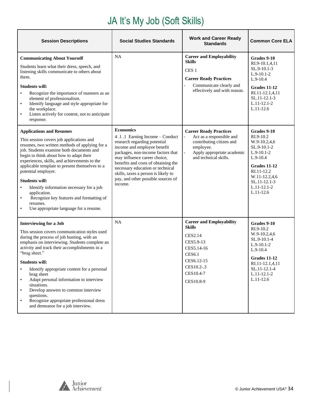# JA It's My Job (Soft Skills)

| <b>Session Descriptions</b>                                                                                                                                                                                                                                                                                                                                                                                                                                                                                                                                                                | <b>Social Studies Standards</b>                                                                                                                                                                                                                                                                                                                           | <b>Work and Career Ready</b><br><b>Standards</b>                                                                                                                     | <b>Common Core ELA</b>                                                                                                                                                               |
|--------------------------------------------------------------------------------------------------------------------------------------------------------------------------------------------------------------------------------------------------------------------------------------------------------------------------------------------------------------------------------------------------------------------------------------------------------------------------------------------------------------------------------------------------------------------------------------------|-----------------------------------------------------------------------------------------------------------------------------------------------------------------------------------------------------------------------------------------------------------------------------------------------------------------------------------------------------------|----------------------------------------------------------------------------------------------------------------------------------------------------------------------|--------------------------------------------------------------------------------------------------------------------------------------------------------------------------------------|
| <b>Communicating About Yourself</b><br>Students learn what their dress, speech, and<br>listening skills communicate to others about<br>them.<br><b>Students will:</b><br>Recognize the importance of manners as an<br>$\bullet$<br>element of professionalism.<br>Identify language and style appropriate for<br>$\bullet$<br>the workplace.<br>Listen actively for content, not to anticipate<br>$\bullet$<br>response.                                                                                                                                                                   | NA                                                                                                                                                                                                                                                                                                                                                        | <b>Career and Employability</b><br><b>Skills</b><br>CES <sub>1</sub><br><b>Career Ready Practices</b><br>Communicate clearly and<br>effectively and with reason.     | Grades 9-10<br>RI.9-10.1,4,11<br>SL.9-10.1-3<br>$L.9-10.1-2$<br>$L.9-10.4$<br>Grades 11-12<br>RI.11-12.1,4,11<br>SL.11-12.1-3<br>$L.11-12.1-2$<br>$L.11-12.6$                        |
| <b>Applications and Resumes</b><br>This session covers job applications and<br>resumes, two written methods of applying for a<br>job. Students examine both documents and<br>begin to think about how to adapt their<br>experiences, skills, and achievements to the<br>applicable template to present themselves to a<br>potential employer.<br><b>Students will:</b><br>Identify information necessary for a job<br>$\bullet$<br>application.<br>Recognize key features and formatting of<br>$\bullet$<br>resumes.<br>Use appropriate language for a resume.                             | <b>Economics</b><br>4.1.1 Earning Income – Conduct<br>research regarding potential<br>income and employee benefit<br>packages, non-income factors that<br>may influence career choice,<br>benefits and costs of obtaining the<br>necessary education or technical<br>skills, taxes a person is likely to<br>pay, and other possible sources of<br>income. | <b>Career Ready Practices</b><br>Act as a responsible and<br>contributing citizen and<br>employee.<br>Apply appropriate academic<br>and technical skills.            | Grades 9-10<br>RI.9-10.2<br>W.9-10.2,4,6<br>SL.9-10.1-2<br>$L.9-10.1-2$<br>$L.9-10.4$<br>Grades 11-12<br>RI.11-12.2<br>W.11-12.2,4,6<br>SL.11-12.1-3<br>$L.11-12.1-2$<br>$L.11-12.6$ |
| <b>Interviewing for a Job</b><br>This session covers communication styles used<br>during the process of job hunting, with an<br>emphasis on interviewing. Students complete an<br>activity and track their accomplishments in a<br>"brag sheet."<br><b>Students will:</b><br>Identify appropriate content for a personal<br>$\bullet$<br>brag sheet<br>Adapt personal information to interview<br>$\bullet$<br>situations.<br>Develop answers to common interview<br>$\bullet$<br>questions.<br>Recognize appropriate professional dress<br>$\bullet$<br>and demeanor for a job interview. | <b>NA</b>                                                                                                                                                                                                                                                                                                                                                 | <b>Career and Employability</b><br><b>Skills</b><br><b>CES2.14</b><br>CES5.9-13<br>CES5.14-16<br><b>CES6.1</b><br>CES6.12-15<br>CES10.2-.3<br>CES10.4-7<br>CES10.8-9 | Grades 9-10<br>RI.9-10.2<br>W.9-10.2,4,6<br>SL.9-10.1-4<br>$L.9-10.1-2$<br>$L.9-10.4$<br>Grades 11-12<br>RI.11-12.1,4,11<br>SL.11-12.1-4<br>L.11-12.1-2<br>$L.11-12.6$               |

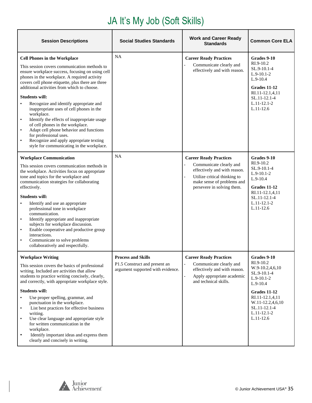# JA It's My Job (Soft Skills)

| <b>Session Descriptions</b>                                                                                                                                                                                                                                                                                                                                                                                                                                                                                                                                                                                                                                                                                                  | <b>Social Studies Standards</b>                                                                 | <b>Work and Career Ready</b><br><b>Standards</b>                                                                                                                                     | <b>Common Core ELA</b>                                                                                                                                                                          |
|------------------------------------------------------------------------------------------------------------------------------------------------------------------------------------------------------------------------------------------------------------------------------------------------------------------------------------------------------------------------------------------------------------------------------------------------------------------------------------------------------------------------------------------------------------------------------------------------------------------------------------------------------------------------------------------------------------------------------|-------------------------------------------------------------------------------------------------|--------------------------------------------------------------------------------------------------------------------------------------------------------------------------------------|-------------------------------------------------------------------------------------------------------------------------------------------------------------------------------------------------|
| <b>Cell Phones in the Workplace</b><br>This session covers communication methods to<br>ensure workplace success, focusing on using cell<br>phones in the workplace. A required activity<br>covers cell phone etiquette, plus there are three<br>additional activities from which to choose.<br><b>Students will:</b><br>Recognize and identify appropriate and<br>$\bullet$<br>inappropriate uses of cell phones in the<br>workplace.<br>Identify the effects of inappropriate usage<br>$\bullet$<br>of cell phones in the workplace.<br>Adapt cell phone behavior and functions<br>$\bullet$<br>for professional uses.<br>Recognize and apply appropriate texting<br>$\bullet$<br>style for communicating in the workplace. | <b>NA</b>                                                                                       | <b>Career Ready Practices</b><br>Communicate clearly and<br>effectively and with reason.                                                                                             | Grades 9-10<br>RI.9-10.2<br>SL.9-10.1-4<br>$L.9-10.1-2$<br>$L.9-10.4$<br>Grades 11-12<br>RI.11-12.1,4,11<br>SL.11-12.1-4<br>$L.11 - 12.1 - 2$<br>$L.11-12.6$                                    |
| <b>Workplace Communication</b><br>This session covers communication methods in<br>the workplace. Activities focus on appropriate<br>tone and topics for the workplace and<br>communication strategies for collaborating<br>effectively.<br><b>Students will:</b><br>Identify and use an appropriate<br>$\bullet$<br>professional tone in workplace<br>communication.<br>Identify appropriate and inappropriate<br>$\bullet$<br>subjects for workplace discussion.<br>Enable cooperative and productive group<br>$\bullet$<br>interactions.<br>Communicate to solve problems<br>$\bullet$<br>collaboratively and respectfully.                                                                                                | NA                                                                                              | <b>Career Ready Practices</b><br>Communicate clearly and<br>effectively and with reason.<br>Utilize critical thinking to<br>make sense of problems and<br>persevere in solving them. | Grades 9-10<br>RI.9-10.2<br>SL.9-10.1-4<br>$L.9-10.1-2$<br>$L.9-10.4$<br>Grades 11-12<br>RI.11-12.1,4,11<br>SL.11-12.1-4<br>$L.11 - 12.1 - 2$<br>$L.11-12.6$                                    |
| <b>Workplace Writing</b><br>This session covers the basics of professional<br>writing. Included are activities that allow<br>students to practice writing concisely, clearly,<br>and correctly, with appropriate workplace style.<br><b>Students will:</b><br>Use proper spelling, grammar, and<br>punctuation in the workplace.<br>List best practices for effective business<br>$\bullet$<br>writing.<br>Use clear language and appropriate style<br>$\bullet$<br>for written communication in the<br>workplace.<br>Identify important ideas and express them<br>$\bullet$<br>clearly and concisely in writing.                                                                                                            | <b>Process and Skills</b><br>P1.5 Construct and present an<br>argument supported with evidence. | <b>Career Ready Practices</b><br>Communicate clearly and<br>effectively and with reason.<br>Apply appropriate academic<br>and technical skills.                                      | Grades 9-10<br>RI.9-10.2<br>W.9-10.2,4,6,10<br>SL.9-10.1-4<br>$L.9-10.1-2$<br>$L.9 - 10.4$<br>Grades 11-12<br>RI.11-12.1,4,11<br>W.11-12.2,4,6,10<br>SL.11-12.1-4<br>L.11-12.1-2<br>$L.11-12.6$ |

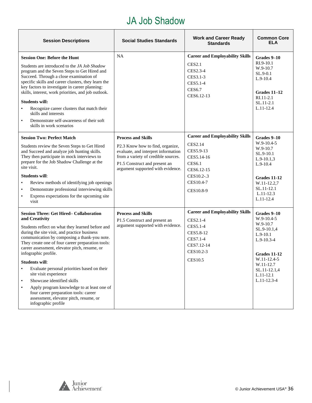#### JA Job Shadow

| <b>Session Descriptions</b>                                                                                                                                                                                                                                                                                                                                                                                                                                                                                                                                                                                                                                  | <b>Social Studies Standards</b>                                                                                                                                                                                   | <b>Work and Career Ready</b><br><b>Standards</b>                                                                                                           | <b>Common Core</b><br><b>ELA</b>                                                                                                                                                       |
|--------------------------------------------------------------------------------------------------------------------------------------------------------------------------------------------------------------------------------------------------------------------------------------------------------------------------------------------------------------------------------------------------------------------------------------------------------------------------------------------------------------------------------------------------------------------------------------------------------------------------------------------------------------|-------------------------------------------------------------------------------------------------------------------------------------------------------------------------------------------------------------------|------------------------------------------------------------------------------------------------------------------------------------------------------------|----------------------------------------------------------------------------------------------------------------------------------------------------------------------------------------|
| <b>Session One: Before the Hunt</b><br>Students are introduced to the JA Job Shadow<br>program and the Seven Steps to Get Hired and<br>Succeed. Through a close examination of<br>specific skills and career clusters, they learn the<br>key factors to investigate in career planning:<br>skills, interest, work priorities, and job outlook.<br><b>Students will:</b><br>Recognize career clusters that match their<br>$\bullet$<br>skills and interests<br>Demonstrate self-awareness of their soft<br>$\bullet$<br>skills in work scenarios                                                                                                              | <b>NA</b>                                                                                                                                                                                                         | <b>Career and Employability Skills</b><br><b>CES2.1</b><br>CES2.3-4<br>CES3.1-3<br>CES5.1-4<br><b>CES6.7</b><br>CES6.12-13                                 | Grades 9–10<br>RI.9-10.1<br>W.9-10.7<br>SL.9-0.1<br>$L.9-10.4$<br>Grades $11-12$<br>RI.11-2.1<br>SL.11-2.1<br>L.11-12.4                                                                |
| <b>Session Two: Perfect Match</b><br>Students review the Seven Steps to Get Hired<br>and Succeed and analyze job hunting skills.<br>They then participate in mock interviews to<br>prepare for the Job Shadow Challenge at the<br>site visit.<br><b>Students will:</b><br>Review methods of identifying job openings<br>$\bullet$<br>Demonstrate professional interviewing skills<br>$\bullet$<br>Express expectations for the upcoming site<br>visit                                                                                                                                                                                                        | <b>Process and Skills</b><br>P2.3 Know how to find, organize,<br>evaluate, and interpret information<br>from a variety of credible sources.<br>P1.5 Construct and present an<br>argument supported with evidence. | <b>Career and Employability Skills</b><br><b>CES2.14</b><br>CES5.9-13<br>CES5.14-16<br><b>CES6.1</b><br>CES6.12-15<br>CES10.2-.3<br>CES10.4-7<br>CES10.8-9 | Grades 9–10<br>$W.9-10.4-5$<br>W.9-10.7<br>SL.9-10.1<br>$L.9-10.1,3$<br>$L.9-10.4$<br>Grades 11-12<br>W.11-12.2,7<br>SL.11-12.1<br>$L.11-12.3$<br>L.11-12.4                            |
| <b>Session Three: Get Hired- Collaboration</b><br>and Creativity<br>Students reflect on what they learned before and<br>during the site visit, and practice business<br>communication by composing a thank-you note.<br>They create one of four career preparation tools:<br>career assessment, elevator pitch, resume, or<br>infographic profile.<br>Students will:<br>Evaluate personal priorities based on their<br>site visit experience<br>Showcase identified skills<br>$\bullet$<br>Apply program knowledge to at least one of<br>$\bullet$<br>four career preparation tools: career<br>assessment, elevator pitch, resume, or<br>infographic profile | <b>Process and Skills</b><br>P1.5 Construct and present an<br>argument supported with evidence.                                                                                                                   | <b>Career and Employability Skills</b><br>CES2.1-4<br>CES5.1-4<br>CES5.8-12<br>CES7.1-4<br>CES7.12-14<br>CES10.2-3<br>CES10.5                              | Grades 9-10<br>$W.9-10.4-5$<br>W.9-10.7<br>SL.9-10.1,4<br>$L.9-10.1$<br>$L.9 - 10.3 - 4$<br>Grades 11-12<br>W.11-12.4-5<br>W.11-12.7<br>SL.11-12.1,4<br>L.11-12.1<br>$L.11 - 12.3 - 4$ |

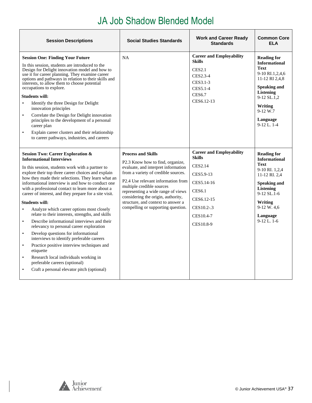# JA Job Shadow Blended Model

<span id="page-36-0"></span>

| <b>Session Descriptions</b>                                                                                                                                                                                                                                                                                                                                                                                                                                                                                                                                                                                                                                                                                                                                                                                                                                                                                                                                                      | <b>Social Studies Standards</b>                                                                                                                                                                                                                                                                                                                                        | <b>Work and Career Ready</b><br><b>Standards</b>                                                                                                                     | <b>Common Core</b><br><b>ELA</b>                                                                                                                                                                              |
|----------------------------------------------------------------------------------------------------------------------------------------------------------------------------------------------------------------------------------------------------------------------------------------------------------------------------------------------------------------------------------------------------------------------------------------------------------------------------------------------------------------------------------------------------------------------------------------------------------------------------------------------------------------------------------------------------------------------------------------------------------------------------------------------------------------------------------------------------------------------------------------------------------------------------------------------------------------------------------|------------------------------------------------------------------------------------------------------------------------------------------------------------------------------------------------------------------------------------------------------------------------------------------------------------------------------------------------------------------------|----------------------------------------------------------------------------------------------------------------------------------------------------------------------|---------------------------------------------------------------------------------------------------------------------------------------------------------------------------------------------------------------|
| <b>Session One: Finding Your Future</b><br>In this session, students are introduced to the<br>Design for Delight innovation model and how to<br>use it for career planning. They examine career<br>options and pathways in relation to their skills and<br>interests, to allow them to choose potential<br>occupations to explore.<br><b>Students will:</b><br>Identify the three Design for Delight<br>$\bullet$<br>innovation principles<br>Correlate the Design for Delight innovation<br>$\bullet$<br>principles to the development of a personal<br>career plan<br>$\bullet$<br>Explain career clusters and their relationship<br>to career pathways, industries, and careers                                                                                                                                                                                                                                                                                               | NA                                                                                                                                                                                                                                                                                                                                                                     | <b>Career and Employability</b><br><b>Skills</b><br><b>CES2.1</b><br>CES2.3-4<br>CES3.1-3<br>CES5.1-4<br><b>CES6.7</b><br>CES6.12-13                                 | <b>Reading for</b><br><b>Informational</b><br><b>Text</b><br>9-10 RI.1,2,4,6<br>11-12 RI 2,4,8<br><b>Speaking and</b><br>Listening<br>9-12 SL.1.2<br>Writing<br>9-12 W.7<br>Language<br>$9-12$ L, $1-4$       |
| <b>Session Two: Career Exploration &amp;</b><br><b>Informational Interviews</b><br>In this session, students work with a partner to<br>explore their top three career choices and explain<br>how they made their selections. They learn what an<br>informational interview is and how to conduct one<br>with a professional contact to learn more about a<br>career of interest, and they prepare for a site visit.<br><b>Students will:</b><br>$\bullet$<br>Analyze which career options most closely<br>relate to their interests, strengths, and skills<br>Describe informational interviews and their<br>$\bullet$<br>relevancy to personal career exploration<br>Develop questions for informational<br>$\bullet$<br>interviews to identify preferable careers<br>Practice positive interview techniques and<br>$\bullet$<br>etiquette<br>Research local individuals working in<br>$\bullet$<br>preferable careers (optional)<br>Craft a personal elevator pitch (optional) | <b>Process and Skills</b><br>P2.3 Know how to find, organize,<br>evaluate, and interpret information<br>from a variety of credible sources.<br>P2.4 Use relevant information from<br>multiple credible sources<br>representing a wide range of views<br>considering the origin, authority,<br>structure, and context to answer a<br>compelling or supporting question. | <b>Career and Employability</b><br><b>Skills</b><br><b>CES2.14</b><br>CES5.9-13<br>CES5.14-16<br><b>CES6.1</b><br>CES6.12-15<br>CES10.2-.3<br>CES10.4-7<br>CES10.8-9 | <b>Reading for</b><br><b>Informational</b><br><b>Text</b><br>9-10 RI. 1,2,4<br>11-12 RI. 2,4<br><b>Speaking and</b><br><b>Listening</b><br>9-12 SL.1-6<br>Writing<br>9-12 W. 4.6<br>Language<br>$9-12$ L, 1-6 |

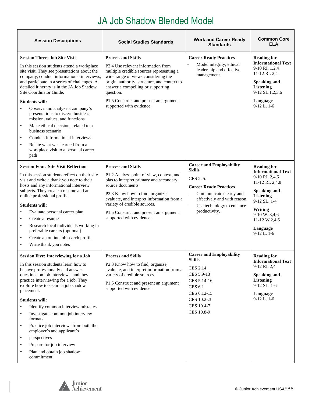# JA Job Shadow Blended Model

| <b>Session Descriptions</b>                                                                                                                                                                                                                                                                                                                                                                                                                                                                                                                                                                                                                               | <b>Social Studies Standards</b>                                                                                                                                                                                                                                                                                               | <b>Work and Career Ready</b><br><b>Standards</b>                                                                                                                                                                                   | <b>Common Core</b><br>ELA                                                                                                                                                                                                   |
|-----------------------------------------------------------------------------------------------------------------------------------------------------------------------------------------------------------------------------------------------------------------------------------------------------------------------------------------------------------------------------------------------------------------------------------------------------------------------------------------------------------------------------------------------------------------------------------------------------------------------------------------------------------|-------------------------------------------------------------------------------------------------------------------------------------------------------------------------------------------------------------------------------------------------------------------------------------------------------------------------------|------------------------------------------------------------------------------------------------------------------------------------------------------------------------------------------------------------------------------------|-----------------------------------------------------------------------------------------------------------------------------------------------------------------------------------------------------------------------------|
| <b>Session Three: Job Site Visit</b><br>In this session students attend a workplace<br>site visit. They see presentations about the<br>company, conduct informational interviews,<br>and participate in a series of challenges. A<br>detailed itinerary is in the JA Job Shadow<br>Site Coordinator Guide.<br><b>Students will:</b><br>Observe and analyze a company's<br>presentations to discern business<br>mission, values, and functions<br>Make ethical decisions related to a<br>$\bullet$<br>business scenario<br>Conduct informational interviews<br>$\bullet$<br>Relate what was learned from a<br>workplace visit to a personal career<br>path | <b>Process and Skills</b><br>P2.4 Use relevant information from<br>multiple credible sources representing a<br>wide range of views considering the<br>origin, authority, structure, and context to<br>answer a compelling or supporting<br>question.<br>P1.5 Construct and present an argument<br>supported with evidence.    | <b>Career Ready Practices</b><br>Model integrity, ethical<br>leadership and effective<br>management.                                                                                                                               | <b>Reading for</b><br><b>Informational Text</b><br>9-10 RI. 1,2,4<br>11-12 RI. 2,4<br><b>Speaking and</b><br>Listening<br>9-12 SL.1,2,3,6<br>Language<br>$9-12$ L. 1-6                                                      |
| <b>Session Four: Site Visit Reflection</b><br>In this session students reflect on their site<br>visit and write a thank you note to their<br>hosts and any informational interview<br>subjects. They create a resume and an<br>online professional profile.<br><b>Students will:</b><br>Evaluate personal career plan<br>Create a resume<br>$\bullet$<br>Research local individuals working in<br>$\bullet$<br>preferable careers (optional)<br>Create an online job search profile<br>$\bullet$<br>Write thank you notes                                                                                                                                 | <b>Process and Skills</b><br>P1.2 Analyze point of view, context, and<br>bias to interpret primary and secondary<br>source documents.<br>P2.3 Know how to find, organize,<br>evaluate, and interpret information from a<br>variety of credible sources.<br>P1.5 Construct and present an argument<br>supported with evidence. | <b>Career and Employability</b><br><b>Skills</b><br>CES 2.5.<br><b>Career Ready Practices</b><br>Communicate clearly and<br>effectively and with reason.<br>Use technology to enhance<br>$\overline{\phantom{a}}$<br>productivity. | <b>Reading for</b><br><b>Informational Text</b><br>9-10 RI. 2,4,6<br>11-12 RI. 2,4,8<br><b>Speaking and</b><br><b>Listening</b><br>9-12 SL. 1-4<br>Writing<br>9-10 W. 3,4,6<br>11-12 W.2,4,6<br>Language<br>$9-12$ L. $1-6$ |
| <b>Session Five: Interviewing for a Job</b><br>In this session students learn how to<br>behave professionally and answer<br>questions on job interviews, and they<br>practice interviewing for a job. They<br>explore how to secure a job shadow<br>placement.<br><b>Students will:</b><br>Identify common interview mistakes<br>Investigate common job interview<br>formats<br>Practice job interviews from both the<br>$\bullet$<br>employer's and applicant's<br>perspectives<br>$\bullet$<br>Prepare for job interview<br>$\bullet$<br>Plan and obtain job shadow<br>commitment                                                                       | <b>Process and Skills</b><br>P2.3 Know how to find, organize,<br>evaluate, and interpret information from a<br>variety of credible sources.<br>P1.5 Construct and present an argument<br>supported with evidence.                                                                                                             | <b>Career and Employability</b><br>Skills<br><b>CES 2.14</b><br>CES 5.9-13<br>CES 5.14-16<br>CES 6.1<br>CES 6.12-15<br>CES 10.2-.3<br>CES 10.4-7<br>CES 10.8-9                                                                     | <b>Reading for</b><br><b>Informational Text</b><br>9-12 RI. 2,4<br><b>Speaking and</b><br><b>Listening</b><br>$9-12$ SL. $1-6$<br>Language<br>$9-12$ L, $1-6$                                                               |

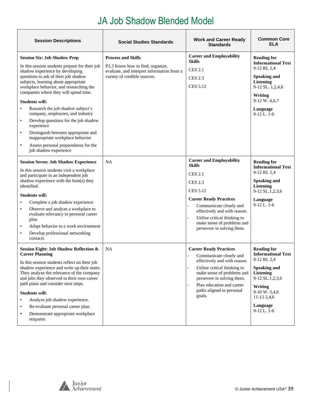#### JA Job Shadow Blended Model

| <b>Session Descriptions</b>                                                                                                                                                                                                                                                                                                                                                                                                                                                                                                                                                                                                             | <b>Social Studies Standards</b>                                                                                                             | <b>Work and Career Ready</b><br><b>Standards</b>                                                                                                                                                                                                                                                | <b>Common Core</b><br><b>ELA</b>                                                                                                                                                                    |
|-----------------------------------------------------------------------------------------------------------------------------------------------------------------------------------------------------------------------------------------------------------------------------------------------------------------------------------------------------------------------------------------------------------------------------------------------------------------------------------------------------------------------------------------------------------------------------------------------------------------------------------------|---------------------------------------------------------------------------------------------------------------------------------------------|-------------------------------------------------------------------------------------------------------------------------------------------------------------------------------------------------------------------------------------------------------------------------------------------------|-----------------------------------------------------------------------------------------------------------------------------------------------------------------------------------------------------|
| <b>Session Six: Job Shadow Prep</b><br>In this session students prepare for their job<br>shadow experience by developing<br>questions to ask of their job shadow<br>subjects, learning about appropriate<br>workplace behavior, and researching the<br>companies where they will spend time.<br><b>Students will:</b><br>Research the job shadow subject's<br>company, employees, and industry<br>Develop questions for the job shadow<br>$\bullet$<br>experience<br>Distinguish between appropriate and<br>$\bullet$<br>inappropriate workplace behavior<br>Assess personal preparedness for the<br>$\bullet$<br>job shadow experience | <b>Process and Skills</b><br>P2.3 Know how to find, organize,<br>evaluate, and interpret information from a<br>variety of credible sources. | <b>Career and Employability</b><br><b>Skills</b><br><b>CES 2.1</b><br><b>CES 2.3</b><br><b>CES 5.12</b>                                                                                                                                                                                         | <b>Reading for</b><br><b>Informational Text</b><br>9-12 RI. 2,4<br><b>Speaking and</b><br><b>Listening</b><br>9-12 SL. 1,2,4,6<br>Writing<br>9-12 W. 4,6,7<br>Language<br>$9-12$ L. $1-6$           |
| <b>Session Seven: Job Shadow Experience</b><br>In this session students visit a workplace<br>and participate in an independent job<br>shadow experience with the host(s) they<br>identified.<br><b>Students will:</b><br>Complete a job shadow experience<br>Observe and analyze a workplace to<br>$\bullet$<br>evaluate relevancy to personal career<br>plan<br>Adapt behavior to a work environment<br>$\bullet$<br>Develop professional networking<br>$\bullet$<br>contacts                                                                                                                                                          | NA                                                                                                                                          | <b>Career and Employability</b><br><b>Skills</b><br><b>CES 2.1</b><br><b>CES 2.3</b><br><b>CES 5.12</b><br><b>Career Ready Practices</b><br>Communicate clearly and<br>effectively and with reason.<br>Utilize critical thinking to<br>make sense of problems and<br>persevere in solving them. | <b>Reading for</b><br><b>Informational Text</b><br>9-12 RI. 2,4<br><b>Speaking and</b><br><b>Listening</b><br>9-12 SL.1,2,3,6<br>Language<br>$9-12$ L. $1-6$                                        |
| <b>Session Eight: Job Shadow Reflection &amp;</b><br><b>Career Planning</b><br>In this session students reflect on their job<br>shadow experience and write up their notes.<br>They analyze the relevance of the company<br>and jobs they observed to their own career<br>path plans and consider next steps.<br><b>Students will:</b><br>Analyze job shadow experience.<br>Re-evaluate personal career plan.<br>Demonstrate appropriate workplace<br>etiquette.                                                                                                                                                                        | <b>NA</b>                                                                                                                                   | <b>Career Ready Practices</b><br>Communicate clearly and<br>effectively and with reason.<br>Utilize critical thinking to<br>make sense of problems and<br>persevere in solving them.<br>Plan education and career<br>paths aligned to personal<br>goals.                                        | <b>Reading for</b><br><b>Informational Text</b><br>9-12 RI. 2,4<br><b>Speaking and</b><br><b>Listening</b><br>9-12 SL.1,2,3,6<br>Writing<br>9-10 W. 3,4,6<br>11-12 2,4,6<br>Language<br>9-12 L. 1-6 |

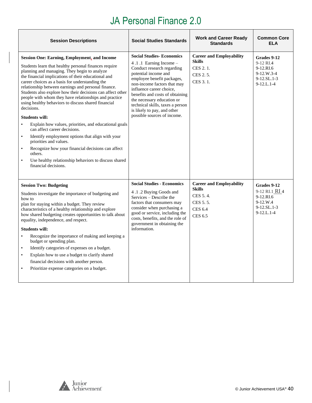<span id="page-39-0"></span>

| <b>Session Descriptions</b>                                                                                                                                                                                                                                                                                                                                                                                                                                                                                                                                                                                                                                                                                                                                                                                                                                                                         | <b>Social Studies Standards</b>                                                                                                                                                                                                                                                                                                                                             | <b>Work and Career Ready</b><br><b>Standards</b>                                                             | <b>Common Core</b><br><b>ELA</b>                                                                |
|-----------------------------------------------------------------------------------------------------------------------------------------------------------------------------------------------------------------------------------------------------------------------------------------------------------------------------------------------------------------------------------------------------------------------------------------------------------------------------------------------------------------------------------------------------------------------------------------------------------------------------------------------------------------------------------------------------------------------------------------------------------------------------------------------------------------------------------------------------------------------------------------------------|-----------------------------------------------------------------------------------------------------------------------------------------------------------------------------------------------------------------------------------------------------------------------------------------------------------------------------------------------------------------------------|--------------------------------------------------------------------------------------------------------------|-------------------------------------------------------------------------------------------------|
| <b>Session One: Earning, Employment, and Income</b><br>Students learn that healthy personal finances require<br>planning and managing. They begin to analyze<br>the financial implications of their educational and<br>career choices as a basis for understanding the<br>relationship between earnings and personal finance.<br>Students also explore how their decisions can affect other<br>people with whom they have relationships and practice<br>using healthy behaviors to discuss shared financial<br>decisions.<br><b>Students will:</b><br>Explain how values, priorities, and educational goals<br>$\bullet$<br>can affect career decisions.<br>Identify employment options that align with your<br>$\bullet$<br>priorities and values.<br>Recognize how your financial decisions can affect<br>others.<br>Use healthy relationship behaviors to discuss shared<br>financial decisions. | <b>Social Studies-Economics</b><br>4.1.1 Earning Income -<br>Conduct research regarding<br>potential income and<br>employee benefit packages,<br>non-income factors that may<br>influence career choice,<br>benefits and costs of obtaining<br>the necessary education or<br>technical skills, taxes a person<br>is likely to pay, and other<br>possible sources of income. | <b>Career and Employability</b><br><b>Skills</b><br>CES 2.1.<br>CES 2.5.<br>CES 3.1.                         | Grades 9-12<br>9-12 RI.4<br>9-12.RI.6<br>$9-12.W.3-4$<br>$9 - 12$ .SL.1-3<br>$9 - 12$ .L.1-4    |
| <b>Session Two: Budgeting</b><br>Students investigate the importance of budgeting and<br>how to<br>plan for staying within a budget. They review<br>characteristics of a healthy relationship and explore<br>how shared budgeting creates opportunities to talk about<br>equality, independence, and respect.<br><b>Students will:</b><br>Recognize the importance of making and keeping a<br>budget or spending plan.<br>Identify categories of expenses on a budget.<br>$\bullet$<br>Explain how to use a budget to clarify shared<br>$\bullet$<br>financial decisions with another person.<br>Prioritize expense categories on a budget.<br>$\bullet$                                                                                                                                                                                                                                            | <b>Social Studies - Economics</b><br>4.1.2 Buying Goods and<br>Services – Describe the<br>factors that consumers may<br>consider when purchasing a<br>good or service, including the<br>costs, benefits, and the role of<br>government in obtaining the<br>information.                                                                                                     | <b>Career and Employability</b><br><b>Skills</b><br>CES 5.4.<br>CES 5.5.<br><b>CES 6.4</b><br><b>CES 6.5</b> | Grades 9-12<br>9-12 RI.1 RI 4<br>9-12.RI.6<br>$9-12.W.4$<br>9-12.SL.1-3<br>$9 - 12$ .L. $1 - 4$ |

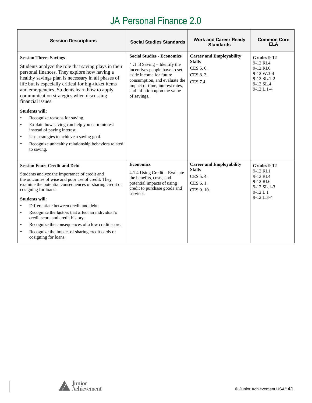| <b>Session Descriptions</b>                                                                                                                                                                                                                                                                                                                                                                   | <b>Social Studies Standards</b>                                                                                                                                                                                                                 | <b>Work and Career Ready</b><br><b>Standards</b>                                      | <b>Common Core</b><br><b>FLA</b>                                                                     |
|-----------------------------------------------------------------------------------------------------------------------------------------------------------------------------------------------------------------------------------------------------------------------------------------------------------------------------------------------------------------------------------------------|-------------------------------------------------------------------------------------------------------------------------------------------------------------------------------------------------------------------------------------------------|---------------------------------------------------------------------------------------|------------------------------------------------------------------------------------------------------|
| <b>Session Three: Savings</b><br>Students analyze the role that saving plays in their<br>personal finances. They explore how having a<br>healthy savings plan is necessary in all phases of<br>life but is especially critical for big-ticket items<br>and emergencies. Students learn how to apply<br>communication strategies when discussing<br>financial issues.<br><b>Students will:</b> | <b>Social Studies - Economics</b><br>4.1.3 Saving – Identify the<br>incentives people have to set<br>aside income for future<br>consumption, and evaluate the<br>impact of time, interest rates,<br>and inflation upon the value<br>of savings. | <b>Career and Employability</b><br><b>Skills</b><br>CES 5.6.<br>CES 8.3.<br>CES 7.4.  | Grades 9-12<br>9-12 RI.4<br>9-12.RI.6<br>$9-12.W.3-4$<br>$9-12$ .SL.1-2<br>9-12 SL.4<br>$9-12.L.1-4$ |
| Recognize reasons for saving.<br>$\bullet$<br>Explain how saving can help you earn interest<br>$\bullet$<br>instead of paying interest.<br>Use strategies to achieve a saving goal.<br>$\bullet$<br>Recognize unhealthy relationship behaviors related<br>$\bullet$<br>to saving.                                                                                                             |                                                                                                                                                                                                                                                 |                                                                                       |                                                                                                      |
| <b>Session Four: Credit and Debt</b><br>Students analyze the importance of credit and<br>the outcomes of wise and poor use of credit. They<br>examine the potential consequences of sharing credit or<br>cosigning for loans.<br><b>Students will:</b>                                                                                                                                        | <b>Economics</b><br>4.1.4 Using Credit – Evaluate<br>the benefits, costs, and<br>potential impacts of using<br>credit to purchase goods and<br>services.                                                                                        | <b>Career and Employability</b><br><b>Skills</b><br>CES 5.4.<br>CES 6.1.<br>CES 9.10. | Grades 9-12<br>9-12.RL1<br>9-12 RI.4<br>9-12.RI.6<br>9-12.SL.1-3<br>$9-12L1$<br>$9-12$ . $1.3-4$     |
| Differentiate between credit and debt.<br>$\bullet$<br>Recognize the factors that affect an individual's<br>$\bullet$<br>credit score and credit history.<br>Recognize the consequences of a low credit score.<br>$\bullet$<br>Recognize the impact of sharing credit cards or<br>$\bullet$<br>cosigning for loans.                                                                           |                                                                                                                                                                                                                                                 |                                                                                       |                                                                                                      |

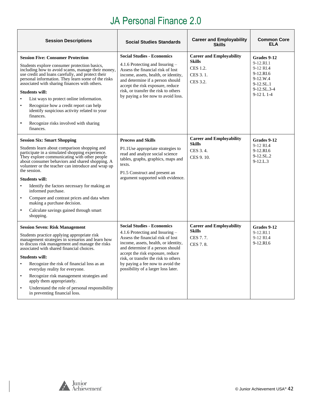| <b>Session Descriptions</b>                                                                                                                                                                                                                                                                                                                                                                                                                                                                                                                                                             | <b>Social Studies Standards</b>                                                                                                                                                                                                                                                                                                              | <b>Career and Employability</b><br><b>Skills</b>                                     | <b>Common Core</b><br>ELA                                                                                   |
|-----------------------------------------------------------------------------------------------------------------------------------------------------------------------------------------------------------------------------------------------------------------------------------------------------------------------------------------------------------------------------------------------------------------------------------------------------------------------------------------------------------------------------------------------------------------------------------------|----------------------------------------------------------------------------------------------------------------------------------------------------------------------------------------------------------------------------------------------------------------------------------------------------------------------------------------------|--------------------------------------------------------------------------------------|-------------------------------------------------------------------------------------------------------------|
| <b>Session Five: Consumer Protection</b><br>Students explore consumer protection basics,<br>including how to avoid scams, manage their money,<br>use credit and loans carefully, and protect their<br>personal information. They learn some of the risks<br>associated with sharing finances with others.<br><b>Students will:</b><br>List ways to protect online information.<br>$\bullet$<br>Recognize how a credit report can help<br>$\bullet$<br>identify suspicious activity related to your<br>finances.<br>Recognize risks involved with sharing<br>$\bullet$<br>finances.      | <b>Social Studies - Economics</b><br>4.1.6 Protecting and Insuring –<br>Assess the financial risk of lost<br>income, assets, health, or identity,<br>and determine if a person should<br>accept the risk exposure, reduce<br>risk, or transfer the risk to others<br>by paying a fee now to avoid loss.                                      | <b>Career and Employability</b><br><b>Skills</b><br>CES 1.2.<br>CES 3.1.<br>CES 3.2. | Grades 9-12<br>$9-12.RI.1$<br>9-12 RI.4<br>9-12.RI.6<br>9-12.W.4<br>9-12.SL.1<br>9-12.SL.3-4<br>$9-12 L1-4$ |
| <b>Session Six: Smart Shopping</b><br>Students learn about comparison shopping and<br>participate in a simulated shopping experience.<br>They explore communicating with other people<br>about consumer behaviors and shared shopping. A<br>volunteer or the teacher can introduce and wrap up<br>the session.<br><b>Students will:</b><br>Identify the factors necessary for making an<br>$\bullet$<br>informed purchase.<br>Compare and contrast prices and data when<br>$\bullet$<br>making a purchase decision.<br>Calculate savings gained through smart<br>$\bullet$<br>shopping. | <b>Process and Skills</b><br>P1.1Use appropriate strategies to<br>read and analyze social science<br>tables, graphs, graphics, maps and<br>texts.<br>P1.5 Construct and present an<br>argument supported with evidence.                                                                                                                      | <b>Career and Employability</b><br><b>Skills</b><br>CES 3.4.<br>CES 9.10.            | Grades 9-12<br>9-12 RI.4<br>9-12.RI.6<br>9-12.SL.2<br>$9 - 12$ .L.3                                         |
| <b>Session Seven: Risk Management</b><br>Students practice applying appropriate risk<br>management strategies in scenarios and learn how<br>to discuss risk management and manage the risks<br>associated with shared financial choices.<br><b>Students will:</b><br>Recognize the risk of financial loss as an<br>everyday reality for everyone.<br>Recognize risk management strategies and<br>apply them appropriately.<br>Understand the role of personal responsibility<br>$\bullet$<br>in preventing financial loss.                                                              | <b>Social Studies - Economics</b><br>4.1.6 Protecting and Insuring -<br>Assess the financial risk of lost<br>income, assets, health, or identity,<br>and determine if a person should<br>accept the risk exposure, reduce<br>risk, or transfer the risk to others<br>by paying a fee now to avoid the<br>possibility of a larger loss later. | <b>Career and Employability</b><br><b>Skills</b><br>CES 7.7.<br>CES 7.8.             | Grades 9-12<br>9-12.RI.1<br>9-12 RI.4<br>9-12.RI.6                                                          |

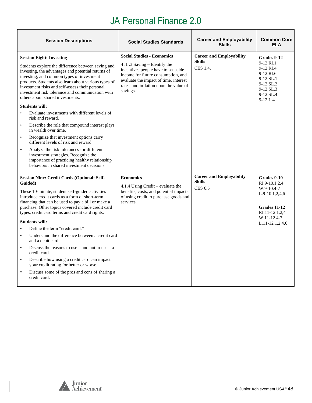| <b>Session Descriptions</b>                                                                                                                                                                                                                                                                                                                                                                                                                                                                                                                                                                                                                                                                                                                                                                                                                                                                   | <b>Social Studies Standards</b>                                                                                                                                                                                                              | <b>Career and Employability</b><br><b>Skills</b>                   | <b>Common Core</b><br><b>ELA</b>                                                                                                        |
|-----------------------------------------------------------------------------------------------------------------------------------------------------------------------------------------------------------------------------------------------------------------------------------------------------------------------------------------------------------------------------------------------------------------------------------------------------------------------------------------------------------------------------------------------------------------------------------------------------------------------------------------------------------------------------------------------------------------------------------------------------------------------------------------------------------------------------------------------------------------------------------------------|----------------------------------------------------------------------------------------------------------------------------------------------------------------------------------------------------------------------------------------------|--------------------------------------------------------------------|-----------------------------------------------------------------------------------------------------------------------------------------|
| <b>Session Eight: Investing</b><br>Students explore the difference between saving and<br>investing, the advantages and potential returns of<br>investing, and common types of investment<br>products. Students also learn about various types of<br>investment risks and self-assess their personal<br>investment risk tolerance and communication with<br>others about shared investments.<br><b>Students will:</b><br>Evaluate investments with different levels of<br>$\bullet$<br>risk and reward.<br>$\bullet$<br>Describe the role that compound interest plays<br>in wealth over time.<br>Recognize that investment options carry<br>$\bullet$<br>different levels of risk and reward.<br>Analyze the risk tolerances for different<br>$\bullet$<br>investment strategies. Recognize the<br>importance of practicing healthy relationship<br>behaviors in shared investment decisions. | <b>Social Studies - Economics</b><br>4.1.3 Saving - Identify the<br>incentives people have to set aside<br>income for future consumption, and<br>evaluate the impact of time, interest<br>rates, and inflation upon the value of<br>savings. | <b>Career and Employability</b><br><b>Skills</b><br>CES 1.4.       | Grades 9-12<br>9-12.RI.1<br>9-12 RL4<br>9-12.RI.6<br>9-12.SL.1<br>9-12.SL.2<br>$9-12.SL.3$<br>9-12 SL.4<br>$9 - 12$ .L.4                |
| <b>Session Nine: Credit Cards (Optional: Self-</b><br>Guided)<br>These 10-minute, student self-guided activities<br>introduce credit cards as a form of short-term<br>financing that can be used to pay a bill or make a<br>purchase. Other topics covered include credit card<br>types, credit card terms and credit card rights.<br><b>Students will:</b><br>Define the term "credit card."<br>$\bullet$<br>Understand the difference between a credit card<br>$\bullet$<br>and a debit card.<br>Discuss the reasons to use—and not to use—a<br>$\bullet$<br>credit card.<br>Describe how using a credit card can impact<br>$\bullet$<br>your credit rating for better or worse.<br>$\bullet$<br>Discuss some of the pros and cons of sharing a<br>credit card.                                                                                                                             | <b>Economics</b><br>4.1.4 Using Credit – evaluate the<br>benefits, costs, and potential impacts<br>of using credit to purchase goods and<br>services.                                                                                        | <b>Career and Employability</b><br><b>Skills</b><br><b>CES 6.5</b> | Grades 9-10<br>RI.9-10.1,2,4<br>$W.9-10.4-7$<br>$L.9-10.1, 2, 4, 6$<br>Grades 11-12<br>RI.11-12.1,2,4<br>W.11-12.4-7<br>L.11-12.1,2,4,6 |

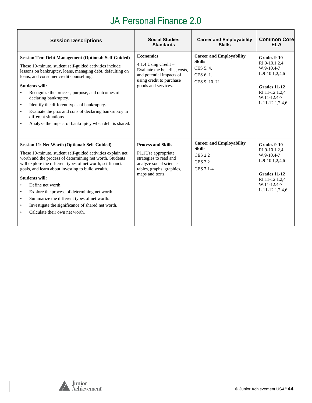| <b>Session Descriptions</b>                                                                                                                                                                                                                                                                                                                                                                                                                                                                                                                                                                         | <b>Social Studies</b><br><b>Standards</b>                                                                                                                  | <b>Career and Employability</b><br><b>Skills</b>                                                  | <b>Common Core</b><br><b>ELA</b>                                                                                                        |
|-----------------------------------------------------------------------------------------------------------------------------------------------------------------------------------------------------------------------------------------------------------------------------------------------------------------------------------------------------------------------------------------------------------------------------------------------------------------------------------------------------------------------------------------------------------------------------------------------------|------------------------------------------------------------------------------------------------------------------------------------------------------------|---------------------------------------------------------------------------------------------------|-----------------------------------------------------------------------------------------------------------------------------------------|
| <b>Session Ten: Debt Management (Optional: Self-Guided)</b><br>These 10-minute, student self-guided activities include<br>lessons on bankruptcy, loans, managing debt, defaulting on<br>loans, and consumer credit counselling.<br><b>Students will:</b><br>Recognize the process, purpose, and outcomes of<br>$\bullet$<br>declaring bankruptcy.<br>Identify the different types of bankruptcy.<br>$\bullet$<br>Evaluate the pros and cons of declaring bankruptcy in<br>$\bullet$<br>different situations.<br>Analyze the impact of bankruptcy when debt is shared.<br>$\bullet$                  | <b>Economics</b><br>4.1.4 Using Credit $-$<br>Evaluate the benefits, costs,<br>and potential impacts of<br>using credit to purchase<br>goods and services. | <b>Career and Employability</b><br><b>Skills</b><br>CES 5.4.<br>CES 6.1.<br>CES 9.10. U           | Grades 9-10<br>RI.9-10.1,2,4<br>W.9-10.4-7<br>L.9-10.1,2,4,6<br><b>Grades 11-12</b><br>RI.11-12.1,2,4<br>W.11-12.4-7<br>L.11-12.1,2,4,6 |
| Session 11: Net Worth (Optional: Self-Guided)<br>These 10-minute, student self-guided activities explain net<br>worth and the process of determining net worth. Students<br>will explore the different types of net worth, set financial<br>goals, and learn about investing to build wealth.<br><b>Students will:</b><br>Define net worth.<br>$\bullet$<br>Explore the process of determining net worth.<br>$\bullet$<br>Summarize the different types of net worth.<br>$\bullet$<br>Investigate the significance of shared net worth.<br>$\bullet$<br>Calculate their own net worth.<br>$\bullet$ | <b>Process and Skills</b><br>P1.1Use appropriate<br>strategies to read and<br>analyze social science<br>tables, graphs, graphics,<br>maps and texts.       | <b>Career and Employability</b><br><b>Skills</b><br><b>CES 2.2</b><br><b>CES 3.2</b><br>CES 7.1-4 | Grades 9-10<br>RI.9-10.1,2,4<br>W.9-10.4-7<br>L.9-10.1,2,4,6<br>Grades 11-12<br>RI.11-12.1,2,4<br>W.11-12.4-7<br>L.11-12.1,2,4,6        |

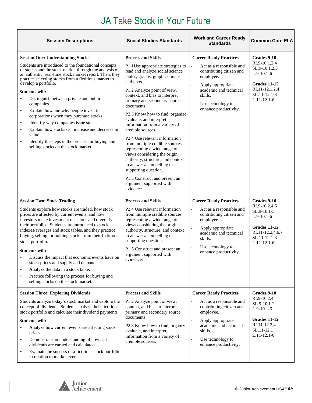<span id="page-44-0"></span>

| <b>Session Descriptions</b>                                                                                                                                                                                                                                                                                                                                                                                                                                                                                                                                                                                                                                                                                                   | <b>Social Studies Standards</b>                                                                                                                                                                                                                                                                                                                                                                                                                                                                                                                                                                                                                                                              | <b>Work and Career Ready</b><br><b>Standards</b>                                                                                                                                                           | <b>Common Core ELA</b>                                                                                                           |
|-------------------------------------------------------------------------------------------------------------------------------------------------------------------------------------------------------------------------------------------------------------------------------------------------------------------------------------------------------------------------------------------------------------------------------------------------------------------------------------------------------------------------------------------------------------------------------------------------------------------------------------------------------------------------------------------------------------------------------|----------------------------------------------------------------------------------------------------------------------------------------------------------------------------------------------------------------------------------------------------------------------------------------------------------------------------------------------------------------------------------------------------------------------------------------------------------------------------------------------------------------------------------------------------------------------------------------------------------------------------------------------------------------------------------------------|------------------------------------------------------------------------------------------------------------------------------------------------------------------------------------------------------------|----------------------------------------------------------------------------------------------------------------------------------|
| <b>Session One: Understanding Stocks</b><br>Students are introduced to the foundational concepts<br>of stocks and the stock market through the analysis of<br>an authentic, real-time stock market report. Then, they<br>practice selecting stocks from a fictitious market to<br>develop a portfolio.<br><b>Students will:</b><br>Distinguish between private and public<br>companies.<br>Explain how and why people invest in<br>$\bullet$<br>corporations when they purchase stocks.<br>Identify why companies issue stock.<br>$\bullet$<br>Explain how stocks can increase and decrease in<br>$\bullet$<br>value.<br>Identify the steps in the process for buying and<br>$\bullet$<br>selling stocks on the stock market. | <b>Process and Skills</b><br>P1.1Use appropriate strategies to<br>read and analyze social science<br>tables, graphs, graphics, maps<br>and texts.<br>P1.2 Analyze point of view,<br>context, and bias to interpret<br>primary and secondary source<br>documents.<br>P2.3 Know how to find, organize,<br>evaluate, and interpret<br>information from a variety of<br>credible sources.<br>P2.4 Use relevant information<br>from multiple credible sources<br>representing a wide range of<br>views considering the origin,<br>authority, structure, and context<br>to answer a compelling or<br>supporting question.<br>P1.5 Construct and present an<br>argument supported with<br>evidence. | <b>Career Ready Practices</b><br>Act as a responsible and<br>contributing citizen and<br>employee.<br>Apply appropriate<br>academic and technical<br>skills.<br>Use technology to<br>enhance productivity. | Grades 9-10<br>RI.9-10.1,2,4<br>SL.9-10.1,2,3<br>$L.9-10.1-6$<br>Grades 11-12<br>RI.11-12.1,2,4<br>SL.11-12.1-3<br>$L.11-12.1-6$ |
| <b>Session Two: Stock Trading</b><br>Students explore how stocks are traded, how stock<br>prices are affected by current events, and how<br>investors make investment decisions and diversify<br>their portfolios. Students are introduced to stock<br>indexes/averages and stock tables, and they practice<br>buying, selling, or holding stocks from their fictitious<br>stock portfolio.<br><b>Students will:</b><br>Discuss the impact that economic events have on<br>stock prices and supply and demand.<br>Analyze the data in a stock table.<br>$\bullet$<br>Practice following the process for buying and<br>$\bullet$<br>selling stocks on the stock market.                                                        | <b>Process and Skills</b><br>P2.4 Use relevant information<br>from multiple credible sources<br>representing a wide range of<br>views considering the origin,<br>authority, structure, and context<br>to answer a compelling or<br>supporting question.<br>P1.5 Construct and present an<br>argument supported with<br>evidence.                                                                                                                                                                                                                                                                                                                                                             | <b>Career Ready Practices</b><br>Act as a responsible and<br>contributing citizen and<br>employee.<br>Apply appropriate<br>academic and technical<br>skills.<br>Use technology to<br>enhance productivity. | Grades 9-10<br>RI.9-10.2,4,6<br>SL.9-10.1-3<br>$L.9-10.1-6$<br>Grades 11-12<br>RI.11-12.2,4,6,7<br>SL.11-12.1-3<br>$L.11-12.1-6$ |
| <b>Session Three: Exploring Dividends</b><br>Students analyze today's stock market and explore the<br>concept of dividends. Students analyze their fictitious<br>stock portfolio and calculate their dividend payments.<br><b>Students will:</b><br>Analyze how current events are affecting stock<br>prices.<br>Demonstrate an understanding of how cash<br>$\bullet$<br>dividends are earned and calculated.<br>Evaluate the success of a fictitious stock portfolio<br>$\bullet$<br>in relation to market events.                                                                                                                                                                                                          | <b>Process and Skills</b><br>P1.2 Analyze point of view,<br>context, and bias to interpret<br>primary and secondary source<br>documents.<br>P2.3 Know how to find, organize,<br>evaluate, and interpret<br>information from a variety of<br>credible sources.                                                                                                                                                                                                                                                                                                                                                                                                                                | <b>Career Ready Practices</b><br>Act as a responsible and<br>contributing citizen and<br>employee.<br>Apply appropriate<br>academic and technical<br>skills.<br>Use technology to<br>enhance productivity. | Grades 9-10<br>RI.9-10.2,4<br>SL.9-10.1-2<br>$L.9-10.1-6$<br>Grades 11-12<br>RI.11-12.2,4<br>SL.11-12.1<br>$L.11-12.1-6$         |

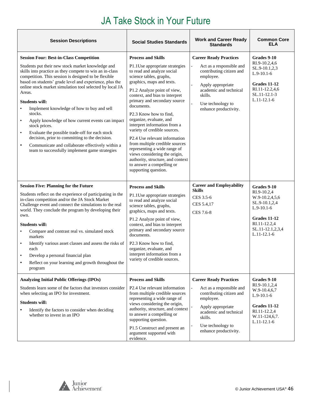| <b>Session Descriptions</b>                                                                                                                                                                                                                                                                                                                                                                                                                                                                                                                                                                                                                                                                                                                                     | <b>Social Studies Standards</b>                                                                                                                                                                                                                                                                                                                                                                                                                                                                                                                                                                                     | <b>Work and Career Ready</b><br><b>Standards</b>                                                                                                                                                           | <b>Common Core</b><br><b>ELA</b>                                                                                                                   |
|-----------------------------------------------------------------------------------------------------------------------------------------------------------------------------------------------------------------------------------------------------------------------------------------------------------------------------------------------------------------------------------------------------------------------------------------------------------------------------------------------------------------------------------------------------------------------------------------------------------------------------------------------------------------------------------------------------------------------------------------------------------------|---------------------------------------------------------------------------------------------------------------------------------------------------------------------------------------------------------------------------------------------------------------------------------------------------------------------------------------------------------------------------------------------------------------------------------------------------------------------------------------------------------------------------------------------------------------------------------------------------------------------|------------------------------------------------------------------------------------------------------------------------------------------------------------------------------------------------------------|----------------------------------------------------------------------------------------------------------------------------------------------------|
| <b>Session Four: Best-in-Class Competition</b><br>Students put their new stock market knowledge and<br>skills into practice as they compete to win an in-class<br>competition. This session is designed to be flexible<br>based on students' grade level and experience, plus the<br>online stock market simulation tool selected by local JA<br>Areas.<br><b>Students will:</b><br>Implement knowledge of how to buy and sell<br>stocks.<br>Apply knowledge of how current events can impact<br>$\bullet$<br>stock prices.<br>Evaluate the possible trade-off for each stock<br>$\bullet$<br>decision, prior to committing to the decision.<br>Communicate and collaborate effectively within a<br>$\bullet$<br>team to successfully implement game strategies | <b>Process and Skills</b><br>P1.1Use appropriate strategies<br>to read and analyze social<br>science tables, graphs,<br>graphics, maps and texts.<br>P1.2 Analyze point of view,<br>context, and bias to interpret<br>primary and secondary source<br>documents.<br>P2.3 Know how to find,<br>organize, evaluate, and<br>interpret information from a<br>variety of credible sources.<br>P2.4 Use relevant information<br>from multiple credible sources<br>representing a wide range of<br>views considering the origin,<br>authority, structure, and context<br>to answer a compelling or<br>supporting question. | <b>Career Ready Practices</b><br>Act as a responsible and<br>contributing citizen and<br>employee.<br>Apply appropriate<br>academic and technical<br>skills.<br>Use technology to<br>enhance productivity. | Grades 9-10<br>RI.9-10.2,4,6<br>SL.9-10.1,2,3<br>$L.9-10.1-6$<br>Grades 11-12<br>RI.11-12.2,4,6<br>SL.11-12.1-3<br>$L.11-12.1-6$                   |
| <b>Session Five: Planning for the Future</b><br>Students reflect on the experience of participating in the<br>in-class competition and/or the JA Stock Market<br>Challenge event and connect the simulations to the real<br>world. They conclude the program by developing their<br>own.<br><b>Students will:</b><br>Compare and contrast real vs. simulated stock<br>$\bullet$<br>markets<br>Identify various asset classes and assess the risks of<br>$\bullet$<br>each<br>Develop a personal financial plan<br>Reflect on your learning and growth throughout the<br>program                                                                                                                                                                                 | <b>Process and Skills</b><br>P1.1Use appropriate strategies<br>to read and analyze social<br>science tables, graphs,<br>graphics, maps and texts.<br>P1.2 Analyze point of view,<br>context, and bias to interpret<br>primary and secondary source<br>documents.<br>P <sub>2.3</sub> Know how to find.<br>organize, evaluate, and<br>interpret information from a<br>variety of credible sources.                                                                                                                                                                                                                   | <b>Career and Employability</b><br><b>Skills</b><br>CES 3.5-6<br>CES 5.4,17<br>CES 7.6-8                                                                                                                   | Grades 9-10<br>RI.9-10.2,4<br>W.9-10.2,4,5,6<br>SL.9-10.1,2,4<br>$L.9-10.1-6$<br>Grades 11-12<br>RI.11-12.2,4<br>SL.11-12.1,2,3,4<br>$L.11-12.1-6$ |
| <b>Analyzing Initial Public Offerings (IPOs)</b><br>Students learn some of the factors that investors consider<br>when selecting an IPO for investment.<br><b>Students will:</b><br>Identify the factors to consider when deciding<br>whether to invest in an IPO                                                                                                                                                                                                                                                                                                                                                                                                                                                                                               | <b>Process and Skills</b><br>P2.4 Use relevant information<br>from multiple credible sources<br>representing a wide range of<br>views considering the origin,<br>authority, structure, and context<br>to answer a compelling or<br>supporting question.<br>P1.5 Construct and present an<br>argument supported with<br>evidence.                                                                                                                                                                                                                                                                                    | <b>Career Ready Practices</b><br>Act as a responsible and<br>contributing citizen and<br>employee.<br>Apply appropriate<br>academic and technical<br>skills.<br>Use technology to<br>enhance productivity. | Grades 9-10<br>RI.9-10.1,2,4<br>W.9-10.4,6,7<br>$L.9-10.1-6$<br>Grades 11-12<br>RI.11-12.2,4<br>W.11-124,6,7.<br>$L.11-12.1-6$                     |

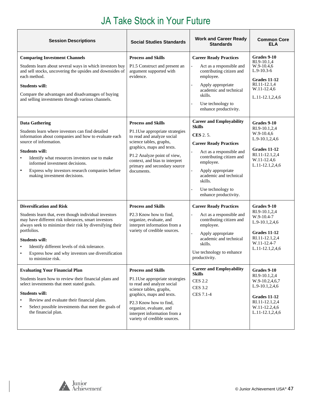| <b>Session Descriptions</b>                                                                                                                                                                                                                                                                                                                                                          | <b>Social Studies Standards</b>                                                                                                                                                                                                                                        | <b>Work and Career Ready</b><br><b>Standards</b>                                                                                                                                                                                                                                  | <b>Common Core</b><br><b>ELA</b>                                                                                                              |
|--------------------------------------------------------------------------------------------------------------------------------------------------------------------------------------------------------------------------------------------------------------------------------------------------------------------------------------------------------------------------------------|------------------------------------------------------------------------------------------------------------------------------------------------------------------------------------------------------------------------------------------------------------------------|-----------------------------------------------------------------------------------------------------------------------------------------------------------------------------------------------------------------------------------------------------------------------------------|-----------------------------------------------------------------------------------------------------------------------------------------------|
| <b>Comparing Investment Channels</b><br>Students learn about several ways in which investors buy<br>and sell stocks, uncovering the upsides and downsides of<br>each method.<br><b>Students will:</b><br>Compare the advantages and disadvantages of buying<br>and selling investments through various channels.                                                                     | <b>Process and Skills</b><br>P1.5 Construct and present an<br>argument supported with<br>evidence.                                                                                                                                                                     | <b>Career Ready Practices</b><br>Act as a responsible and<br>contributing citizen and<br>employee.<br>Apply appropriate<br>academic and technical<br>skills.<br>Use technology to<br>enhance productivity.                                                                        | Grades 9-10<br>RI.9-10.1,4<br>W.9-10.4,6<br>$L.9-10.3-6$<br>Grades 11-12<br>RI.11-12.1,4<br>W.11-12.4,6<br>L.11-12.1,2,4,6                    |
| <b>Data Gathering</b><br>Students learn where investors can find detailed<br>information about companies and how to evaluate each<br>source of information.<br><b>Students will:</b><br>Identify what resources investors use to make<br>$\bullet$<br>informed investment decisions.<br>$\bullet$<br>Express why investors research companies before<br>making investment decisions. | <b>Process and Skills</b><br>P1.1Use appropriate strategies<br>to read and analyze social<br>science tables, graphs,<br>graphics, maps and texts.<br>P1.2 Analyze point of view,<br>context, and bias to interpret<br>primary and secondary source<br>documents.       | <b>Career and Employability</b><br><b>Skills</b><br><b>CES</b> 2.5.<br><b>Career Ready Practices</b><br>Act as a responsible and<br>contributing citizen and<br>employee.<br>Apply appropriate<br>academic and technical<br>skills.<br>Use technology to<br>enhance productivity. | Grades 9-10<br>RI.9-10.1,2,4<br>W.9-10.4,6<br>$L.9-10.1, 2, 4, 6$<br><b>Grades 11-12</b><br>RI.11-12.1,2,4<br>W.11-12.4,6<br>L.11-12.1,2,4,6  |
| <b>Diversification and Risk</b><br>Students learn that, even though individual investors<br>may have different risk tolerances, smart investors<br>always seek to minimize their risk by diversifying their<br>portfolios.<br><b>Students will:</b><br>Identify different levels of risk tolerance.<br>Express how and why investors use diversification<br>to minimize risk.        | <b>Process and Skills</b><br>P2.3 Know how to find,<br>organize, evaluate, and<br>interpret information from a<br>variety of credible sources.                                                                                                                         | <b>Career Ready Practices</b><br>Act as a responsible and<br>contributing citizen and<br>employee.<br>Apply appropriate<br>academic and technical<br>skills.<br>Use technology to enhance<br>productivity.<br><b>Career and Employability</b>                                     | Grades 9-10<br>RI.9-10.1,2,4<br>W.9-10.4-7<br>L.9-10.1,2,4,6<br>Grades 11-12<br>RI.11-12.1,2,4<br>W.11-12.4-7<br>L.11-12.1,2,4,6              |
| <b>Evaluating Your Financial Plan</b><br>Students learn how to review their financial plans and<br>select investments that meet stated goals.<br><b>Students will:</b><br>Review and evaluate their financial plans.<br>Select possible investments that meet the goals of<br>the financial plan.                                                                                    | <b>Process and Skills</b><br>P1.1Use appropriate strategies<br>to read and analyze social<br>science tables, graphs,<br>graphics, maps and texts.<br>P2.3 Know how to find,<br>organize, evaluate, and<br>interpret information from a<br>variety of credible sources. | <b>Skills</b><br><b>CES 2.2</b><br><b>CES 3.2</b><br>CES 7.1-4                                                                                                                                                                                                                    | Grades 9-10<br>RI.9-10.1,2,4<br>W.9-10.2,4,6,7<br>L.9-10.1,2,4,6<br><b>Grades 11-12</b><br>RI.11-12.1,2,4<br>W.11-12.2,4,6<br>L.11-12.1,2,4,6 |

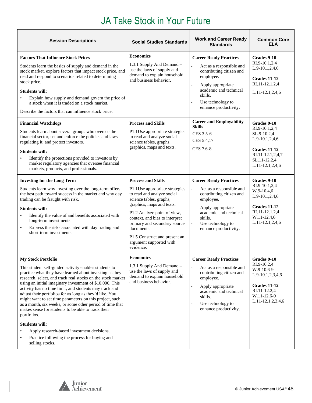| <b>Session Descriptions</b>                                                                                                                                                                                                                                                                                                                                                                                                                                                                                                                                                                                                                                                                                                         | <b>Social Studies Standards</b>                                                                                                                                                                                                                                                                                                           | <b>Work and Career Ready</b><br><b>Standards</b>                                                                                                                                                           | <b>Common Core</b><br><b>ELA</b>                                                                                                                 |
|-------------------------------------------------------------------------------------------------------------------------------------------------------------------------------------------------------------------------------------------------------------------------------------------------------------------------------------------------------------------------------------------------------------------------------------------------------------------------------------------------------------------------------------------------------------------------------------------------------------------------------------------------------------------------------------------------------------------------------------|-------------------------------------------------------------------------------------------------------------------------------------------------------------------------------------------------------------------------------------------------------------------------------------------------------------------------------------------|------------------------------------------------------------------------------------------------------------------------------------------------------------------------------------------------------------|--------------------------------------------------------------------------------------------------------------------------------------------------|
| <b>Factors That Influence Stock Prices</b><br>Students learn the basics of supply and demand in the<br>stock market, explore factors that impact stock price, and<br>read and respond to scenarios related to determining<br>stock price.<br><b>Students will:</b><br>Explain how supply and demand govern the price of<br>$\bullet$<br>a stock when it is traded on a stock market.<br>Describe the factors that can influence stock price.                                                                                                                                                                                                                                                                                        | <b>Economics</b><br>1.3.1 Supply And Demand -<br>use the laws of supply and<br>demand to explain household<br>and business behavior.                                                                                                                                                                                                      | <b>Career Ready Practices</b><br>Act as a responsible and<br>contributing citizen and<br>employee.<br>Apply appropriate<br>academic and technical<br>skills.<br>Use technology to<br>enhance productivity. | Grades 9-10<br>RI.9-10.1,2,4<br>L.9-10.1,2,4,6<br>Grades 11-12<br>RI.11-12.1,2,4<br>L.11-12.1,2,4,6                                              |
| <b>Financial Watchdogs</b><br>Students learn about several groups who oversee the<br>financial sector, set and enforce the policies and laws<br>regulating it, and protect investors.<br><b>Students will:</b><br>Identify the protections provided to investors by<br>$\bullet$<br>market regulatory agencies that oversee financial<br>markets, products, and professionals.                                                                                                                                                                                                                                                                                                                                                      | <b>Process and Skills</b><br>P1.1Use appropriate strategies<br>to read and analyze social<br>science tables, graphs,<br>graphics, maps and texts.                                                                                                                                                                                         | <b>Career and Employability</b><br><b>Skills</b><br>CES 3.5-6<br>CES 5.4,17<br>CES 7.6-8                                                                                                                   | Grades 9-10<br>RI.9-10.1,2,4<br>SL.9-10.2,4<br>$L.9-10.1, 2, 4, 6$<br><b>Grades 11-12</b><br>RI.11-12.1,2,4,7<br>SL.11-12.2,4<br>L.11-12.1,2,4,6 |
| <b>Investing for the Long Term</b><br>Students learn why investing over the long-term offers<br>the best path toward success in the market and why day<br>trading can be fraught with risk.<br><b>Students will:</b><br>Identify the value of and benefits associated with<br>long-term investments.<br>Express the risks associated with day trading and<br>$\bullet$<br>short-term investments.                                                                                                                                                                                                                                                                                                                                   | <b>Process and Skills</b><br>P1.1Use appropriate strategies<br>to read and analyze social<br>science tables, graphs,<br>graphics, maps and texts.<br>P1.2 Analyze point of view,<br>context, and bias to interpret<br>primary and secondary source<br>documents.<br>P1.5 Construct and present an<br>argument supported with<br>evidence. | <b>Career Ready Practices</b><br>Act as a responsible and<br>contributing citizen and<br>employee.<br>Apply appropriate<br>academic and technical<br>skills.<br>Use technology to<br>enhance productivity. | Grades 9-10<br>RI.9-10.1,2,4<br>$W.9-10.4,6$<br>$L.9-10.1, 2, 4, 6$<br>Grades 11-12<br>RI.11-12.1,2,4<br>W.11-12.4,6<br>L.11-12.1,2,4,6          |
| <b>My Stock Portfolio</b><br>This student self-guided activity enables students to<br>practice what they have learned about investing as they<br>research, select, and track real stocks on the stock market<br>using an initial imaginary investment of \$10,000. This<br>activity has no time limit, and students may track and<br>adjust their portfolios for as long as they'd like. You<br>might want to set time parameters on this project, such<br>as a month, six weeks, or some other period of time that<br>makes sense for students to be able to track their<br>portfolios.<br><b>Students will:</b><br>Apply research-based investment decisions.<br>Practice following the process for buying and<br>selling stocks. | <b>Economics</b><br>1.3.1 Supply And Demand -<br>use the laws of supply and<br>demand to explain household<br>and business behavior.                                                                                                                                                                                                      | <b>Career Ready Practices</b><br>Act as a responsible and<br>contributing citizen and<br>employee.<br>Apply appropriate<br>academic and technical<br>skills.<br>Use technology to<br>enhance productivity. | Grades 9-10<br>RI.9-10.2,4<br>W.9-10.6-9<br>L.9-10.1,2,3,4,6<br><b>Grades 11-12</b><br>RI.11-12.2,4<br>W.11-12.6-9<br>L.11-12.1,2,3,4,6          |

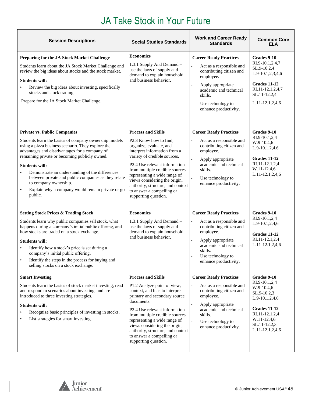| <b>Session Descriptions</b>                                                                                                                                                                                                                                                                                                                                                                                                                                                    | <b>Social Studies Standards</b>                                                                                                                                                                                                                                                                                                                                                                      | <b>Work and Career Ready</b><br><b>Standards</b>                                                                                                                                                           | <b>Common Core</b><br>ELA                                                                                                                                              |
|--------------------------------------------------------------------------------------------------------------------------------------------------------------------------------------------------------------------------------------------------------------------------------------------------------------------------------------------------------------------------------------------------------------------------------------------------------------------------------|------------------------------------------------------------------------------------------------------------------------------------------------------------------------------------------------------------------------------------------------------------------------------------------------------------------------------------------------------------------------------------------------------|------------------------------------------------------------------------------------------------------------------------------------------------------------------------------------------------------------|------------------------------------------------------------------------------------------------------------------------------------------------------------------------|
| Preparing for the JA Stock Market Challenge<br>Students learn about the JA Stock Market Challenge and<br>review the big ideas about stocks and the stock market.<br><b>Students will:</b><br>Review the big ideas about investing, specifically<br>stocks and stock trading.<br>Prepare for the JA Stock Market Challenge.                                                                                                                                                     | <b>Economics</b><br>1.3.1 Supply And Demand -<br>use the laws of supply and<br>demand to explain household<br>and business behavior.                                                                                                                                                                                                                                                                 | <b>Career Ready Practices</b><br>Act as a responsible and<br>contributing citizen and<br>employee.<br>Apply appropriate<br>academic and technical<br>skills.<br>Use technology to<br>enhance productivity. | Grades 9-10<br>RI.9-10.1,2,4,7<br>SL.9-10.2,4<br>L.9-10.1,2,3,4,6<br><b>Grades 11-12</b><br>RI.11-12.1,2,4,7<br>SL.11-12.2,4<br>L.11-12.1,2,4,6                        |
| <b>Private vs. Public Companies</b><br>Students learn the basics of company ownership models<br>using a pizza business scenario. They explore the<br>advantages and disadvantages for a company of<br>remaining private or becoming publicly owned.<br><b>Students will:</b><br>Demonstrate an understanding of the differences<br>between private and public companies as they relate<br>to company ownership.<br>Explain why a company would remain private or go<br>public. | <b>Process and Skills</b><br>P2.3 Know how to find,<br>organize, evaluate, and<br>interpret information from a<br>variety of credible sources.<br>P <sub>2.4</sub> U <sub>se</sub> relevant information<br>from multiple credible sources<br>representing a wide range of<br>views considering the origin,<br>authority, structure, and context<br>to answer a compelling or<br>supporting question. | <b>Career Ready Practices</b><br>Act as a responsible and<br>contributing citizen and<br>employee.<br>Apply appropriate<br>academic and technical<br>skills.<br>Use technology to<br>enhance productivity. | Grades 9-10<br>RI.9-10.1,2,4<br>W.9-10.4,6<br>L.9-10.1,2,4,6<br>Grades 11-12<br>RI.11-12.1,2,4<br>W.11-12.4,6<br>L.11-12.1,2,4,6                                       |
| <b>Setting Stock Prices &amp; Trading Stock</b><br>Students learn why public companies sell stock, what<br>happens during a company's initial public offering, and<br>how stocks are traded on a stock exchange.<br><b>Students will:</b><br>Identify how a stock's price is set during a<br>company's initial public offering.<br>Identify the steps in the process for buying and<br>selling stocks on a stock exchange.                                                     | <b>Economics</b><br>1.3.1 Supply And Demand -<br>use the laws of supply and<br>demand to explain household<br>and business behavior.                                                                                                                                                                                                                                                                 | <b>Career Ready Practices</b><br>Act as a responsible and<br>contributing citizen and<br>employee.<br>Apply appropriate<br>academic and technical<br>skills.<br>Use technology to<br>enhance productivity. | Grades 9-10<br>RI.9-10.1,2,4<br>L.9-10.1,2,4,6<br>Grades 11-12<br>RI.11-12.1,2,4<br>L.11-12.1,2,4,6                                                                    |
| <b>Smart Investing</b><br>Students learn the basics of stock market investing, read<br>and respond to scenarios about investing, and are<br>introduced to three investing strategies.<br><b>Students will:</b><br>Recognize basic principles of investing in stocks.<br>List strategies for smart investing.                                                                                                                                                                   | <b>Process and Skills</b><br>P1.2 Analyze point of view,<br>context, and bias to interpret<br>primary and secondary source<br>documents.<br>P2.4 Use relevant information<br>from multiple credible sources<br>representing a wide range of<br>views considering the origin,<br>authority, structure, and context<br>to answer a compelling or<br>supporting question.                               | <b>Career Ready Practices</b><br>Act as a responsible and<br>contributing citizen and<br>employee.<br>Apply appropriate<br>academic and technical<br>skills.<br>Use technology to<br>enhance productivity. | Grades 9-10<br>RI.9-10.1,2,4<br>W.9-10.4,6<br>SL.9-10.2,3<br>L.9-10.1,2,4,6<br><b>Grades 11-12</b><br>RI.11-12.1,2,4<br>W.11-12.4,6<br>SL.11-12.2,3<br>L.11-12.1,2,4,6 |

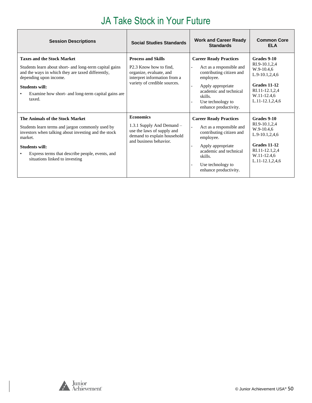| <b>Session Descriptions</b>                                                                                                                                                                                                                                          | <b>Social Studies Standards</b>                                                                                                                            | <b>Work and Career Ready</b><br><b>Standards</b>                                                                                                                                                           | <b>Common Core</b><br><b>ELA</b>                                                                                                               |
|----------------------------------------------------------------------------------------------------------------------------------------------------------------------------------------------------------------------------------------------------------------------|------------------------------------------------------------------------------------------------------------------------------------------------------------|------------------------------------------------------------------------------------------------------------------------------------------------------------------------------------------------------------|------------------------------------------------------------------------------------------------------------------------------------------------|
| <b>Taxes and the Stock Market</b><br>Students learn about short- and long-term capital gains<br>and the ways in which they are taxed differently,<br>depending upon income.<br><b>Students will:</b><br>Examine how short- and long-term capital gains are<br>taxed. | <b>Process and Skills</b><br>P <sub>2.3</sub> Know how to find.<br>organize, evaluate, and<br>interpret information from a<br>variety of credible sources. | <b>Career Ready Practices</b><br>Act as a responsible and<br>contributing citizen and<br>employee.<br>Apply appropriate<br>academic and technical<br>skills.<br>Use technology to<br>enhance productivity. | Grades 9-10<br>RI.9-10.1,2,4<br>$W.9-10.4,6$<br>$L.9-10.1, 2, 4, 6$<br>Grades 11-12<br>RI.11-12.1,2,4<br>W.11-12.4,6<br>$L.11 - 12.1, 2, 4, 6$ |
| The Animals of the Stock Market<br>Students learn terms and jargon commonly used by<br>investors when talking about investing and the stock<br>market.<br><b>Students will:</b><br>Express terms that describe people, events, and<br>situations linked to investing | <b>Economics</b><br>1.3.1 Supply And Demand -<br>use the laws of supply and<br>demand to explain household<br>and business behavior.                       | <b>Career Ready Practices</b><br>Act as a responsible and<br>contributing citizen and<br>employee.<br>Apply appropriate<br>academic and technical<br>skills.<br>Use technology to<br>enhance productivity. | Grades 9-10<br>RI.9-10.1,2,4<br>W.9-10.4,6<br>$L.9-10.1, 2, 4, 6$<br>Grades 11-12<br>RI.11-12.1,2,4<br>W.11-12.4,6<br>$L.11 - 12.1, 2, 4, 6$   |

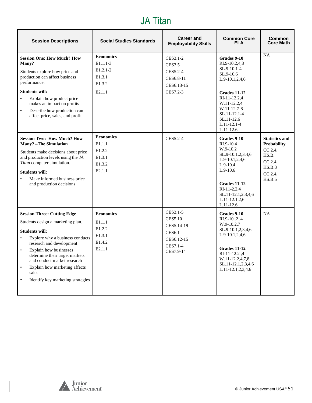#### JA Titan

| <b>Session Descriptions</b>                                                                                                                                                                                                                                                                                                                                                                   | <b>Social Studies Standards</b>                                              | <b>Career and</b><br><b>Employability Skills</b>                                                 | <b>Common Core</b><br><b>ELA</b>                                                                                                                                                                              | <b>Common</b><br><b>Core Math</b>                                                                            |
|-----------------------------------------------------------------------------------------------------------------------------------------------------------------------------------------------------------------------------------------------------------------------------------------------------------------------------------------------------------------------------------------------|------------------------------------------------------------------------------|--------------------------------------------------------------------------------------------------|---------------------------------------------------------------------------------------------------------------------------------------------------------------------------------------------------------------|--------------------------------------------------------------------------------------------------------------|
| <b>Session One: How Much? How</b><br>Many?<br>Students explore how price and<br>production can affect business<br>performance.<br><b>Students will:</b><br>$\bullet$<br>Explain how product price<br>makes an impact on profits<br>Describe how production can<br>$\bullet$<br>affect price, sales, and profit                                                                                | <b>Economics</b><br>$E1.1.1-3$<br>$E1.2.1 - 2$<br>E1.3.1<br>E1.3.2<br>E2.1.1 | CES3.1-2<br><b>CES3.5</b><br>CES5.2-4<br>CES6.8-11<br>CES6.13-15<br>CES7.2-3                     | Grades 9-10<br>RI.9-10.2,4,8<br>SL.9-10.1-4<br>$SL.9-10.6$<br>$L.9-10.1, 2, 4, 6$<br>Grades 11-12<br>RI-11-12.2.4<br>W.11-12.2,4<br>W.11-12.7-8<br>SL.11-12.1-4<br>SL.11-12.6<br>$L.11-12.1-4$<br>$L.11-12.6$ | <b>NA</b>                                                                                                    |
| <b>Session Two: How Much? How</b><br><b>Many?</b> -The Simulation<br>Students make decisions about price<br>and production levels using the JA<br>Titan computer simulation.<br><b>Students will:</b><br>Make informed business price<br>$\bullet$<br>and production decisions                                                                                                                | <b>Economics</b><br>E1.1.1<br>E1.2.2<br>E1.3.1<br>E1.3.2<br>E2.1.1           | CES5.2-4                                                                                         | Grades 9-10<br>RI.9-10.4<br>W.9-10.2<br>SL.9-10.1,2,3,4,6<br>$L.9-10.1, 2, 4, 6$<br>$L.9-10.4$<br>$L.9-10.6$<br>Grades 11-12<br>RI-11-2.2,4<br>SL.11-12.1,2,3,4,6<br>$L.11 - 12.1, 2.6$<br>$L.11-12.6$        | <b>Statistics and</b><br><b>Probability</b><br>CC.2.4.<br>HS.B.<br>CC.2.4.<br>HS.B.3<br>$CC.2.4$ .<br>HS.B.5 |
| <b>Session Three: Cutting Edge</b><br>Students design a marketing plan.<br><b>Students will:</b><br>Explore why a business conducts<br>$\bullet$<br>research and development<br>Explain how businesses<br>$\bullet$<br>determine their target markets<br>and conduct market research<br>Explain how marketing affects<br>$\bullet$<br>sales<br>Identify key marketing strategies<br>$\bullet$ | <b>Economics</b><br>E1.1.1<br>E1.2.2<br>E1.3.1<br>E1.4.2<br>E2.1.1           | CES3.1-5<br><b>CES5.10</b><br>CES5.14-19<br><b>CES6.1</b><br>CES6.12-15<br>CES7.1-4<br>CES7.9-14 | Grades 9-10<br>RI.9-102,4<br>$W.9-10.2,7$<br>SL.9-10.1,2,3,4,6<br>L.9-10.1,2,4,6<br>Grades 11-12<br>RI-11-12.2,4<br>W.11-12.2,4,7,8<br>SL.11-12.1,2,3,4,6<br>L.11-12.1,2,3,4,6                                | <b>NA</b>                                                                                                    |

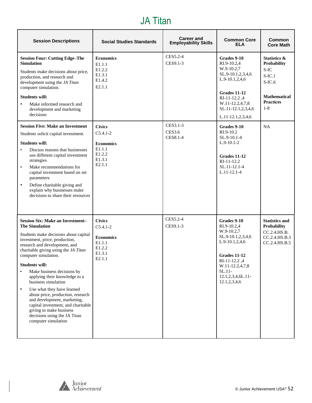#### JA Titan

| <b>Session Descriptions</b>                                                                                                                                                                                                                                                                                                                                                                                                                                                                                                                                                                        | <b>Social Studies Standards</b>                                                                       | <b>Career and</b><br><b>Employability Skills</b> | <b>Common Core</b><br><b>ELA</b>                                                                                                                                                     | <b>Common</b><br><b>Core Math</b>                                                                                  |
|----------------------------------------------------------------------------------------------------------------------------------------------------------------------------------------------------------------------------------------------------------------------------------------------------------------------------------------------------------------------------------------------------------------------------------------------------------------------------------------------------------------------------------------------------------------------------------------------------|-------------------------------------------------------------------------------------------------------|--------------------------------------------------|--------------------------------------------------------------------------------------------------------------------------------------------------------------------------------------|--------------------------------------------------------------------------------------------------------------------|
| <b>Session Four: Cutting Edge-The</b><br><b>Simulation</b><br>Students make decisions about price,<br>production, and research and<br>development using the JA Titan<br>computer simulation.<br><b>Students will:</b><br>Make informed research and<br>$\bullet$<br>development and marketing<br>decisions                                                                                                                                                                                                                                                                                         | <b>Economics</b><br>E1.1.1<br>E1.2.2<br>E1.3.1<br>E1.4.2<br>E2.1.1                                    | CES5.2-4<br>CES9.1-3                             | Grades 9-10<br>RI.9-10.2,4<br>W.9-10.2,7<br>SL.9-10.1,2,3,4,6<br>L.9-10.1,2,4,6<br><b>Grades 11-12</b><br>RI-11-12.2,4<br>W.11-12.2,4,7,8<br>SL.11-12.1,2,3,4,6<br>L.11-12.1,2,3,4,6 | Statistics &<br>Probability<br>S-IC<br>$S$ -IC.1<br>$S-IC.6$<br><b>Mathematical</b><br><b>Practices</b><br>$1 - 8$ |
| <b>Session Five: Make an Investment</b><br>Students solicit capital investment.<br><b>Students will:</b><br>Discuss reasons that businesses<br>$\bullet$<br>use different capital investment<br>strategies<br>Make recommendations for<br>$\bullet$<br>capital investment based on set<br>parameters<br>Define charitable giving and<br>$\bullet$<br>explain why businesses make<br>decisions to share their resources                                                                                                                                                                             | <b>Civics</b><br>$C5.4.1 - 2$<br><b>Economics</b><br>E1.1.1<br>E1.2.2<br>E1.3.1<br>E2.1.1             | CES3.1-3<br>CES3.6<br><b>CES8.1-4</b>            | Grades 9-10<br>RI.9-10.2<br>SL.9-10.1-4<br>$L.9-10.1-2$<br>Grades 11-12<br>RI-11-12.2<br>SL.11-12.1-4<br>$L.11-12.1-4$                                                               | <b>NA</b>                                                                                                          |
| <b>Session Six: Make an Investment-</b><br><b>The Simulation</b><br>Students make decisions about capital<br>investment, price, production,<br>research and development, and<br>charitable giving using the JA Titan<br>computer simulation.<br><b>Students will:</b><br>Make business decisions by<br>applying their knowledge to a<br>business simulation<br>Use what they have learned<br>$\bullet$<br>about price, production, research<br>and development, marketing,<br>capital investment, and charitable<br>giving to make business<br>decisions using the JA Titan<br>computer simulation | <b>Civics</b><br>$C5.4.1 - 2$<br><b>Economics</b><br>E1.1.1<br>E1.2.2<br>E1.3.1<br>E <sub>2.1.1</sub> | CES5.2-4<br>CES9.1-3                             | Grades 9-10<br>RI.9-10.2,4<br>W.9-10.2,7<br>SL.9-10.1,2,3,4,6<br>L.9-10.1,2,4,6<br>Grades 11-12<br>RI-11-12.2,4<br>W.11-12.2,4,7,8<br>$SL.11-$<br>12.1,2,3,4,6L.11-<br>12.1,2,3,4,6  | <b>Statistics and</b><br>Probability<br>CC.2.4.HS.B.<br>CC.2.4.HS.B.3<br>CC.2.4.HS.B.5                             |

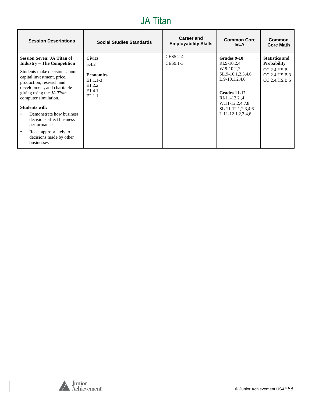#### JA Titan

| <b>Session Descriptions</b>                                                                                                                                                                                                                                                                                                                                                                                                                   | <b>Social Studies Standards</b>                                                                                | Career and<br><b>Employability Skills</b> | <b>Common Core</b><br><b>ELA</b>                                                                                                                                                           | Common<br><b>Core Math</b>                                                                    |
|-----------------------------------------------------------------------------------------------------------------------------------------------------------------------------------------------------------------------------------------------------------------------------------------------------------------------------------------------------------------------------------------------------------------------------------------------|----------------------------------------------------------------------------------------------------------------|-------------------------------------------|--------------------------------------------------------------------------------------------------------------------------------------------------------------------------------------------|-----------------------------------------------------------------------------------------------|
| <b>Session Seven: JA Titan of</b><br><b>Industry - The Competition</b><br>Students make decisions about<br>capital investment, price,<br>production, research and<br>development, and charitable<br>giving using the <i>JA Titan</i><br>computer simulation.<br><b>Students will:</b><br>Demonstrate how business<br>decisions affect business<br>performance<br>React appropriately to<br>$\bullet$<br>decisions made by other<br>businesses | <b>Civics</b><br>5.4.2<br><b>Economics</b><br>$E1.1.1-3$<br>E <sub>1.2.2</sub><br>E <sub>1.4.1</sub><br>E2.1.1 | CES5.2-4<br>CES9.1-3                      | Grades 9-10<br>RI.9-10.2.4<br>W.9-10.2,7<br>SL.9-10.1,2,3,4,6<br>$L.9-10.1, 2, 4, 6$<br>Grades 11-12<br>$RI-11-12.2.4$<br>W.11-12.2,4,7,8<br>SL.11-12.1,2,3,4,6<br>$L.11-12.1, 2, 3, 4, 6$ | <b>Statistics and</b><br><b>Probability</b><br>CC.2.4.HS.B.<br>CC.2.4.HS.B.3<br>CC.2.4.HS.B.5 |

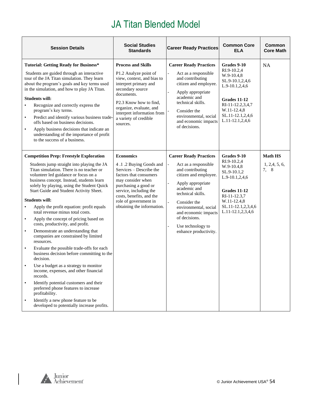<span id="page-53-0"></span>

| <b>Session Details</b>                                                                                                                                                                                                                                                                                                                                                                                                                                                                                                                                                                                                                                                                                                                                                                                                                                                                                                                                                                                                                                                 | <b>Social Studies</b><br><b>Standards</b>                                                                                                                                                                                                                                       | <b>Career Ready Practices</b>                                                                                                                                                                                                                                                                                            | <b>Common Core</b><br><b>ELA</b>                                                                                                                                             | Common<br><b>Core Math</b>               |
|------------------------------------------------------------------------------------------------------------------------------------------------------------------------------------------------------------------------------------------------------------------------------------------------------------------------------------------------------------------------------------------------------------------------------------------------------------------------------------------------------------------------------------------------------------------------------------------------------------------------------------------------------------------------------------------------------------------------------------------------------------------------------------------------------------------------------------------------------------------------------------------------------------------------------------------------------------------------------------------------------------------------------------------------------------------------|---------------------------------------------------------------------------------------------------------------------------------------------------------------------------------------------------------------------------------------------------------------------------------|--------------------------------------------------------------------------------------------------------------------------------------------------------------------------------------------------------------------------------------------------------------------------------------------------------------------------|------------------------------------------------------------------------------------------------------------------------------------------------------------------------------|------------------------------------------|
| <b>Tutorial: Getting Ready for Business*</b><br>Students are guided through an interactive<br>tour of the JA Titan simulation. They learn<br>about the program's goals and key terms used<br>in the simulation, and how to play JA Titan.<br><b>Students will:</b><br>Recognize and correctly express the<br>$\bullet$<br>program's key terms.<br>Predict and identify various business trade-<br>$\bullet$<br>offs based on business decisions.<br>Apply business decisions that indicate an<br>$\bullet$<br>understanding of the importance of profit<br>to the success of a business.                                                                                                                                                                                                                                                                                                                                                                                                                                                                               | <b>Process and Skills</b><br>P1.2 Analyze point of<br>view, context, and bias to<br>interpret primary and<br>secondary source<br>documents.<br>P <sub>2.3</sub> Know how to find.<br>organize, evaluate, and<br>interpret information from<br>a variety of credible<br>sources. | <b>Career Ready Practices</b><br>Act as a responsible<br>and contributing<br>citizen and employee.<br>Apply appropriate<br>academic and<br>technical skills.<br>Consider the<br>environmental, social<br>and economic impacts<br>of decisions.                                                                           | Grades 9-10<br>RI.9-10.2,4<br>W.9-10.4,8<br>SL.9-10.1,2,4,6<br>$L.9-10.1, 2, 4, 6$<br>Grades 11-12<br>RI-11-12.2,3,4,7<br>W.11-12.4,8<br>SL.11-12.1,2,4,6<br>L.11-12.1,2,4,6 | <b>NA</b>                                |
| <b>Competition Prep: Freestyle Exploration</b><br>Students jump straight into playing the JA<br>Titan simulation. There is no teacher or<br>volunteer led guidance or focus on a<br>business concept. Instead, students learn<br>solely by playing, using the Student Quick<br>Start Guide and Student Activity Sheet.<br><b>Students will:</b><br>Apply the profit equation: profit equals<br>$\bullet$<br>total revenue minus total costs.<br>Apply the concept of pricing based on<br>$\bullet$<br>costs, productivity, and profit.<br>Demonstrate an understanding that<br>$\bullet$<br>companies are constrained by limited<br>resources.<br>Evaluate the possible trade-offs for each<br>$\bullet$<br>business decision before committing to the<br>decision.<br>Use a budget as a strategy to monitor<br>income, expenses, and other financial<br>records.<br>Identify potential customers and their<br>preferred phone features to increase<br>profitability.<br>Identify a new phone feature to be<br>$\bullet$<br>developed to potentially increase profits. | <b>Economics</b><br>4.1.2 Buying Goods and<br>Services – Describe the<br>factors that consumers<br>may consider when<br>purchasing a good or<br>service, including the<br>costs, benefits, and the<br>role of government in<br>obtaining the information.                       | <b>Career Ready Practices</b><br>Act as a responsible<br>and contributing<br>citizen and employee.<br>Apply appropriate<br>academic and<br>technical skills.<br>Consider the<br>$\overline{\phantom{0}}$<br>environmental, social<br>and economic impacts<br>of decisions.<br>Use technology to<br>enhance productivity. | Grades 9-10<br>RI.9-10.2,4<br>W.9-10.4,8<br>SL.9-10.1,2<br>L.9-10.1,2,4,6<br>Grades 11-12<br>RI-11-12.3,7<br>W.11-12.4,8<br>SL.11-12.1,2,3,4,6<br>L.11-12.1,2,3,4,6          | <b>Math HS</b><br>1, 2, 4, 5, 6,<br>7, 8 |

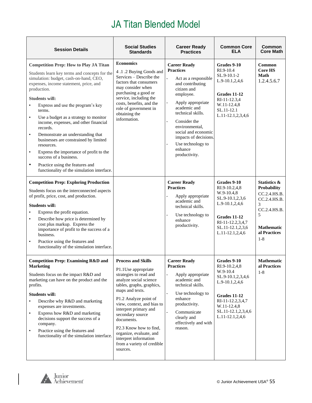| <b>Session Details</b>                                                                                                                                                                                                                                                                                                                                                                                                                                                                                                                                                                                                                                                                     | <b>Social Studies</b><br><b>Standards</b>                                                                                                                                                                                                                                                                                                                                                      | <b>Career Ready</b><br><b>Practices</b>                                                                                                                                                                                                                                                                      | <b>Common Core</b><br>ELA                                                                                                                                                        | Common<br><b>Core Math</b>                                                                                                                              |
|--------------------------------------------------------------------------------------------------------------------------------------------------------------------------------------------------------------------------------------------------------------------------------------------------------------------------------------------------------------------------------------------------------------------------------------------------------------------------------------------------------------------------------------------------------------------------------------------------------------------------------------------------------------------------------------------|------------------------------------------------------------------------------------------------------------------------------------------------------------------------------------------------------------------------------------------------------------------------------------------------------------------------------------------------------------------------------------------------|--------------------------------------------------------------------------------------------------------------------------------------------------------------------------------------------------------------------------------------------------------------------------------------------------------------|----------------------------------------------------------------------------------------------------------------------------------------------------------------------------------|---------------------------------------------------------------------------------------------------------------------------------------------------------|
| <b>Competition Prep: How to Play JA Titan</b><br>Students learn key terms and concepts for the<br>simulation: budget, cash-on-hand, CEO,<br>expenses, income statement, price, and<br>production.<br><b>Students will:</b><br>Express and use the program's key<br>$\bullet$<br>terms.<br>Use a budget as a strategy to monitor<br>$\bullet$<br>income, expenses, and other financial<br>records.<br>Demonstrate an understanding that<br>$\bullet$<br>businesses are constrained by limited<br>resources.<br>Express the importance of profit to the<br>$\bullet$<br>success of a business.<br>Practice using the features and<br>$\bullet$<br>functionality of the simulation interface. | <b>Economics</b><br>4.1.2 Buying Goods and<br>Services - Describe the<br>factors that consumers<br>may consider when<br>purchasing a good or<br>service, including the<br>costs, benefits, and the<br>role of government in<br>obtaining the<br>information.                                                                                                                                   | <b>Career Ready</b><br><b>Practices</b><br>Act as a responsible<br>and contributing<br>citizen and<br>employee.<br>Apply appropriate<br>academic and<br>technical skills.<br>Consider the<br>environmental,<br>social and economic<br>impacts of decisions.<br>Use technology to<br>enhance<br>productivity. | Grades 9-10<br>RI.9-10.4<br>SL.9-10.1-2<br>L.9-10.1,2,4,6<br><b>Grades 11-12</b><br>RI-11-12.3,4<br>W.11-12.4,8<br>SL.11-12.1<br>L.11-12.1,2,3,4,6                               | Common<br><b>Core HS</b><br>Math<br>1.2.4.5.6.7                                                                                                         |
| <b>Competition Prep: Exploring Production</b><br>Students focus on the interconnected aspects<br>of profit, price, cost, and production.<br><b>Students will:</b><br>Express the profit equation.<br>$\bullet$<br>Describe how price is determined by<br>$\bullet$<br>cost plus markup. Express the<br>importance of profit to the success of a<br>business.<br>Practice using the features and<br>$\bullet$<br>functionality of the simulation interface.                                                                                                                                                                                                                                 |                                                                                                                                                                                                                                                                                                                                                                                                | <b>Career Ready</b><br><b>Practices</b><br>Apply appropriate<br>academic and<br>technical skills.<br>Use technology to<br>enhance<br>productivity.                                                                                                                                                           | Grades 9-10<br>RI.9-10.2,4,8<br>W.9-10.4,8<br>SL.9-10.1,2,3,6<br>$L.9-10.1, 2, 4, 6$<br><b>Grades 11-12</b><br>RI-11-12.2,3,4,7<br>SL.11-12.1,2,3,6<br>L.11-12.1,2,4,6           | <b>Statistics &amp;</b><br><b>Probability</b><br>CC.2.4.HS.B.<br>CC.2.4.HS.B.<br>3<br>CC.2.4.HS.B.<br>5<br><b>Mathematic</b><br>al Practices<br>$1 - 8$ |
| <b>Competition Prep: Examining R&amp;D and</b><br>Marketing<br>Students focus on the impact R&D and<br>marketing can have on the product and the<br>profits.<br><b>Students will:</b><br>Describe why R&D and marketing<br>$\bullet$<br>expenses are investments.<br>Express how R&D and marketing<br>$\bullet$<br>decisions support the success of a<br>company.<br>Practice using the features and<br>$\bullet$<br>functionality of the simulation interface.                                                                                                                                                                                                                            | <b>Process and Skills</b><br>P1.1Use appropriate<br>strategies to read and<br>analyze social science<br>tables, graphs, graphics,<br>maps and texts.<br>P1.2 Analyze point of<br>view, context, and bias to<br>interpret primary and<br>secondary source<br>documents.<br>P2.3 Know how to find,<br>organize, evaluate, and<br>interpret information<br>from a variety of credible<br>sources. | <b>Career Ready</b><br><b>Practices</b><br>Apply appropriate<br>academic and<br>technical skills.<br>Use technology to<br>$\overline{a}$<br>enhance<br>productivity.<br>Communicate<br>clearly and<br>effectively and with<br>reason.                                                                        | Grades 9-10<br>RI.9-10.2,4,8<br>W.9-10.4<br>SL.9-10.1,2,3,4,6<br>$L.9-10.1, 2, 4, 6$<br>Grades 11-12<br>RI-11-12.2,3,4,7<br>W.11-12.4,8<br>SL.11-12.1,2,3,4,6<br>L.11-12.1,2,4,6 | <b>Mathematic</b><br>al Practices<br>$1 - 8$                                                                                                            |

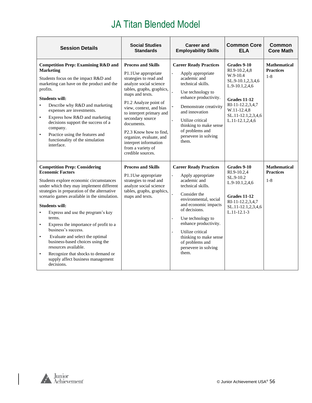| <b>Session Details</b>                                                                                                                                                                                                                                                                                                                                                                                                                                                                                                                                                                                                                    | <b>Social Studies</b><br><b>Standards</b>                                                                                                                                                                                                                                                                                                                                                                  | <b>Career and</b><br><b>Employability Skills</b>                                                                                                                                                                                                                                                                                            | <b>Common Core</b><br><b>ELA</b>                                                                                                                                            | <b>Common</b><br><b>Core Math</b>                  |
|-------------------------------------------------------------------------------------------------------------------------------------------------------------------------------------------------------------------------------------------------------------------------------------------------------------------------------------------------------------------------------------------------------------------------------------------------------------------------------------------------------------------------------------------------------------------------------------------------------------------------------------------|------------------------------------------------------------------------------------------------------------------------------------------------------------------------------------------------------------------------------------------------------------------------------------------------------------------------------------------------------------------------------------------------------------|---------------------------------------------------------------------------------------------------------------------------------------------------------------------------------------------------------------------------------------------------------------------------------------------------------------------------------------------|-----------------------------------------------------------------------------------------------------------------------------------------------------------------------------|----------------------------------------------------|
| <b>Competition Prep: Examining R&amp;D and</b><br><b>Marketing</b><br>Students focus on the impact R&D and<br>marketing can have on the product and the<br>profits.<br><b>Students will:</b><br>Describe why R&D and marketing<br>$\bullet$<br>expenses are investments.<br>Express how R&D and marketing<br>$\bullet$<br>decisions support the success of a<br>company.<br>Practice using the features and<br>$\bullet$<br>functionality of the simulation<br>interface.                                                                                                                                                                 | <b>Process and Skills</b><br>P1.1Use appropriate<br>strategies to read and<br>analyze social science<br>tables, graphs, graphics,<br>maps and texts.<br>P1.2 Analyze point of<br>view, context, and bias<br>to interpret primary and<br>secondary source<br>documents.<br>P <sub>2.3</sub> Know how to find.<br>organize, evaluate, and<br>interpret information<br>from a variety of<br>credible sources. | <b>Career Ready Practices</b><br>Apply appropriate<br>academic and<br>technical skills.<br>Use technology to<br>enhance productivity.<br>Demonstrate creativity<br>and innovation<br>Utilize critical<br>thinking to make sense<br>of problems and<br>persevere in solving<br>them.                                                         | Grades 9-10<br>RI.9-10.2,4,8<br>W.9-10.4<br>SL.9-10.1,2,3,4,6<br>L.9-10.1,2,4,6<br>Grades 11-12<br>RI-11-12.2,3,4,7<br>W.11-12.4,8<br>SL.11-12.1,2,3,4,6<br>L.11-12.1,2,4,6 | <b>Mathematical</b><br><b>Practices</b><br>$1 - 8$ |
| <b>Competition Prep: Considering</b><br><b>Economic Factors</b><br>Students explore economic circumstances<br>under which they may implement different<br>strategies in preparation of the alternative<br>scenario games available in the simulation.<br><b>Students will:</b><br>Express and use the program's key<br>$\bullet$<br>terms.<br>Express the importance of profit to a<br>$\bullet$<br>business's success.<br>Evaluate and select the optimal<br>$\bullet$<br>business-based choices using the<br>resources available.<br>Recognize that shocks to demand or<br>$\bullet$<br>supply affect business management<br>decisions. | <b>Process and Skills</b><br>P1.1Use appropriate<br>strategies to read and<br>analyze social science<br>tables, graphs, graphics,<br>maps and texts.                                                                                                                                                                                                                                                       | <b>Career Ready Practices</b><br>Apply appropriate<br>$\overline{a}$<br>academic and<br>technical skills.<br>Consider the<br>environmental, social<br>and economic impacts<br>of decisions.<br>Use technology to<br>enhance productivity.<br>Utilize critical<br>thinking to make sense<br>of problems and<br>persevere in solving<br>them. | Grades 9-10<br>RI.9-10.2,4<br>SL.9-10.2<br>L.9-10.1,2,4,6<br>Grades 11-12<br>RI-11-12.2,3,4,7<br>SL.11-12.1,2,3,4,6<br>$L.11 - 12.1 - 3$                                    | <b>Mathematical</b><br><b>Practices</b><br>$1 - 8$ |

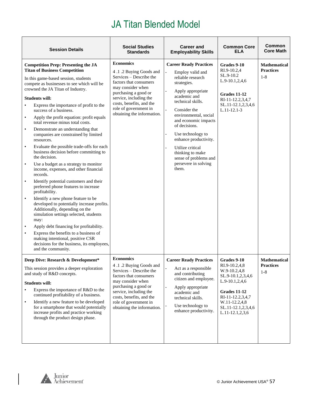| <b>Session Details</b>                                                                                                                                                                                                                                                                                                                                                                                                                                                                                                                                                                                                                                                                                                                                                                                                                                                                                                                                                                                                                                                                                                                                                                                                                                          | <b>Social Studies</b><br><b>Standards</b>                                                                                                                                                                                                                 | <b>Career and</b><br><b>Employability Skills</b>                                                                                                                                                                                                                                                                                                                                                                                        | <b>Common Core</b><br>ELA                                                                                                                                                                       | <b>Common</b><br><b>Core Math</b>                  |
|-----------------------------------------------------------------------------------------------------------------------------------------------------------------------------------------------------------------------------------------------------------------------------------------------------------------------------------------------------------------------------------------------------------------------------------------------------------------------------------------------------------------------------------------------------------------------------------------------------------------------------------------------------------------------------------------------------------------------------------------------------------------------------------------------------------------------------------------------------------------------------------------------------------------------------------------------------------------------------------------------------------------------------------------------------------------------------------------------------------------------------------------------------------------------------------------------------------------------------------------------------------------|-----------------------------------------------------------------------------------------------------------------------------------------------------------------------------------------------------------------------------------------------------------|-----------------------------------------------------------------------------------------------------------------------------------------------------------------------------------------------------------------------------------------------------------------------------------------------------------------------------------------------------------------------------------------------------------------------------------------|-------------------------------------------------------------------------------------------------------------------------------------------------------------------------------------------------|----------------------------------------------------|
| <b>Competition Prep: Presenting the JA</b><br><b>Titan of Business Competition</b><br>In this game-based session, students<br>compete as businesses to see which will be<br>crowned the JA Titan of Industry.<br><b>Students will:</b><br>Express the importance of profit to the<br>success of a business.<br>Apply the profit equation: profit equals<br>$\bullet$<br>total revenue minus total costs.<br>Demonstrate an understanding that<br>$\bullet$<br>companies are constrained by limited<br>resources.<br>Evaluate the possible trade-offs for each<br>$\bullet$<br>business decision before committing to<br>the decision.<br>Use a budget as a strategy to monitor<br>$\bullet$<br>income, expenses, and other financial<br>records.<br>Identify potential customers and their<br>$\bullet$<br>preferred phone features to increase<br>profitability.<br>Identify a new phone feature to be<br>$\bullet$<br>developed to potentially increase profits.<br>Additionally, depending on the<br>simulation settings selected, students<br>may:<br>Apply debt financing for profitability.<br>Express the benefits to a business of<br>$\bullet$<br>making intentional, positive CSR<br>decisions for the business, its employees,<br>and the community. | <b>Economics</b><br>4.1.2 Buying Goods and<br>Services - Describe the<br>factors that consumers<br>may consider when<br>purchasing a good or<br>service, including the<br>costs, benefits, and the<br>role of government in<br>obtaining the information. | <b>Career Ready Practices</b><br>Employ valid and<br>$\overline{a}$<br>reliable research<br>strategies.<br>Apply appropriate<br>academic and<br>technical skills.<br>$\overline{a}$<br>Consider the<br>environmental, social<br>and economic impacts<br>of decisions.<br>Use technology to<br>enhance productivity.<br>Utilize critical<br>$\overline{a}$<br>thinking to make<br>sense of problems and<br>persevere in solving<br>them. | Grades 9-10<br>RI.9-10.2.4<br>SL.9-10.2<br>$L.9-10.1, 2, 4, 6$<br><b>Grades 11-12</b><br>RI-11-12.2,3,4,7<br>SL.11-12.1,2,3,4,6<br>$L.11 - 12.1 - 3$                                            | <b>Mathematical</b><br><b>Practices</b><br>$1 - 8$ |
| Deep Dive: Research & Development*<br>This session provides a deeper exploration<br>and study of R&D concepts.<br><b>Students will:</b><br>Express the importance of R&D to the<br>$\bullet$<br>continued profitability of a business.<br>Identify a new feature to be developed<br>$\bullet$<br>for a smartphone that would potentially<br>increase profits and practice working<br>through the product design phase.                                                                                                                                                                                                                                                                                                                                                                                                                                                                                                                                                                                                                                                                                                                                                                                                                                          | <b>Economics</b><br>4.1.2 Buying Goods and<br>Services – Describe the<br>factors that consumers<br>may consider when<br>purchasing a good or<br>service, including the<br>costs, benefits, and the<br>role of government in<br>obtaining the information. | <b>Career Ready Practices</b><br>Act as a responsible<br>and contributing<br>citizen and employee.<br>Apply appropriate<br>$\overline{a}$<br>academic and<br>technical skills.<br>Use technology to<br>enhance productivity.                                                                                                                                                                                                            | <b>Grades 9-10</b><br>RI.9-10.2,4,8<br>W.9-10.2,4,8<br>SL.9-10.1,2,3,4,6<br>L.9-10.1,2,4,6<br><b>Grades 11-12</b><br>RI-11-12.2,3,4,7<br>W.11-12.2,4,8<br>SL.11-12.1,2,3,4,6<br>L.11-12.1,2,3,6 | <b>Mathematical</b><br><b>Practices</b><br>$1-8$   |



 $\overline{\phantom{a}}$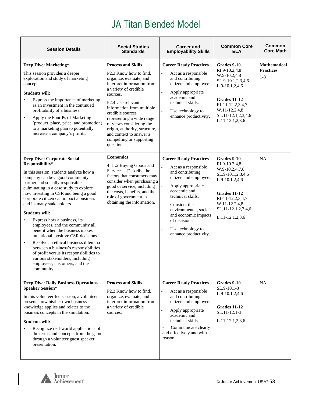| <b>Session Details</b>                                                                                                                                                                                                                                                                                                                                                                                                                                                                                                                                                                                                                                                                                                                 | <b>Social Studies</b><br><b>Standards</b>                                                                                                                                                                                                                                                                                                                                             | <b>Career and</b><br><b>Employability Skills</b>                                                                                                                                                                                                                                             | <b>Common Core</b><br><b>ELA</b>                                                                                                                                                                   | <b>Common</b><br><b>Core Math</b>                |
|----------------------------------------------------------------------------------------------------------------------------------------------------------------------------------------------------------------------------------------------------------------------------------------------------------------------------------------------------------------------------------------------------------------------------------------------------------------------------------------------------------------------------------------------------------------------------------------------------------------------------------------------------------------------------------------------------------------------------------------|---------------------------------------------------------------------------------------------------------------------------------------------------------------------------------------------------------------------------------------------------------------------------------------------------------------------------------------------------------------------------------------|----------------------------------------------------------------------------------------------------------------------------------------------------------------------------------------------------------------------------------------------------------------------------------------------|----------------------------------------------------------------------------------------------------------------------------------------------------------------------------------------------------|--------------------------------------------------|
| Deep Dive: Marketing*<br>This session provides a deeper<br>exploration and study of marketing<br>concepts.<br><b>Students will:</b><br>Express the importance of marketing<br>$\bullet$<br>as an investment in the continued<br>profitability of a business.<br>Apply the Four Ps of Marketing<br>$\bullet$<br>(product, place, price, and promotion)<br>to a marketing plan to potentially<br>increase a company's profits.                                                                                                                                                                                                                                                                                                           | <b>Process and Skills</b><br>P2.3 Know how to find,<br>organize, evaluate, and<br>interpret information from<br>a variety of credible<br>sources.<br>P2.4 Use relevant<br>information from multiple<br>credible sources<br>representing a wide range<br>of views considering the<br>origin, authority, structure,<br>and context to answer a<br>compelling or supporting<br>question. | <b>Career Ready Practices</b><br>Act as a responsible<br>and contributing<br>citizen and employee.<br>Apply appropriate<br>academic and<br>technical skills.<br>Use technology to<br>enhance productivity.                                                                                   | Grades 9-10<br>RI.9-10.2,4,8<br>W.9-10.2,4,8<br>SL.9-10.1,2,3,4,6<br>$L.9-10.1, 2, 4, 6$<br><b>Grades 11-12</b><br>RI-11-12.2,3,4,7<br>W.11-12.2,4,8<br>SL.11-12.1,2,3,4,6<br>$L.11-12.1, 2, 3, 6$ | <b>Mathematical</b><br><b>Practices</b><br>$1-8$ |
| <b>Deep Dive: Corporate Social</b><br>Responsibility*<br>In this session, students analyze how a<br>company can be a good community<br>partner and socially responsible,<br>culminating in a case study to explore<br>how investing in CSR and being a good<br>corporate citizen can impact a business<br>and its many stakeholders.<br><b>Students will:</b><br>Express how a business, its<br>employees, and the community all<br>benefit when the business makes<br>intentional, positive CSR decisions.<br>Resolve an ethical business dilemma<br>$\bullet$<br>between a business's responsibilities<br>of profit versus its responsibilities to<br>various stakeholders, including<br>employees, customers, and the<br>community. | <b>Economics</b><br>4.1.2 Buying Goods and<br>Services – Describe the<br>factors that consumers may<br>consider when purchasing a<br>good or service, including<br>the costs, benefits, and the<br>role of government in<br>obtaining the information.                                                                                                                                | <b>Career Ready Practices</b><br>Act as a responsible<br>and contributing<br>citizen and employee.<br>Apply appropriate<br>academic and<br>technical skills.<br>Consider the<br>environmental, social<br>and economic impacts<br>of decisions.<br>Use technology to<br>enhance productivity. | Grades 9-10<br>RI.9-10.2,4,8<br>W.9-10.2,4,7,8<br>SL.9-10.1,2,3,4,6<br>L.9-10.1,2,4,6<br>Grades 11-12<br>RI-11-12.2,3,4,7<br>W.11-12.2,4,8<br>SL.11-12.1,2,3,4,6<br>L.11-12.1,2,3,6                | NA                                               |
| <b>Deep Dive: Daily Business Operations</b><br><b>Speaker Session*</b><br>In this volunteer-led session, a volunteer<br>presents how his/her own business<br>knowledge applies and relates to the<br>business concepts in the simulation.<br><b>Students will:</b><br>Recognize real-world applications of<br>the terms and concepts from the game<br>through a volunteer guest speaker<br>presentation.                                                                                                                                                                                                                                                                                                                               | <b>Process and Skills</b><br>P <sub>2.3</sub> Know how to find,<br>organize, evaluate, and<br>interpret information from<br>a variety of credible<br>sources.                                                                                                                                                                                                                         | <b>Career Ready Practices</b><br>Act as a responsible<br>and contributing<br>citizen and employee.<br>Apply appropriate<br>academic and<br>technical skills.<br>Communicate clearly<br>÷,<br>and effectively and with<br>reason.                                                             | Grades 9-10<br>$SL.9-10.1-3$<br>$L.9-10.1, 2, 4, 6$<br>Grades 11-12<br>SL.11-12.1-3<br>L.11-12.1,2,3,6                                                                                             | <b>NA</b>                                        |